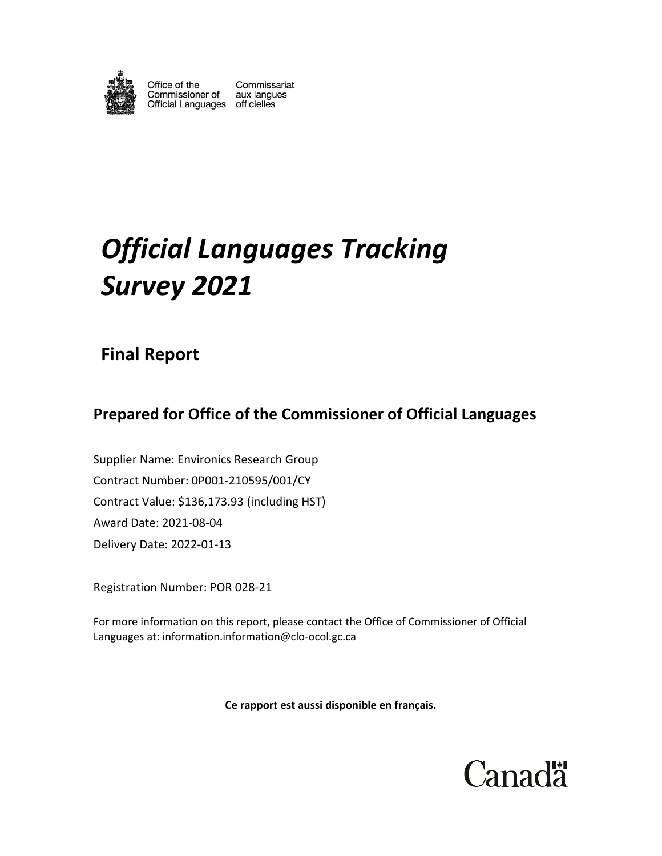

Office of the Commissaria<br>Commissioner of aux langues<br>Official Languages officielles Commissariat

# *Official Languages Tracking Survey 2021*

# **Final Report**

# **Prepared for Office of the Commissioner of Official Languages**

Supplier Name: Environics Research Group Contract Number: 0P001-210595/001/CY Contract Value: \$136,173.93 (including HST) Award Date: 2021-08-04 Delivery Date: 2022-01-13

Registration Number: POR 028-21

For more information on this report, please contact the Office of Commissioner of Official Languages at: [information.information@clo-ocol.gc.ca](mailto:information.information@clo-ocol.gc.ca)

**Ce rapport est aussi disponible en français.**

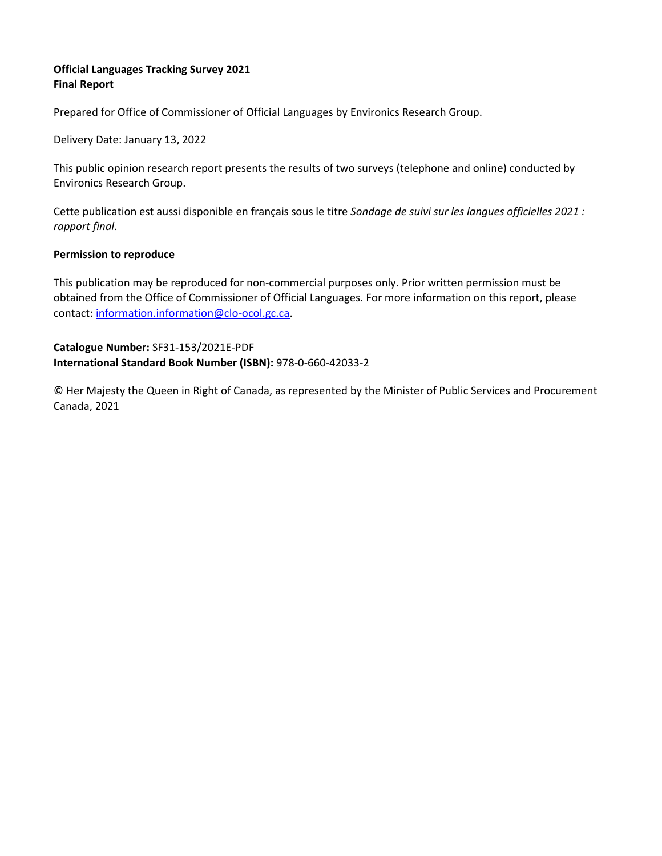#### **Official Languages Tracking Survey 2021 Final Report**

Prepared for Office of Commissioner of Official Languages by Environics Research Group.

Delivery Date: January 13, 2022

This public opinion research report presents the results of two surveys (telephone and online) conducted by Environics Research Group.

Cette publication est aussi disponible en français sous le titre *Sondage de suivi sur les langues officielles 2021 : rapport final*.

#### **Permission to reproduce**

This publication may be reproduced for non-commercial purposes only. Prior written permission must be obtained from the Office of Commissioner of Official Languages. For more information on this report, please contact: [information.information@clo-ocol.gc.ca.](mailto:information.information@clo-ocol.gc.ca)

**Catalogue Number:** SF31-153/2021E-PDF **International Standard Book Number (ISBN):** 978-0-660-42033-2

© Her Majesty the Queen in Right of Canada, as represented by the Minister of Public Services and Procurement Canada, 2021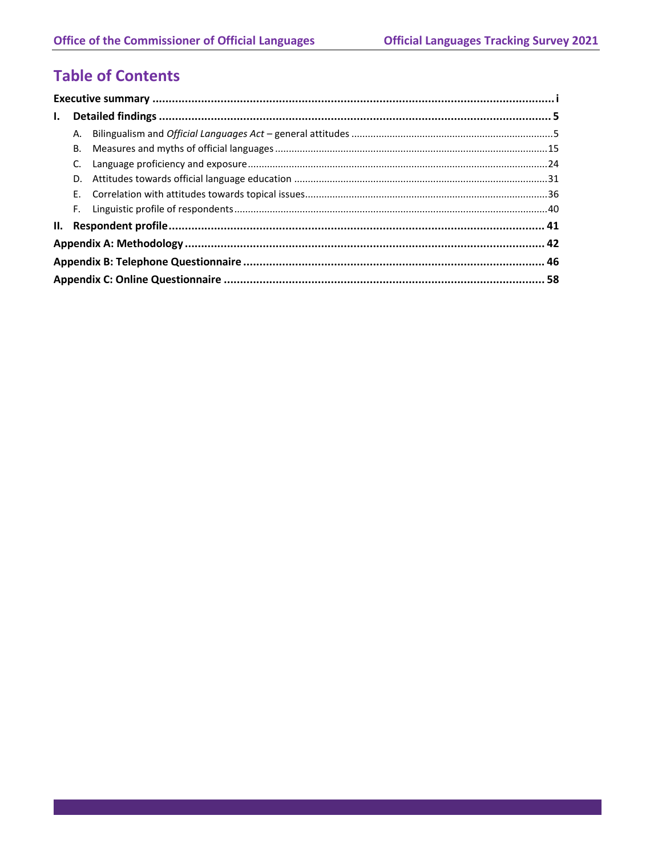# **Table of Contents**

| $\mathbf{I}$ . |    |  |  |  |  |  |
|----------------|----|--|--|--|--|--|
|                | А. |  |  |  |  |  |
|                | В. |  |  |  |  |  |
|                | C. |  |  |  |  |  |
|                |    |  |  |  |  |  |
|                |    |  |  |  |  |  |
|                | F. |  |  |  |  |  |
|                |    |  |  |  |  |  |
|                |    |  |  |  |  |  |
|                |    |  |  |  |  |  |
|                |    |  |  |  |  |  |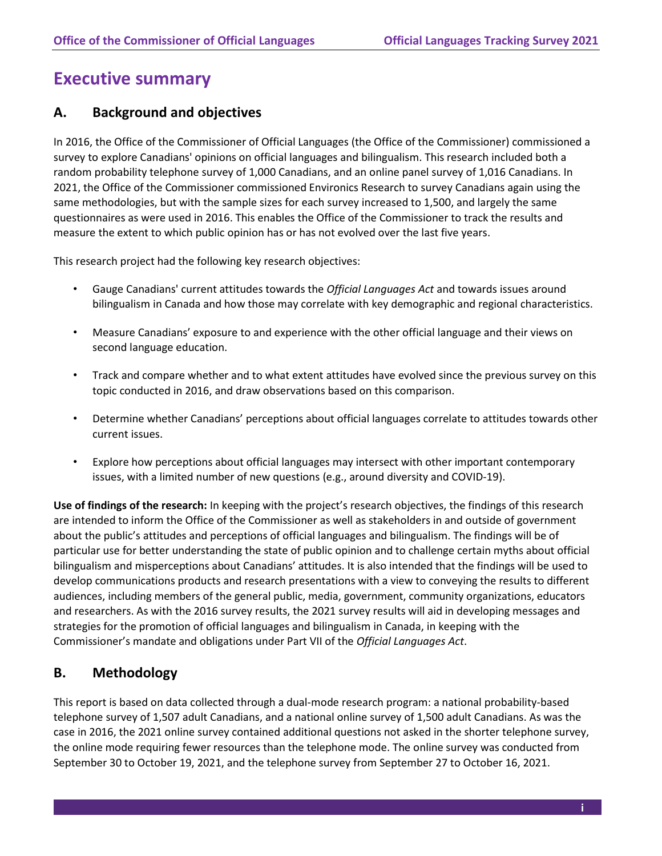# <span id="page-3-0"></span>**Executive summary**

### **A. Background and objectives**

In 2016, the Office of the Commissioner of Official Languages (the Office of the Commissioner) commissioned a survey to explore Canadians' opinions on official languages and bilingualism. This research included both a random probability telephone survey of 1,000 Canadians, and an online panel survey of 1,016 Canadians. In 2021, the Office of the Commissioner commissioned Environics Research to survey Canadians again using the same methodologies, but with the sample sizes for each survey increased to 1,500, and largely the same questionnaires as were used in 2016. This enables the Office of the Commissioner to track the results and measure the extent to which public opinion has or has not evolved over the last five years.

This research project had the following key research objectives:

- Gauge Canadians' current attitudes towards the *Official Languages Act* and towards issues around bilingualism in Canada and how those may correlate with key demographic and regional characteristics.
- Measure Canadians' exposure to and experience with the other official language and their views on second language education.
- Track and compare whether and to what extent attitudes have evolved since the previous survey on this topic conducted in 2016, and draw observations based on this comparison.
- Determine whether Canadians' perceptions about official languages correlate to attitudes towards other current issues.
- Explore how perceptions about official languages may intersect with other important contemporary issues, with a limited number of new questions (e.g., around diversity and COVID-19).

**Use of findings of the research:** In keeping with the project's research objectives, the findings of this research are intended to inform the Office of the Commissioner as well as stakeholders in and outside of government about the public's attitudes and perceptions of official languages and bilingualism. The findings will be of particular use for better understanding the state of public opinion and to challenge certain myths about official bilingualism and misperceptions about Canadians' attitudes. It is also intended that the findings will be used to develop communications products and research presentations with a view to conveying the results to different audiences, including members of the general public, media, government, community organizations, educators and researchers. As with the 2016 survey results, the 2021 survey results will aid in developing messages and strategies for the promotion of official languages and bilingualism in Canada, in keeping with the Commissioner's mandate and obligations under Part VII of the *Official Languages Act*.

# **B. Methodology**

This report is based on data collected through a dual-mode research program: a national probability-based telephone survey of 1,507 adult Canadians, and a national online survey of 1,500 adult Canadians. As was the case in 2016, the 2021 online survey contained additional questions not asked in the shorter telephone survey, the online mode requiring fewer resources than the telephone mode. The online survey was conducted from September 30 to October 19, 2021, and the telephone survey from September 27 to October 16, 2021.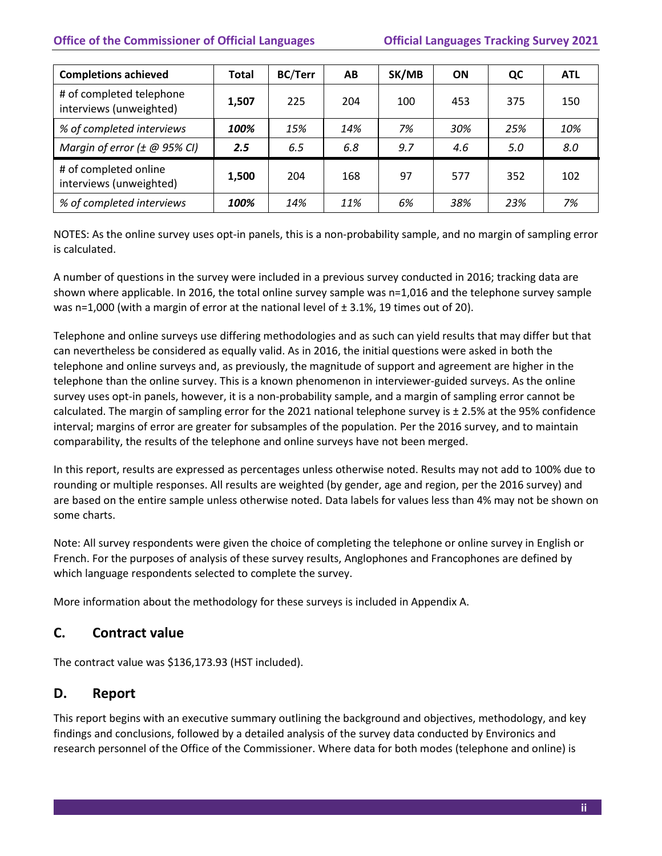| <b>Completions achieved</b>                         | <b>Total</b> | <b>BC/Terr</b> | AB  | SK/MB | ON  | QC  | <b>ATL</b> |
|-----------------------------------------------------|--------------|----------------|-----|-------|-----|-----|------------|
| # of completed telephone<br>interviews (unweighted) | 1,507        | 225            | 204 | 100   | 453 | 375 | 150        |
| % of completed interviews                           | 100%         | 15%            | 14% | 7%    | 30% | 25% | 10%        |
| Margin of error $(\pm \text{ @ } 95\% \text{ Cl})$  | 2.5          | 6.5            | 6.8 | 9.7   | 4.6 | 5.0 | 8.0        |
| # of completed online<br>interviews (unweighted)    | 1,500        | 204            | 168 | 97    | 577 | 352 | 102        |
| % of completed interviews                           | 100%         | 14%            | 11% | 6%    | 38% | 23% | 7%         |

NOTES: As the online survey uses opt-in panels, this is a non-probability sample, and no margin of sampling error is calculated.

A number of questions in the survey were included in a previous survey conducted in 2016; tracking data are shown where applicable. In 2016, the total online survey sample was n=1,016 and the telephone survey sample was n=1,000 (with a margin of error at the national level of  $\pm$  3.1%, 19 times out of 20).

Telephone and online surveys use differing methodologies and as such can yield results that may differ but that can nevertheless be considered as equally valid. As in 2016, the initial questions were asked in both the telephone and online surveys and, as previously, the magnitude of support and agreement are higher in the telephone than the online survey. This is a known phenomenon in interviewer-guided surveys. As the online survey uses opt-in panels, however, it is a non-probability sample, and a margin of sampling error cannot be calculated. The margin of sampling error for the 2021 national telephone survey is ± 2.5% at the 95% confidence interval; margins of error are greater for subsamples of the population. Per the 2016 survey, and to maintain comparability, the results of the telephone and online surveys have not been merged.

In this report, results are expressed as percentages unless otherwise noted. Results may not add to 100% due to rounding or multiple responses. All results are weighted (by gender, age and region, per the 2016 survey) and are based on the entire sample unless otherwise noted. Data labels for values less than 4% may not be shown on some charts.

Note: All survey respondents were given the choice of completing the telephone or online survey in English or French. For the purposes of analysis of these survey results, Anglophones and Francophones are defined by which language respondents selected to complete the survey.

More information about the methodology for these surveys is included in Appendix A.

# **C. Contract value**

The contract value was \$136,173.93 (HST included).

# **D. Report**

This report begins with an executive summary outlining the background and objectives, methodology, and key findings and conclusions, followed by a detailed analysis of the survey data conducted by Environics and research personnel of the Office of the Commissioner. Where data for both modes (telephone and online) is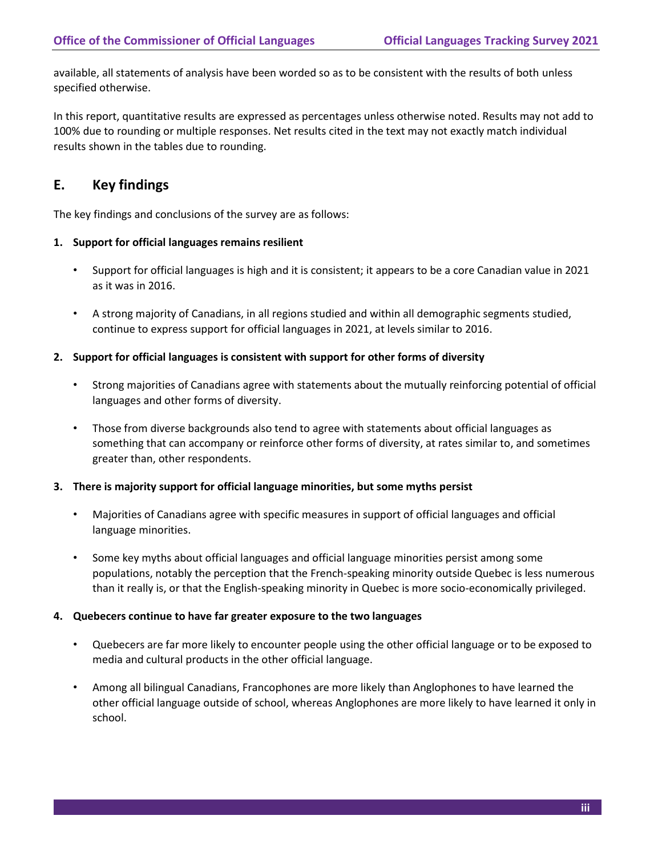available, all statements of analysis have been worded so as to be consistent with the results of both unless specified otherwise.

In this report, quantitative results are expressed as percentages unless otherwise noted. Results may not add to 100% due to rounding or multiple responses. Net results cited in the text may not exactly match individual results shown in the tables due to rounding.

# **E. Key findings**

The key findings and conclusions of the survey are as follows:

#### **1. Support for official languages remains resilient**

- Support for official languages is high and it is consistent; it appears to be a core Canadian value in 2021 as it was in 2016.
- A strong majority of Canadians, in all regions studied and within all demographic segments studied, continue to express support for official languages in 2021, at levels similar to 2016.

#### **2. Support for official languages is consistent with support for other forms of diversity**

- Strong majorities of Canadians agree with statements about the mutually reinforcing potential of official languages and other forms of diversity.
- Those from diverse backgrounds also tend to agree with statements about official languages as something that can accompany or reinforce other forms of diversity, at rates similar to, and sometimes greater than, other respondents.

#### **3. There is majority support for official language minorities, but some myths persist**

- Majorities of Canadians agree with specific measures in support of official languages and official language minorities.
- Some key myths about official languages and official language minorities persist among some populations, notably the perception that the French-speaking minority outside Quebec is less numerous than it really is, or that the English-speaking minority in Quebec is more socio-economically privileged.

#### **4. Quebecers continue to have far greater exposure to the two languages**

- Quebecers are far more likely to encounter people using the other official language or to be exposed to media and cultural products in the other official language.
- Among all bilingual Canadians, Francophones are more likely than Anglophones to have learned the other official language outside of school, whereas Anglophones are more likely to have learned it only in school.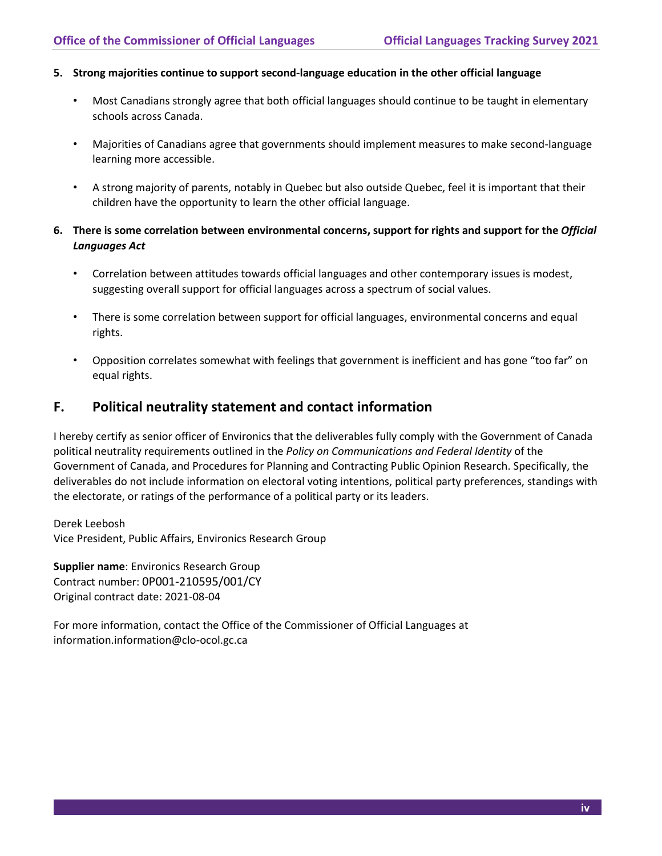#### **5. Strong majorities continue to support second-language education in the other official language**

- Most Canadians strongly agree that both official languages should continue to be taught in elementary schools across Canada.
- Majorities of Canadians agree that governments should implement measures to make second-language learning more accessible.
- A strong majority of parents, notably in Quebec but also outside Quebec, feel it is important that their children have the opportunity to learn the other official language.
- **6. There is some correlation between environmental concerns, support for rights and support for the** *Official Languages Act*
	- Correlation between attitudes towards official languages and other contemporary issues is modest, suggesting overall support for official languages across a spectrum of social values.
	- There is some correlation between support for official languages, environmental concerns and equal rights.
	- Opposition correlates somewhat with feelings that government is inefficient and has gone "too far" on equal rights.

### **F. Political neutrality statement and contact information**

I hereby certify as senior officer of Environics that the deliverables fully comply with the Government of Canada political neutrality requirements outlined in the *Policy on Communications and Federal Identity* of the Government of Canada, and Procedures for Planning and Contracting Public Opinion Research. Specifically, the deliverables do not include information on electoral voting intentions, political party preferences, standings with the electorate, or ratings of the performance of a political party or its leaders.

Derek Leebosh Vice President, Public Affairs, Environics Research Group

**Supplier name**: Environics Research Group Contract number: 0P001-210595/001/CY Original contract date: 2021-08-04

For more information, contact the Office of the Commissioner of Official Languages at [information.information@clo-ocol.gc.ca](mailto:information.information@clo-ocol.gc.ca)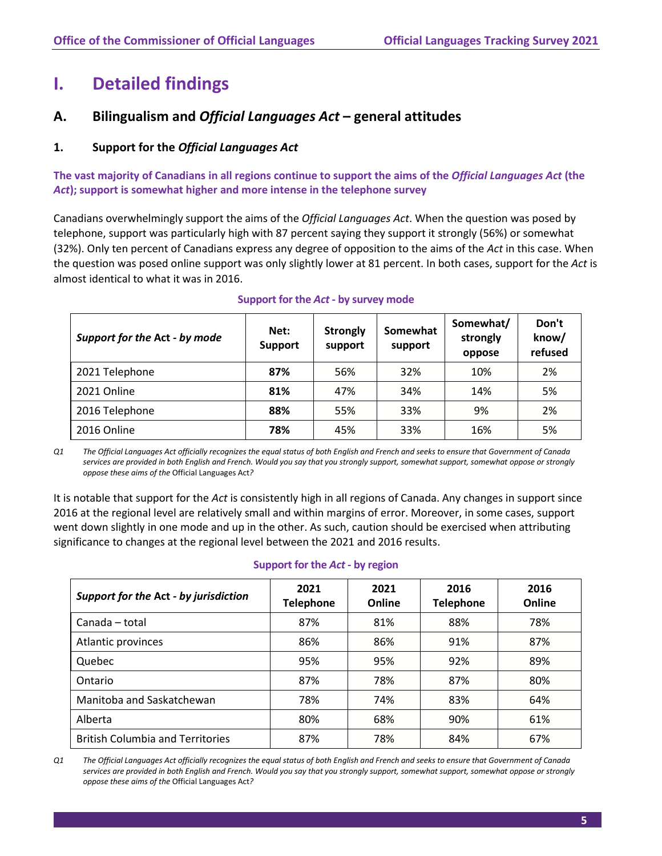# <span id="page-7-0"></span>**I. Detailed findings**

# <span id="page-7-1"></span>**A. Bilingualism and** *Official Languages Act* **– general attitudes**

### **1. Support for the** *Official Languages Act*

**The vast majority of Canadians in all regions continue to support the aims of the** *Official Languages Act* **(the**  *Act***); support is somewhat higher and more intense in the telephone survey**

Canadians overwhelmingly support the aims of the *Official Languages Act*. When the question was posed by telephone, support was particularly high with 87 percent saying they support it strongly (56%) or somewhat (32%). Only ten percent of Canadians express any degree of opposition to the aims of the *Act* in this case. When the question was posed online support was only slightly lower at 81 percent. In both cases, support for the *Act* is almost identical to what it was in 2016.

| Support for the Act - by mode | Net:<br><b>Support</b> | <b>Strongly</b><br>support | Somewhat<br>support | Somewhat/<br>strongly<br>oppose | Don't<br>know/<br>refused |
|-------------------------------|------------------------|----------------------------|---------------------|---------------------------------|---------------------------|
| 2021 Telephone                | 87%                    | 56%                        | 32%                 | 10%                             | 2%                        |
| 2021 Online                   | 81%                    | 47%                        | 34%                 | 14%                             | 5%                        |
| 2016 Telephone                | 88%                    | 55%                        | 33%                 | 9%                              | 2%                        |
| 2016 Online                   | 78%                    | 45%                        | 33%                 | 16%                             | 5%                        |

#### **Support for the** *Act* **- by survey mode**

*Q1 The Official Languages Act officially recognizes the equal status of both English and French and seeks to ensure that Government of Canada services are provided in both English and French. Would you say that you strongly support, somewhat support, somewhat oppose or strongly oppose these aims of the* Official Languages Act*?*

It is notable that support for the *Act* is consistently high in all regions of Canada. Any changes in support since 2016 at the regional level are relatively small and within margins of error. Moreover, in some cases, support went down slightly in one mode and up in the other. As such, caution should be exercised when attributing significance to changes at the regional level between the 2021 and 2016 results.

| Support for the Act - by jurisdiction   | 2021<br><b>Telephone</b> | 2021<br>Online | 2016<br><b>Telephone</b> | 2016<br>Online |
|-----------------------------------------|--------------------------|----------------|--------------------------|----------------|
| Canada - total                          | 87%                      | 81%            | 88%                      | 78%            |
| Atlantic provinces                      | 86%                      | 86%            | 91%                      | 87%            |
| Quebec                                  | 95%                      | 95%            | 92%                      | 89%            |
| Ontario                                 | 87%                      | 78%            | 87%                      | 80%            |
| Manitoba and Saskatchewan               | 78%                      | 74%            | 83%                      | 64%            |
| Alberta                                 | 80%                      | 68%            | 90%                      | 61%            |
| <b>British Columbia and Territories</b> | 87%                      | 78%            | 84%                      | 67%            |

#### **Support for the** *Act* **- by region**

*Q1 The Official Languages Act officially recognizes the equal status of both English and French and seeks to ensure that Government of Canada services are provided in both English and French. Would you say that you strongly support, somewhat support, somewhat oppose or strongly oppose these aims of the* Official Languages Act*?*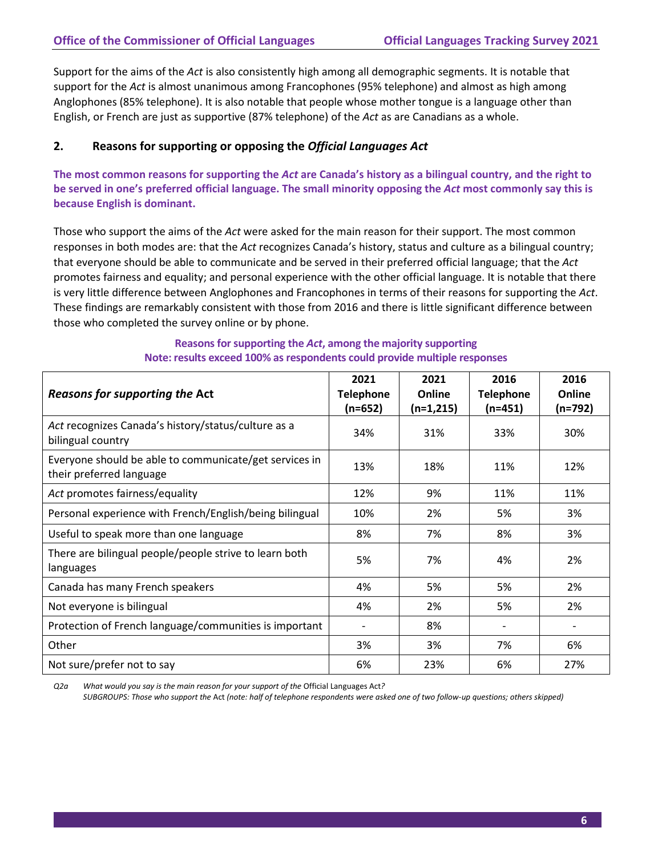Support for the aims of the *Act* is also consistently high among all demographic segments. It is notable that support for the *Act* is almost unanimous among Francophones (95% telephone) and almost as high among Anglophones (85% telephone). It is also notable that people whose mother tongue is a language other than English, or French are just as supportive (87% telephone) of the *Act* as are Canadians as a whole.

#### **2. Reasons for supporting or opposing the** *Official Languages Act*

**The most common reasons for supporting the** *Act* **are Canada's history as a bilingual country, and the right to be served in one's preferred official language. The small minority opposing the** *Act* **most commonly say this is because English is dominant.**

Those who support the aims of the *Act* were asked for the main reason for their support. The most common responses in both modes are: that the *Act* recognizes Canada's history, status and culture as a bilingual country; that everyone should be able to communicate and be served in their preferred official language; that the *Act* promotes fairness and equality; and personal experience with the other official language. It is notable that there is very little difference between Anglophones and Francophones in terms of their reasons for supporting the *Act*. These findings are remarkably consistent with those from 2016 and there is little significant difference between those who completed the survey online or by phone.

| Reasons for supporting the Act                                                     | 2021<br><b>Telephone</b> | 2021<br>Online | 2016<br><b>Telephone</b> | 2016<br>Online |
|------------------------------------------------------------------------------------|--------------------------|----------------|--------------------------|----------------|
|                                                                                    | $(n=652)$                | $(n=1,215)$    | $(n=451)$                | (n=792)        |
| Act recognizes Canada's history/status/culture as a<br>bilingual country           | 34%                      | 31%            | 33%                      | 30%            |
| Everyone should be able to communicate/get services in<br>their preferred language | 13%                      | 18%            | 11%                      | 12%            |
| Act promotes fairness/equality                                                     | 12%                      | 9%             | 11%                      | 11%            |
| Personal experience with French/English/being bilingual                            | 10%                      | 2%             | 5%                       | 3%             |
| Useful to speak more than one language                                             | 8%                       | 7%             | 8%                       | 3%             |
| There are bilingual people/people strive to learn both<br>languages                | 5%                       | 7%             | 4%                       | 2%             |
| Canada has many French speakers                                                    | 4%                       | 5%             | 5%                       | 2%             |
| Not everyone is bilingual                                                          | 4%                       | 2%             | 5%                       | 2%             |
| Protection of French language/communities is important                             |                          | 8%             |                          |                |
| Other                                                                              | 3%                       | 3%             | 7%                       | 6%             |
| Not sure/prefer not to say                                                         | 6%                       | 23%            | 6%                       | 27%            |

#### **Reasons for supporting the** *Act***, among the majority supporting Note: results exceed 100% as respondents could provide multiple responses**

*Q2a What would you say is the main reason for your support of the* Official Languages Act*?* 

*SUBGROUPS: Those who support the* Act *(note: half of telephone respondents were asked one of two follow-up questions; others skipped)*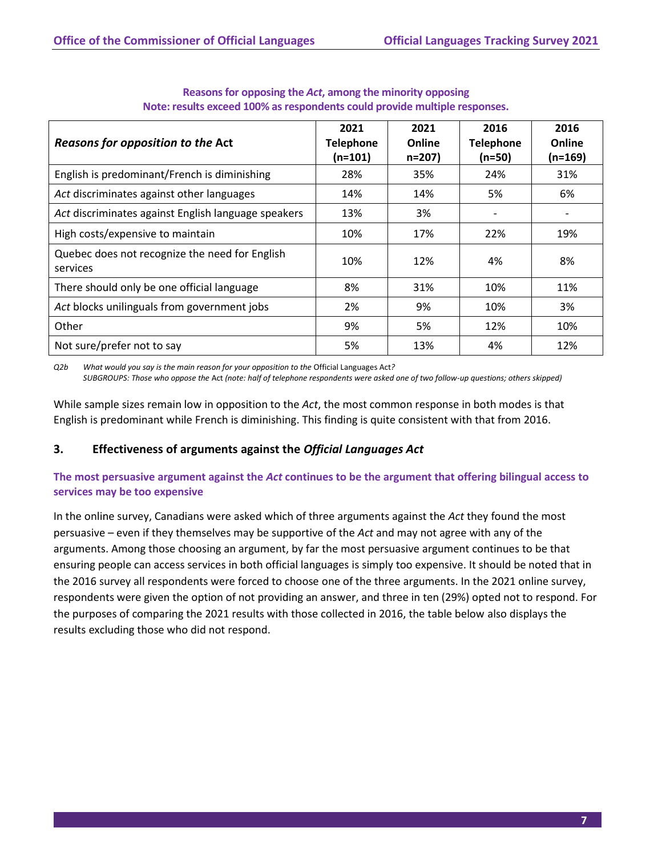| Reasons for opposition to the Act                          | 2021<br><b>Telephone</b><br>(n=101) | 2021<br>Online<br>$n = 207$ | 2016<br><b>Telephone</b><br>$(n=50)$ | 2016<br>Online<br>(n=169) |
|------------------------------------------------------------|-------------------------------------|-----------------------------|--------------------------------------|---------------------------|
| English is predominant/French is diminishing               | 28%                                 | 35%                         | 24%                                  | 31%                       |
| Act discriminates against other languages                  | 14%                                 | 14%                         | 5%                                   | 6%                        |
| Act discriminates against English language speakers        | 13%                                 | 3%                          | $\overline{\phantom{a}}$             |                           |
| High costs/expensive to maintain                           | 10%                                 | 17%                         | 22%                                  | 19%                       |
| Quebec does not recognize the need for English<br>services | 10%                                 | 12%                         | 4%                                   | 8%                        |
| There should only be one official language                 | 8%                                  | 31%                         | 10%                                  | 11%                       |
| Act blocks unilinguals from government jobs                | 2%                                  | 9%                          | 10%                                  | 3%                        |
| Other                                                      | 9%                                  | 5%                          | 12%                                  | 10%                       |
| Not sure/prefer not to say                                 | 5%                                  | 13%                         | 4%                                   | 12%                       |

#### **Reasons for opposing the** *Act***, among the minority opposing Note: results exceed 100% as respondents could provide multiple responses.**

*Q2b What would you say is the main reason for your opposition to the* Official Languages Act*? SUBGROUPS: Those who oppose the* Act *(note: half of telephone respondents were asked one of two follow-up questions; others skipped)* 

While sample sizes remain low in opposition to the *Act*, the most common response in both modes is that English is predominant while French is diminishing. This finding is quite consistent with that from 2016.

### **3. Effectiveness of arguments against the** *Official Languages Act*

#### **The most persuasive argument against the** *Act* **continues to be the argument that offering bilingual access to services may be too expensive**

In the online survey, Canadians were asked which of three arguments against the *Act* they found the most persuasive – even if they themselves may be supportive of the *Act* and may not agree with any of the arguments. Among those choosing an argument, by far the most persuasive argument continues to be that ensuring people can access services in both official languages is simply too expensive. It should be noted that in the 2016 survey all respondents were forced to choose one of the three arguments. In the 2021 online survey, respondents were given the option of not providing an answer, and three in ten (29%) opted not to respond. For the purposes of comparing the 2021 results with those collected in 2016, the table below also displays the results excluding those who did not respond.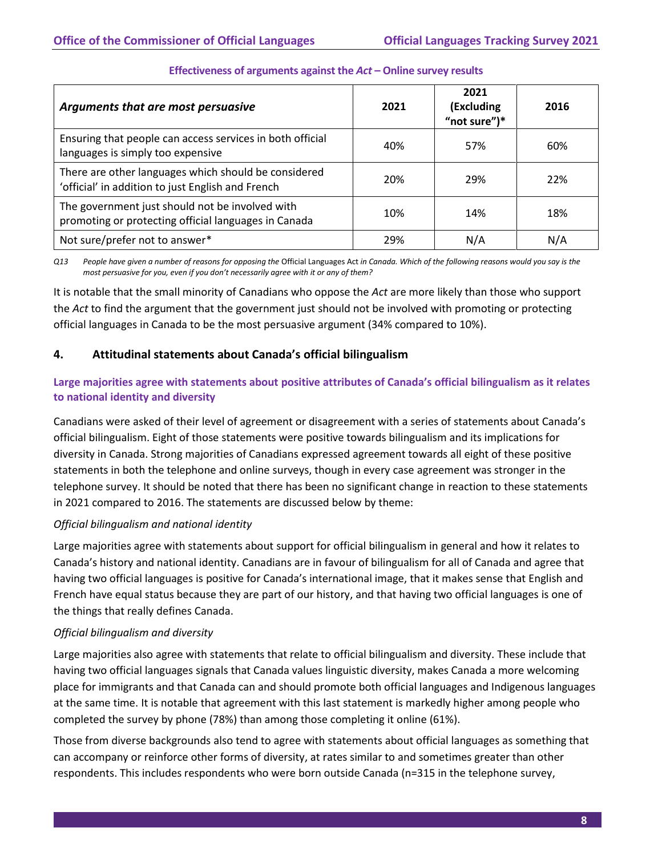| Arguments that are most persuasive                                                                        | 2021 | 2021<br>(Excluding<br>"not sure")* | 2016 |
|-----------------------------------------------------------------------------------------------------------|------|------------------------------------|------|
| Ensuring that people can access services in both official<br>languages is simply too expensive            | 40%  | 57%                                | 60%  |
| There are other languages which should be considered<br>'official' in addition to just English and French | 20%  | 29%                                | 22%  |
| The government just should not be involved with<br>promoting or protecting official languages in Canada   | 10%  | 14%                                | 18%  |
| Not sure/prefer not to answer*                                                                            | 29%  | N/A                                | N/A  |

#### **Effectiveness of arguments against the** *Act* **– Online survey results**

*Q13 People have given a number of reasons for opposing the* Official Languages Act *in Canada. Which of the following reasons would you say is the most persuasive for you, even if you don't necessarily agree with it or any of them?*

It is notable that the small minority of Canadians who oppose the *Act* are more likely than those who support the *Act* to find the argument that the government just should not be involved with promoting or protecting official languages in Canada to be the most persuasive argument (34% compared to 10%).

#### **4. Attitudinal statements about Canada's official bilingualism**

#### **Large majorities agree with statements about positive attributes of Canada's official bilingualism as it relates to national identity and diversity**

Canadians were asked of their level of agreement or disagreement with a series of statements about Canada's official bilingualism. Eight of those statements were positive towards bilingualism and its implications for diversity in Canada. Strong majorities of Canadians expressed agreement towards all eight of these positive statements in both the telephone and online surveys, though in every case agreement was stronger in the telephone survey. It should be noted that there has been no significant change in reaction to these statements in 2021 compared to 2016. The statements are discussed below by theme:

#### *Official bilingualism and national identity*

Large majorities agree with statements about support for official bilingualism in general and how it relates to Canada's history and national identity. Canadians are in favour of bilingualism for all of Canada and agree that having two official languages is positive for Canada's international image, that it makes sense that English and French have equal status because they are part of our history, and that having two official languages is one of the things that really defines Canada.

#### *Official bilingualism and diversity*

Large majorities also agree with statements that relate to official bilingualism and diversity. These include that having two official languages signals that Canada values linguistic diversity, makes Canada a more welcoming place for immigrants and that Canada can and should promote both official languages and Indigenous languages at the same time. It is notable that agreement with this last statement is markedly higher among people who completed the survey by phone (78%) than among those completing it online (61%).

Those from diverse backgrounds also tend to agree with statements about official languages as something that can accompany or reinforce other forms of diversity, at rates similar to and sometimes greater than other respondents. This includes respondents who were born outside Canada (n=315 in the telephone survey,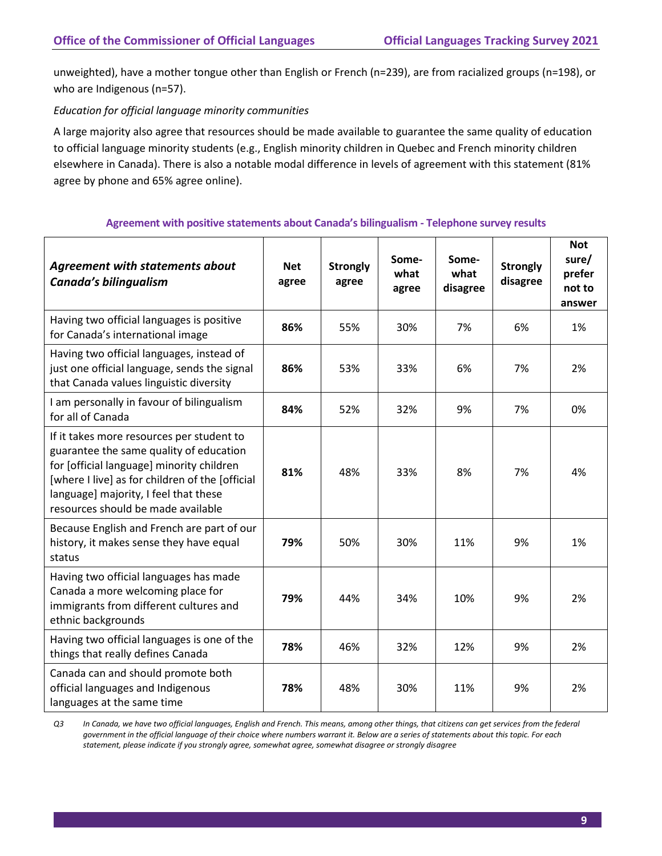unweighted), have a mother tongue other than English or French (n=239), are from racialized groups (n=198), or who are Indigenous (n=57).

#### *Education for official language minority communities*

A large majority also agree that resources should be made available to guarantee the same quality of education to official language minority students (e.g., English minority children in Quebec and French minority children elsewhere in Canada). There is also a notable modal difference in levels of agreement with this statement (81% agree by phone and 65% agree online).

| <b>Agreement with statements about</b><br>Canada's bilingualism                                                                                                                                                                                                     | <b>Net</b><br>agree | <b>Strongly</b><br>agree | Some-<br>what<br>agree | Some-<br>what<br>disagree | <b>Strongly</b><br>disagree | <b>Not</b><br>sure/<br>prefer<br>not to<br>answer |
|---------------------------------------------------------------------------------------------------------------------------------------------------------------------------------------------------------------------------------------------------------------------|---------------------|--------------------------|------------------------|---------------------------|-----------------------------|---------------------------------------------------|
| Having two official languages is positive<br>for Canada's international image                                                                                                                                                                                       | 86%                 | 55%                      | 30%                    | 7%                        | 6%                          | 1%                                                |
| Having two official languages, instead of<br>just one official language, sends the signal<br>that Canada values linguistic diversity                                                                                                                                | 86%                 | 53%                      | 33%                    | 6%                        | 7%                          | 2%                                                |
| I am personally in favour of bilingualism<br>for all of Canada                                                                                                                                                                                                      | 84%                 | 52%                      | 32%                    | 9%                        | 7%                          | 0%                                                |
| If it takes more resources per student to<br>guarantee the same quality of education<br>for [official language] minority children<br>[where I live] as for children of the [official<br>language] majority, I feel that these<br>resources should be made available | 81%                 | 48%                      | 33%                    | 8%                        | 7%                          | 4%                                                |
| Because English and French are part of our<br>history, it makes sense they have equal<br>status                                                                                                                                                                     | 79%                 | 50%                      | 30%                    | 11%                       | 9%                          | 1%                                                |
| Having two official languages has made<br>Canada a more welcoming place for<br>immigrants from different cultures and<br>ethnic backgrounds                                                                                                                         | 79%                 | 44%                      | 34%                    | 10%                       | 9%                          | 2%                                                |
| Having two official languages is one of the<br>things that really defines Canada                                                                                                                                                                                    | 78%                 | 46%                      | 32%                    | 12%                       | 9%                          | 2%                                                |
| Canada can and should promote both<br>official languages and Indigenous<br>languages at the same time                                                                                                                                                               | 78%                 | 48%                      | 30%                    | 11%                       | 9%                          | 2%                                                |

#### **Agreement with positive statements about Canada's bilingualism - Telephone survey results**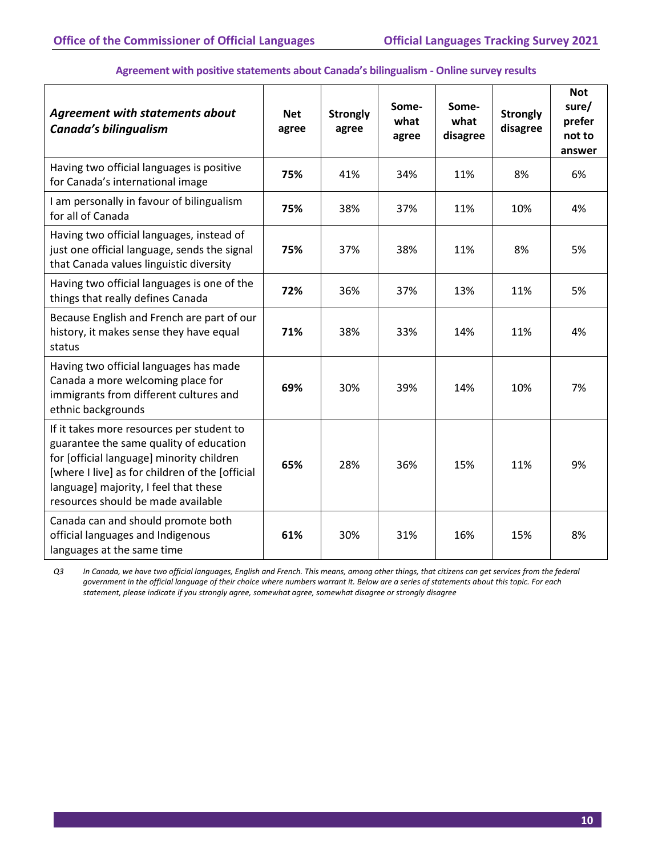#### **Agreement with positive statements about Canada's bilingualism - Online survey results** *Agreement with statements about*  **Net agree Strongly agree Somewhat agree Somewhat disagree Strongly disagree Not sure/ prefer not to answer**

| Canada's bilingualism                                                                                                                                                                                                                                               | agree | agree | what<br>agree | what<br>disagree | - 7<br>disagree | prefer<br>not to<br>answer |
|---------------------------------------------------------------------------------------------------------------------------------------------------------------------------------------------------------------------------------------------------------------------|-------|-------|---------------|------------------|-----------------|----------------------------|
| Having two official languages is positive<br>for Canada's international image                                                                                                                                                                                       | 75%   | 41%   | 34%           | 11%              | 8%              | 6%                         |
| I am personally in favour of bilingualism<br>for all of Canada                                                                                                                                                                                                      | 75%   | 38%   | 37%           | 11%              | 10%             | 4%                         |
| Having two official languages, instead of<br>just one official language, sends the signal<br>that Canada values linguistic diversity                                                                                                                                | 75%   | 37%   | 38%           | 11%              | 8%              | 5%                         |
| Having two official languages is one of the<br>things that really defines Canada                                                                                                                                                                                    | 72%   | 36%   | 37%           | 13%              | 11%             | 5%                         |
| Because English and French are part of our<br>history, it makes sense they have equal<br>status                                                                                                                                                                     | 71%   | 38%   | 33%           | 14%              | 11%             | 4%                         |
| Having two official languages has made<br>Canada a more welcoming place for<br>immigrants from different cultures and<br>ethnic backgrounds                                                                                                                         | 69%   | 30%   | 39%           | 14%              | 10%             | 7%                         |
| If it takes more resources per student to<br>guarantee the same quality of education<br>for [official language] minority children<br>[where I live] as for children of the [official<br>language] majority, I feel that these<br>resources should be made available | 65%   | 28%   | 36%           | 15%              | 11%             | 9%                         |
| Canada can and should promote both<br>official languages and Indigenous<br>languages at the same time                                                                                                                                                               | 61%   | 30%   | 31%           | 16%              | 15%             | 8%                         |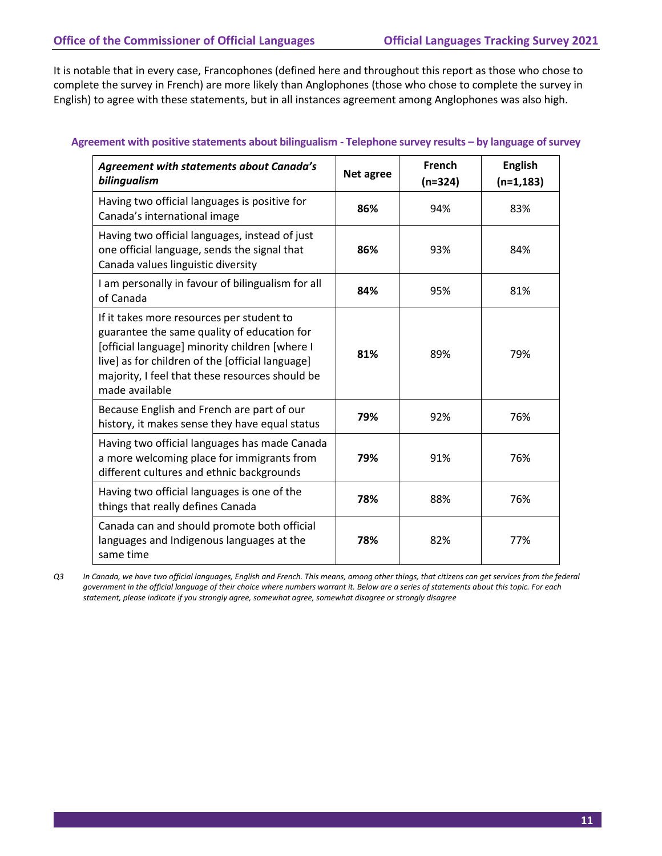It is notable that in every case, Francophones (defined here and throughout this report as those who chose to complete the survey in French) are more likely than Anglophones (those who chose to complete the survey in English) to agree with these statements, but in all instances agreement among Anglophones was also high.

| <b>Agreement with statements about Canada's</b><br>bilingualism                                                                                                                                                                                                     | Net agree | French<br>$(n=324)$ | <b>English</b><br>$(n=1, 183)$ |
|---------------------------------------------------------------------------------------------------------------------------------------------------------------------------------------------------------------------------------------------------------------------|-----------|---------------------|--------------------------------|
| Having two official languages is positive for<br>Canada's international image                                                                                                                                                                                       | 86%       | 94%                 | 83%                            |
| Having two official languages, instead of just<br>one official language, sends the signal that<br>Canada values linguistic diversity                                                                                                                                | 86%       | 93%                 | 84%                            |
| I am personally in favour of bilingualism for all<br>of Canada                                                                                                                                                                                                      | 84%       | 95%                 | 81%                            |
| If it takes more resources per student to<br>guarantee the same quality of education for<br>[official language] minority children [where I<br>live] as for children of the [official language]<br>majority, I feel that these resources should be<br>made available | 81%       | 89%                 | 79%                            |
| Because English and French are part of our<br>history, it makes sense they have equal status                                                                                                                                                                        | 79%       | 92%                 | 76%                            |
| Having two official languages has made Canada<br>a more welcoming place for immigrants from<br>different cultures and ethnic backgrounds                                                                                                                            | 79%       | 91%                 | 76%                            |
| Having two official languages is one of the<br>things that really defines Canada                                                                                                                                                                                    | 78%       | 88%                 | 76%                            |
| Canada can and should promote both official<br>languages and Indigenous languages at the<br>same time                                                                                                                                                               | 78%       | 82%                 | 77%                            |

#### **Agreement with positive statements about bilingualism - Telephone survey results – by language of survey**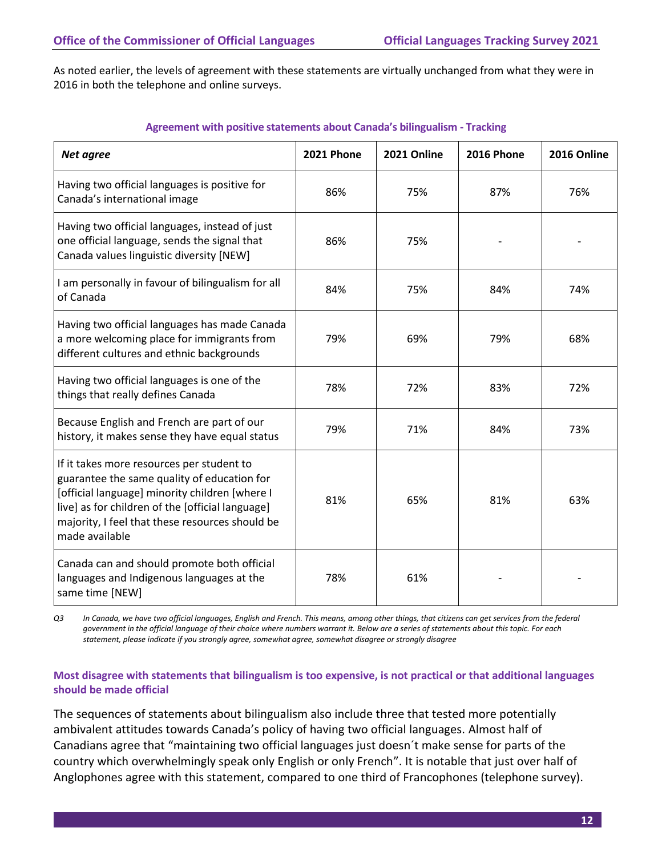As noted earlier, the levels of agreement with these statements are virtually unchanged from what they were in 2016 in both the telephone and online surveys.

| Net agree                                                                                                                                                                                                                                                           | <b>2021 Phone</b> | 2021 Online | <b>2016 Phone</b> | 2016 Online |
|---------------------------------------------------------------------------------------------------------------------------------------------------------------------------------------------------------------------------------------------------------------------|-------------------|-------------|-------------------|-------------|
| Having two official languages is positive for<br>Canada's international image                                                                                                                                                                                       | 86%               | 75%         | 87%               | 76%         |
| Having two official languages, instead of just<br>one official language, sends the signal that<br>Canada values linguistic diversity [NEW]                                                                                                                          | 86%               | 75%         |                   |             |
| I am personally in favour of bilingualism for all<br>of Canada                                                                                                                                                                                                      | 84%               | 75%         | 84%               | 74%         |
| Having two official languages has made Canada<br>a more welcoming place for immigrants from<br>different cultures and ethnic backgrounds                                                                                                                            | 79%               | 69%         | 79%               | 68%         |
| Having two official languages is one of the<br>things that really defines Canada                                                                                                                                                                                    | 78%               | 72%         | 83%               | 72%         |
| Because English and French are part of our<br>history, it makes sense they have equal status                                                                                                                                                                        | 79%               | 71%         | 84%               | 73%         |
| If it takes more resources per student to<br>guarantee the same quality of education for<br>[official language] minority children [where I<br>live] as for children of the [official language]<br>majority, I feel that these resources should be<br>made available | 81%               | 65%         | 81%               | 63%         |
| Canada can and should promote both official<br>languages and Indigenous languages at the<br>same time [NEW]                                                                                                                                                         | 78%               | 61%         |                   |             |

#### **Agreement with positive statements about Canada's bilingualism - Tracking**

*Q3 In Canada, we have two official languages, English and French. This means, among other things, that citizens can get services from the federal government in the official language of their choice where numbers warrant it. Below are a series of statements about this topic. For each statement, please indicate if you strongly agree, somewhat agree, somewhat disagree or strongly disagree*

#### **Most disagree with statements that bilingualism is too expensive, is not practical or that additional languages should be made official**

The sequences of statements about bilingualism also include three that tested more potentially ambivalent attitudes towards Canada's policy of having two official languages. Almost half of Canadians agree that "maintaining two official languages just doesn´t make sense for parts of the country which overwhelmingly speak only English or only French". It is notable that just over half of Anglophones agree with this statement, compared to one third of Francophones (telephone survey).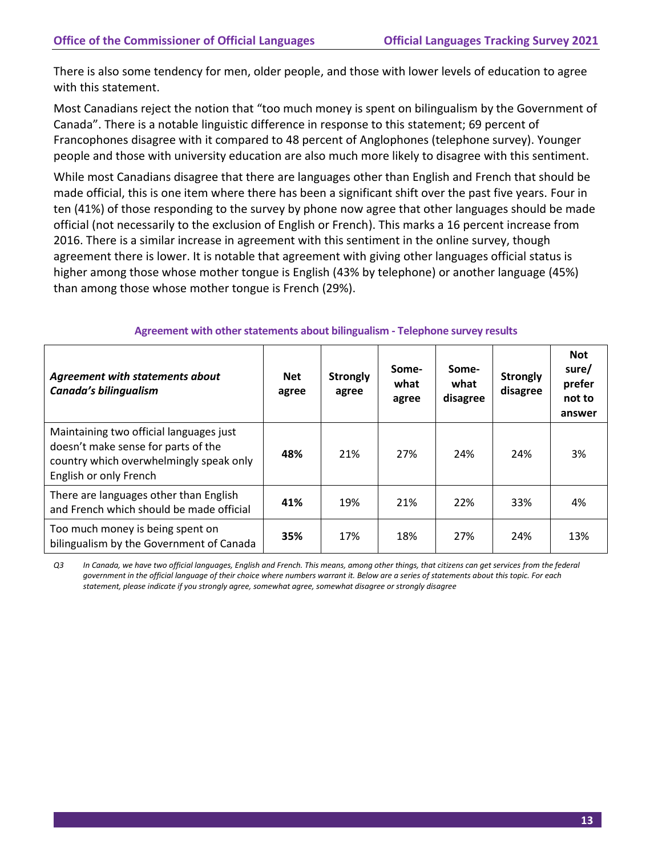There is also some tendency for men, older people, and those with lower levels of education to agree with this statement.

Most Canadians reject the notion that "too much money is spent on bilingualism by the Government of Canada". There is a notable linguistic difference in response to this statement; 69 percent of Francophones disagree with it compared to 48 percent of Anglophones (telephone survey). Younger people and those with university education are also much more likely to disagree with this sentiment.

While most Canadians disagree that there are languages other than English and French that should be made official, this is one item where there has been a significant shift over the past five years. Four in ten (41%) of those responding to the survey by phone now agree that other languages should be made official (not necessarily to the exclusion of English or French). This marks a 16 percent increase from 2016. There is a similar increase in agreement with this sentiment in the online survey, though agreement there is lower. It is notable that agreement with giving other languages official status is higher among those whose mother tongue is English (43% by telephone) or another language (45%) than among those whose mother tongue is French (29%).

| <b>Agreement with statements about</b><br>Canada's bilingualism                                                                                     | <b>Net</b><br>agree | <b>Strongly</b><br>agree | Some-<br>what<br>agree | Some-<br>what<br>disagree | <b>Strongly</b><br>disagree | <b>Not</b><br>sure/<br>prefer<br>not to<br>answer |
|-----------------------------------------------------------------------------------------------------------------------------------------------------|---------------------|--------------------------|------------------------|---------------------------|-----------------------------|---------------------------------------------------|
| Maintaining two official languages just<br>doesn't make sense for parts of the<br>country which overwhelmingly speak only<br>English or only French | 48%                 | 21%                      | 27%                    | 24%                       | 24%                         | 3%                                                |
| There are languages other than English<br>and French which should be made official                                                                  | 41%                 | 19%                      | 21%                    | 22%                       | 33%                         | 4%                                                |
| Too much money is being spent on<br>bilingualism by the Government of Canada                                                                        | 35%                 | 17%                      | 18%                    | 27%                       | 24%                         | 13%                                               |

#### **Agreement with otherstatements about bilingualism - Telephone survey results**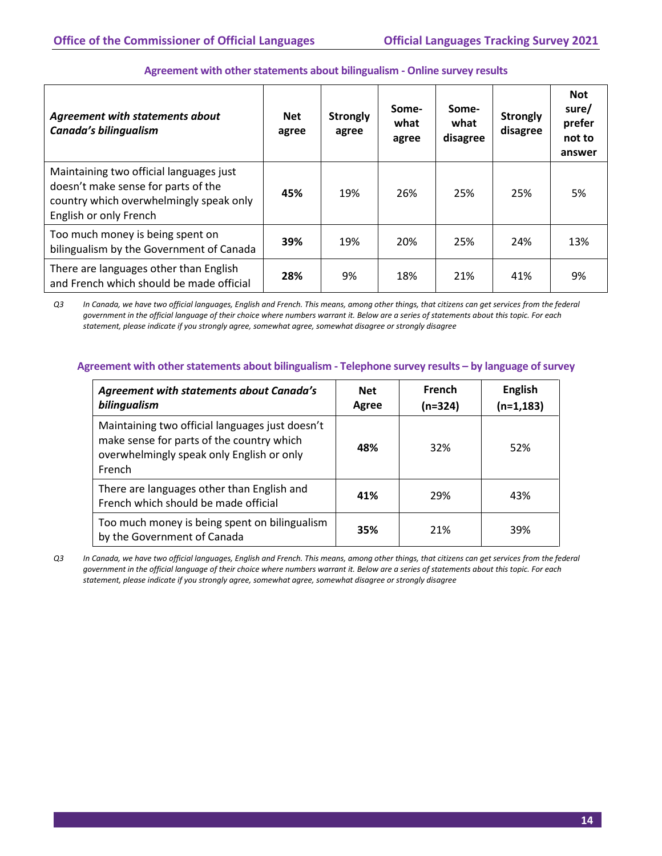| Agreement with statements about<br>Canada's bilingualism                                                                                            | <b>Net</b><br>agree | <b>Strongly</b><br>agree | Some-<br>what<br>agree | Some-<br>what<br>disagree | <b>Strongly</b><br>disagree | <b>Not</b><br>sure/<br>prefer<br>not to<br>answer |
|-----------------------------------------------------------------------------------------------------------------------------------------------------|---------------------|--------------------------|------------------------|---------------------------|-----------------------------|---------------------------------------------------|
| Maintaining two official languages just<br>doesn't make sense for parts of the<br>country which overwhelmingly speak only<br>English or only French | 45%                 | 19%                      | 26%                    | 25%                       | 25%                         | 5%                                                |
| Too much money is being spent on<br>bilingualism by the Government of Canada                                                                        | 39%                 | 19%                      | 20%                    | 25%                       | 24%                         | 13%                                               |
| There are languages other than English<br>and French which should be made official                                                                  | 28%                 | 9%                       | 18%                    | 21%                       | 41%                         | 9%                                                |

#### Agreement with other statements about bilingualism - Online survey results

*Q3 In Canada, we have two official languages, English and French. This means, among other things, that citizens can get services from the federal government in the official language of their choice where numbers warrant it. Below are a series of statements about this topic. For each statement, please indicate if you strongly agree, somewhat agree, somewhat disagree or strongly disagree*

#### **Agreement with otherstatements about bilingualism - Telephone survey results – by language of survey**

| <b>Agreement with statements about Canada's</b><br>bilingualism                                                                                     | <b>Net</b><br>Agree | French<br>(n=324) | <b>English</b><br>$(n=1, 183)$ |
|-----------------------------------------------------------------------------------------------------------------------------------------------------|---------------------|-------------------|--------------------------------|
| Maintaining two official languages just doesn't<br>make sense for parts of the country which<br>overwhelmingly speak only English or only<br>French | 48%                 | 32%               | 52%                            |
| There are languages other than English and<br>French which should be made official                                                                  | 41%                 | 29%               | 43%                            |
| Too much money is being spent on bilingualism<br>by the Government of Canada                                                                        | 35%                 | 21%               | 39%                            |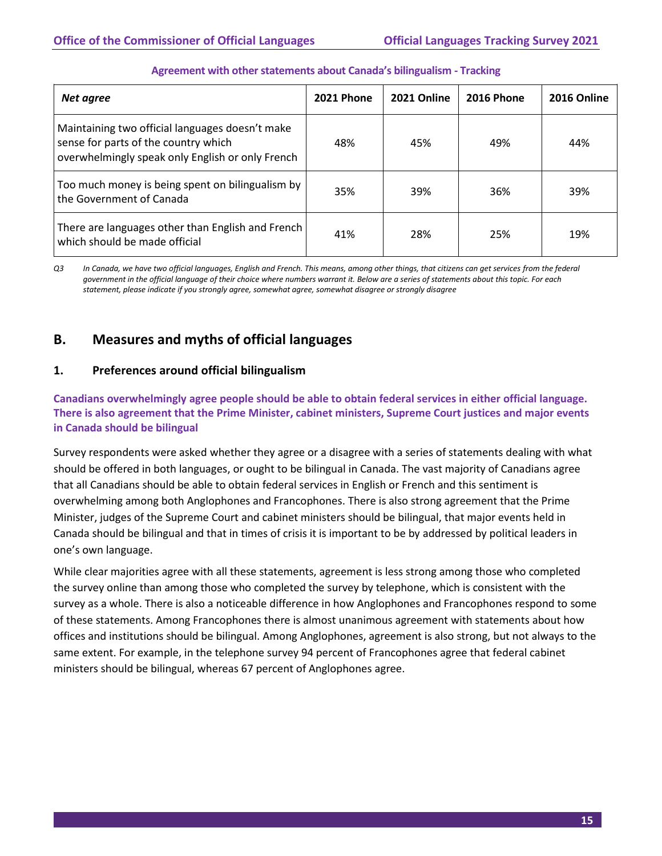| Net agree                                                                                                                                   | <b>2021 Phone</b> | 2021 Online | <b>2016 Phone</b> | 2016 Online |
|---------------------------------------------------------------------------------------------------------------------------------------------|-------------------|-------------|-------------------|-------------|
| Maintaining two official languages doesn't make<br>sense for parts of the country which<br>overwhelmingly speak only English or only French | 48%               | 45%         | 49%               | 44%         |
| Too much money is being spent on bilingualism by<br>the Government of Canada                                                                | 35%               | 39%         | 36%               | 39%         |
| There are languages other than English and French<br>which should be made official                                                          | 41%               | 28%         | 25%               | 19%         |

#### **Agreement with otherstatements about Canada's bilingualism - Tracking**

*Q3 In Canada, we have two official languages, English and French. This means, among other things, that citizens can get services from the federal government in the official language of their choice where numbers warrant it. Below are a series of statements about this topic. For each statement, please indicate if you strongly agree, somewhat agree, somewhat disagree or strongly disagree*

# <span id="page-17-0"></span>**B. Measures and myths of official languages**

#### **1. Preferences around official bilingualism**

**Canadians overwhelmingly agree people should be able to obtain federal services in either official language. There is also agreement that the Prime Minister, cabinet ministers, Supreme Court justices and major events in Canada should be bilingual**

Survey respondents were asked whether they agree or a disagree with a series of statements dealing with what should be offered in both languages, or ought to be bilingual in Canada. The vast majority of Canadians agree that all Canadians should be able to obtain federal services in English or French and this sentiment is overwhelming among both Anglophones and Francophones. There is also strong agreement that the Prime Minister, judges of the Supreme Court and cabinet ministers should be bilingual, that major events held in Canada should be bilingual and that in times of crisis it is important to be by addressed by political leaders in one's own language.

While clear majorities agree with all these statements, agreement is less strong among those who completed the survey online than among those who completed the survey by telephone, which is consistent with the survey as a whole. There is also a noticeable difference in how Anglophones and Francophones respond to some of these statements. Among Francophones there is almost unanimous agreement with statements about how offices and institutions should be bilingual. Among Anglophones, agreement is also strong, but not always to the same extent. For example, in the telephone survey 94 percent of Francophones agree that federal cabinet ministers should be bilingual, whereas 67 percent of Anglophones agree.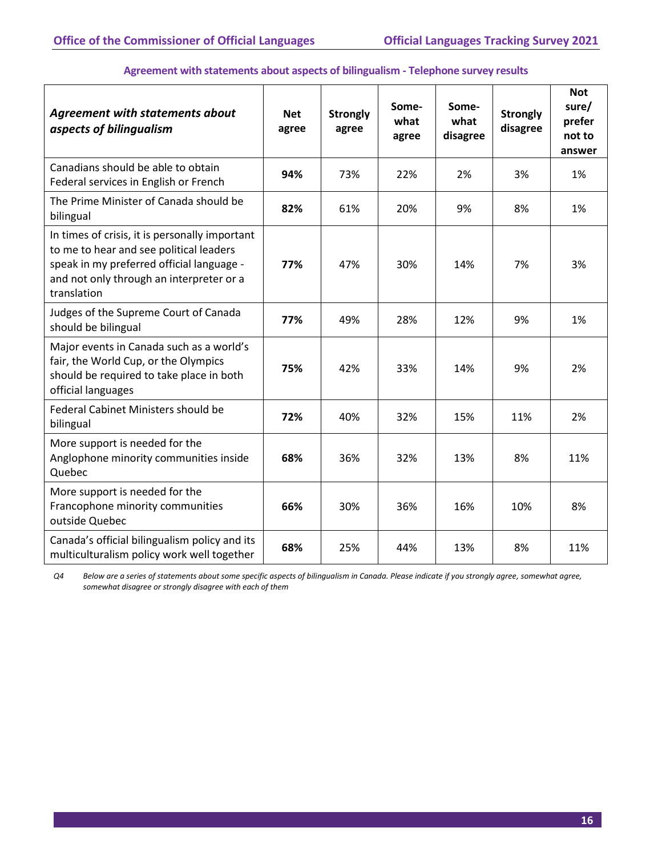| <b>Agreement with statements about</b><br>aspects of bilingualism                                                                                                                                 | <b>Net</b><br>agree | <b>Strongly</b><br>agree | Some-<br>what<br>agree | Some-<br>what<br>disagree | <b>Strongly</b><br>disagree | <b>Not</b><br>sure/<br>prefer<br>not to<br>answer |
|---------------------------------------------------------------------------------------------------------------------------------------------------------------------------------------------------|---------------------|--------------------------|------------------------|---------------------------|-----------------------------|---------------------------------------------------|
| Canadians should be able to obtain<br>Federal services in English or French                                                                                                                       | 94%                 | 73%                      | 22%                    | 2%                        | 3%                          | 1%                                                |
| The Prime Minister of Canada should be<br>bilingual                                                                                                                                               | 82%                 | 61%                      | 20%                    | 9%                        | 8%                          | 1%                                                |
| In times of crisis, it is personally important<br>to me to hear and see political leaders<br>speak in my preferred official language -<br>and not only through an interpreter or a<br>translation | 77%                 | 47%                      | 30%                    | 14%                       | 7%                          | 3%                                                |
| Judges of the Supreme Court of Canada<br>should be bilingual                                                                                                                                      | 77%                 | 49%                      | 28%                    | 12%                       | 9%                          | 1%                                                |
| Major events in Canada such as a world's<br>fair, the World Cup, or the Olympics<br>should be required to take place in both<br>official languages                                                | 75%                 | 42%                      | 33%                    | 14%                       | 9%                          | 2%                                                |
| Federal Cabinet Ministers should be<br>bilingual                                                                                                                                                  | 72%                 | 40%                      | 32%                    | 15%                       | 11%                         | 2%                                                |
| More support is needed for the<br>Anglophone minority communities inside<br>Quebec                                                                                                                | 68%                 | 36%                      | 32%                    | 13%                       | 8%                          | 11%                                               |
| More support is needed for the<br>Francophone minority communities<br>outside Quebec                                                                                                              | 66%                 | 30%                      | 36%                    | 16%                       | 10%                         | 8%                                                |
| Canada's official bilingualism policy and its<br>multiculturalism policy work well together                                                                                                       | 68%                 | 25%                      | 44%                    | 13%                       | 8%                          | 11%                                               |

#### **Agreement with statements about aspects of bilingualism - Telephone survey results**

*Q4 Below are a series of statements about some specific aspects of bilingualism in Canada. Please indicate if you strongly agree, somewhat agree, somewhat disagree or strongly disagree with each of them*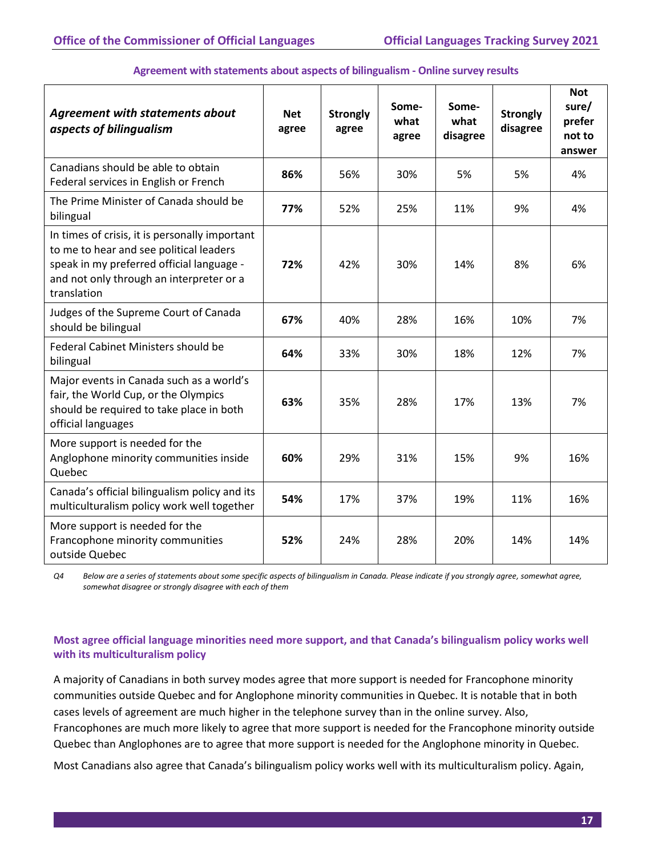| <b>Agreement with statements about</b><br>aspects of bilingualism                                                                                                                                 | <b>Net</b><br>agree | <b>Strongly</b><br>agree | Some-<br>what<br>agree | Some-<br>what<br>disagree | <b>Strongly</b><br>disagree | <b>Not</b><br>sure/<br>prefer<br>not to<br>answer |
|---------------------------------------------------------------------------------------------------------------------------------------------------------------------------------------------------|---------------------|--------------------------|------------------------|---------------------------|-----------------------------|---------------------------------------------------|
| Canadians should be able to obtain<br>Federal services in English or French                                                                                                                       | 86%                 | 56%                      | 30%                    | 5%                        | 5%                          | 4%                                                |
| The Prime Minister of Canada should be<br>bilingual                                                                                                                                               | 77%                 | 52%                      | 25%                    | 11%                       | 9%                          | 4%                                                |
| In times of crisis, it is personally important<br>to me to hear and see political leaders<br>speak in my preferred official language -<br>and not only through an interpreter or a<br>translation | 72%                 | 42%                      | 30%                    | 14%                       | 8%                          | 6%                                                |
| Judges of the Supreme Court of Canada<br>should be bilingual                                                                                                                                      | 67%                 | 40%                      | 28%                    | 16%                       | 10%                         | 7%                                                |
| Federal Cabinet Ministers should be<br>bilingual                                                                                                                                                  | 64%                 | 33%                      | 30%                    | 18%                       | 12%                         | 7%                                                |
| Major events in Canada such as a world's<br>fair, the World Cup, or the Olympics<br>should be required to take place in both<br>official languages                                                | 63%                 | 35%                      | 28%                    | 17%                       | 13%                         | 7%                                                |
| More support is needed for the<br>Anglophone minority communities inside<br>Quebec                                                                                                                | 60%                 | 29%                      | 31%                    | 15%                       | 9%                          | 16%                                               |
| Canada's official bilingualism policy and its<br>multiculturalism policy work well together                                                                                                       | 54%                 | 17%                      | 37%                    | 19%                       | 11%                         | 16%                                               |
| More support is needed for the<br>Francophone minority communities<br>outside Quebec                                                                                                              | 52%                 | 24%                      | 28%                    | 20%                       | 14%                         | 14%                                               |

#### **Agreement with statements about aspects of bilingualism - Online survey results**

*Q4 Below are a series of statements about some specific aspects of bilingualism in Canada. Please indicate if you strongly agree, somewhat agree, somewhat disagree or strongly disagree with each of them*

#### **Most agree official language minorities need more support, and that Canada's bilingualism policy works well with its multiculturalism policy**

A majority of Canadians in both survey modes agree that more support is needed for Francophone minority communities outside Quebec and for Anglophone minority communities in Quebec. It is notable that in both cases levels of agreement are much higher in the telephone survey than in the online survey. Also, Francophones are much more likely to agree that more support is needed for the Francophone minority outside Quebec than Anglophones are to agree that more support is needed for the Anglophone minority in Quebec.

Most Canadians also agree that Canada's bilingualism policy works well with its multiculturalism policy. Again,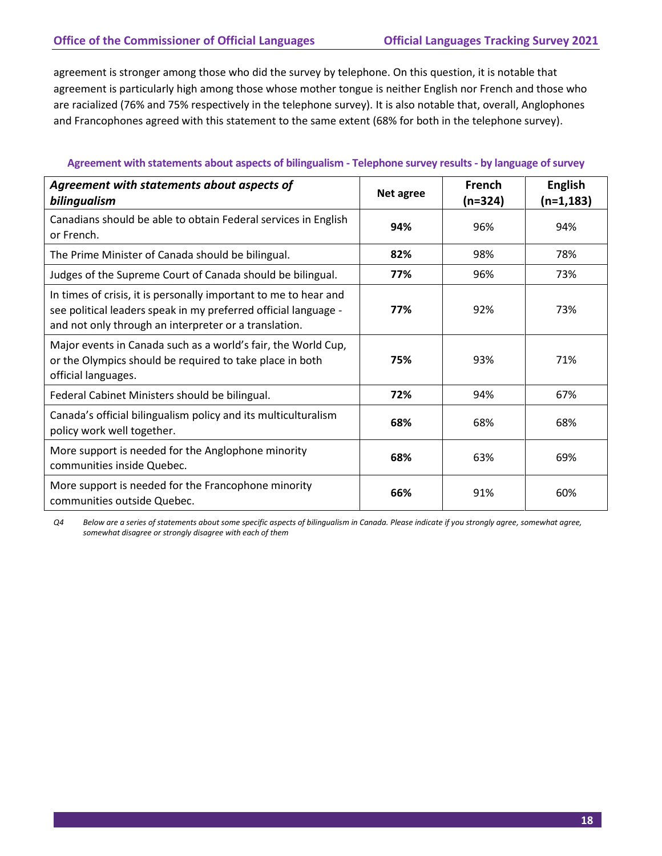agreement is stronger among those who did the survey by telephone. On this question, it is notable that agreement is particularly high among those whose mother tongue is neither English nor French and those who are racialized (76% and 75% respectively in the telephone survey). It is also notable that, overall, Anglophones and Francophones agreed with this statement to the same extent (68% for both in the telephone survey).

#### **Agreement with statements about aspects of bilingualism - Telephone survey results- by language of survey**

| Agreement with statements about aspects of<br>bilingualism                                                                                                                                   | Net agree | French<br>$(n=324)$ | <b>English</b><br>$(n=1, 183)$ |
|----------------------------------------------------------------------------------------------------------------------------------------------------------------------------------------------|-----------|---------------------|--------------------------------|
| Canadians should be able to obtain Federal services in English<br>or French.                                                                                                                 | 94%       | 96%                 | 94%                            |
| The Prime Minister of Canada should be bilingual.                                                                                                                                            | 82%       | 98%                 | 78%                            |
| Judges of the Supreme Court of Canada should be bilingual.                                                                                                                                   | 77%       | 96%                 | 73%                            |
| In times of crisis, it is personally important to me to hear and<br>see political leaders speak in my preferred official language -<br>and not only through an interpreter or a translation. | 77%       | 92%                 | 73%                            |
| Major events in Canada such as a world's fair, the World Cup,<br>or the Olympics should be required to take place in both<br>official languages.                                             | 75%       | 93%                 | 71%                            |
| Federal Cabinet Ministers should be bilingual.                                                                                                                                               | 72%       | 94%                 | 67%                            |
| Canada's official bilingualism policy and its multiculturalism<br>policy work well together.                                                                                                 | 68%       | 68%                 | 68%                            |
| More support is needed for the Anglophone minority<br>communities inside Quebec.                                                                                                             | 68%       | 63%                 | 69%                            |
| More support is needed for the Francophone minority<br>communities outside Quebec.                                                                                                           | 66%       | 91%                 | 60%                            |

*Q4 Below are a series of statements about some specific aspects of bilingualism in Canada. Please indicate if you strongly agree, somewhat agree, somewhat disagree or strongly disagree with each of them*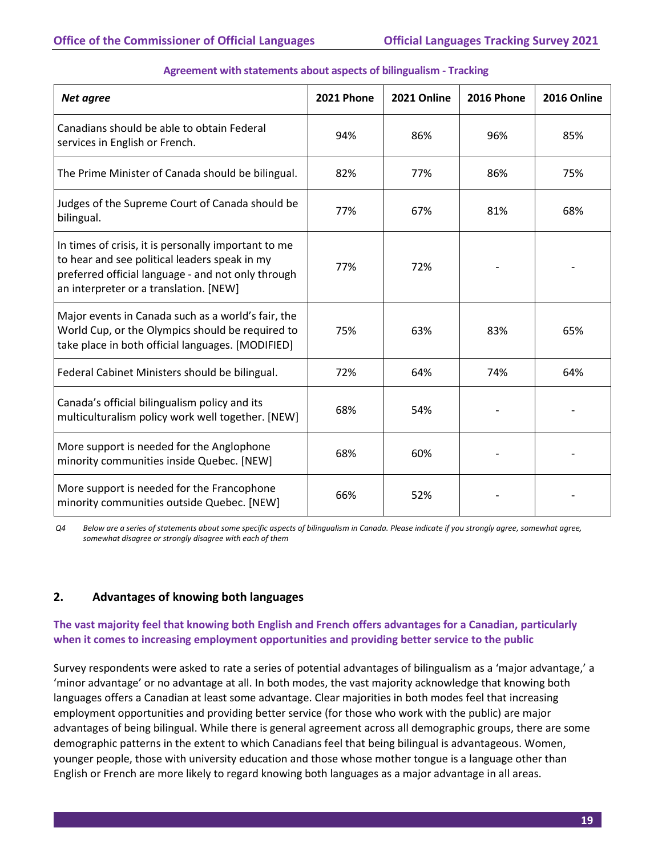| Net agree                                                                                                                                                                                             | 2021 Phone | 2021 Online | <b>2016 Phone</b> | 2016 Online |
|-------------------------------------------------------------------------------------------------------------------------------------------------------------------------------------------------------|------------|-------------|-------------------|-------------|
| Canadians should be able to obtain Federal<br>services in English or French.                                                                                                                          | 94%        | 86%         | 96%               | 85%         |
| The Prime Minister of Canada should be bilingual.                                                                                                                                                     | 82%        | 77%         | 86%               | 75%         |
| Judges of the Supreme Court of Canada should be<br>bilingual.                                                                                                                                         | 77%        | 67%         | 81%               | 68%         |
| In times of crisis, it is personally important to me<br>to hear and see political leaders speak in my<br>preferred official language - and not only through<br>an interpreter or a translation. [NEW] | 77%        | 72%         |                   |             |
| Major events in Canada such as a world's fair, the<br>World Cup, or the Olympics should be required to<br>take place in both official languages. [MODIFIED]                                           | 75%        | 63%         | 83%               | 65%         |
| Federal Cabinet Ministers should be bilingual.                                                                                                                                                        | 72%        | 64%         | 74%               | 64%         |
| Canada's official bilingualism policy and its<br>multiculturalism policy work well together. [NEW]                                                                                                    | 68%        | 54%         |                   |             |
| More support is needed for the Anglophone<br>minority communities inside Quebec. [NEW]                                                                                                                | 68%        | 60%         |                   |             |
| More support is needed for the Francophone<br>minority communities outside Quebec. [NEW]                                                                                                              | 66%        | 52%         |                   |             |

#### **Agreement with statements about aspects of bilingualism - Tracking**

*Q4 Below are a series of statements about some specific aspects of bilingualism in Canada. Please indicate if you strongly agree, somewhat agree, somewhat disagree or strongly disagree with each of them*

#### **2. Advantages of knowing both languages**

#### **The vast majority feel that knowing both English and French offers advantages for a Canadian, particularly when it comes to increasing employment opportunities and providing better service to the public**

Survey respondents were asked to rate a series of potential advantages of bilingualism as a 'major advantage,' a 'minor advantage' or no advantage at all. In both modes, the vast majority acknowledge that knowing both languages offers a Canadian at least some advantage. Clear majorities in both modes feel that increasing employment opportunities and providing better service (for those who work with the public) are major advantages of being bilingual. While there is general agreement across all demographic groups, there are some demographic patterns in the extent to which Canadians feel that being bilingual is advantageous. Women, younger people, those with university education and those whose mother tongue is a language other than English or French are more likely to regard knowing both languages as a major advantage in all areas.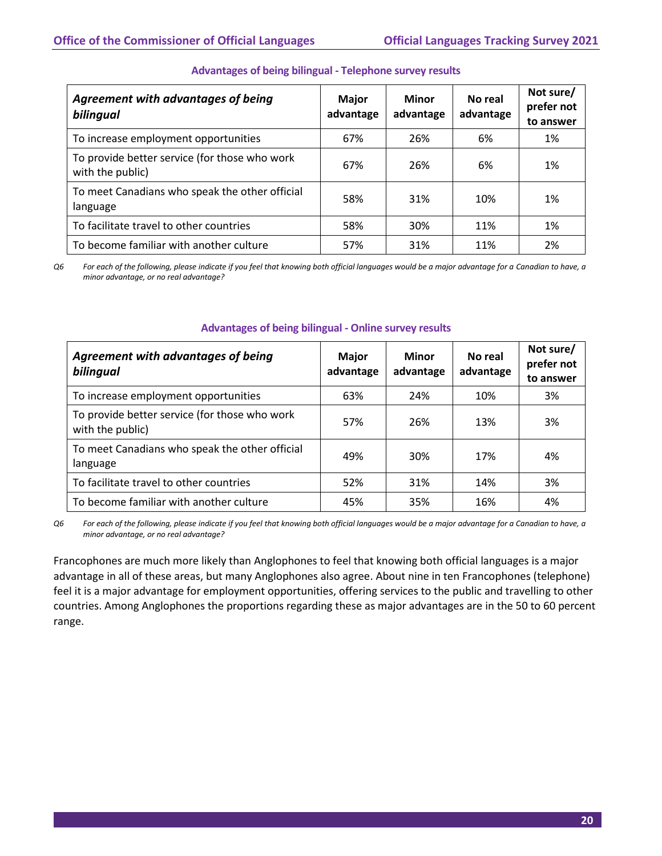| Agreement with advantages of being<br>bilingual                   | <b>Major</b><br>advantage | <b>Minor</b><br>advantage | No real<br>advantage | Not sure/<br>prefer not<br>to answer |
|-------------------------------------------------------------------|---------------------------|---------------------------|----------------------|--------------------------------------|
| To increase employment opportunities                              | 67%                       | 26%                       | 6%                   | 1%                                   |
| To provide better service (for those who work<br>with the public) | 67%                       | 26%                       | 6%                   | 1%                                   |
| To meet Canadians who speak the other official<br>language        | 58%                       | 31%                       | 10%                  | 1%                                   |
| To facilitate travel to other countries                           | 58%                       | 30%                       | 11%                  | 1%                                   |
| To become familiar with another culture                           | 57%                       | 31%                       | 11%                  | 2%                                   |

#### **Advantages of being bilingual - Telephone survey results**

*Q6 For each of the following, please indicate if you feel that knowing both official languages would be a major advantage for a Canadian to have, a minor advantage, or no real advantage?* 

| <b>Agreement with advantages of being</b><br>bilingual            | <b>Major</b><br>advantage | Minor<br>advantage | No real<br>advantage | Not sure/<br>prefer not<br>to answer |
|-------------------------------------------------------------------|---------------------------|--------------------|----------------------|--------------------------------------|
| To increase employment opportunities                              | 63%                       | 24%                | 10%                  | 3%                                   |
| To provide better service (for those who work<br>with the public) | 57%                       | 26%                | 13%                  | 3%                                   |
| To meet Canadians who speak the other official<br>language        | 49%                       | 30%                | 17%                  | 4%                                   |
| To facilitate travel to other countries                           | 52%                       | 31%                | 14%                  | 3%                                   |
| To become familiar with another culture                           | 45%                       | 35%                | 16%                  | 4%                                   |

#### **Advantages of being bilingual - Online survey results**

*Q6 For each of the following, please indicate if you feel that knowing both official languages would be a major advantage for a Canadian to have, a minor advantage, or no real advantage?*

Francophones are much more likely than Anglophones to feel that knowing both official languages is a major advantage in all of these areas, but many Anglophones also agree. About nine in ten Francophones (telephone) feel it is a major advantage for employment opportunities, offering services to the public and travelling to other countries. Among Anglophones the proportions regarding these as major advantages are in the 50 to 60 percent range.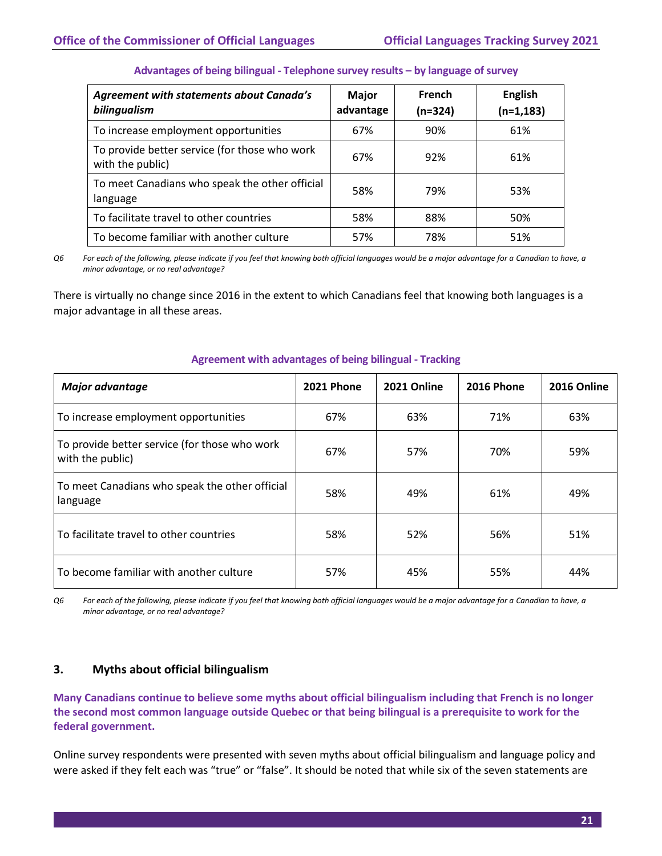| <b>Agreement with statements about Canada's</b><br>bilingualism   | <b>Major</b><br>advantage | French<br>$(n=324)$ | <b>English</b><br>$(n=1, 183)$ |
|-------------------------------------------------------------------|---------------------------|---------------------|--------------------------------|
| To increase employment opportunities                              | 67%                       | 90%                 | 61%                            |
| To provide better service (for those who work<br>with the public) | 67%                       | 92%                 | 61%                            |
| To meet Canadians who speak the other official<br>language        | 58%                       | 79%                 | 53%                            |
| To facilitate travel to other countries                           | 58%                       | 88%                 | 50%                            |
| To become familiar with another culture                           | 57%                       | 78%                 | 51%                            |

#### **Advantages of being bilingual - Telephone survey results – by language of survey**

*Q6 For each of the following, please indicate if you feel that knowing both official languages would be a major advantage for a Canadian to have, a minor advantage, or no real advantage?* 

There is virtually no change since 2016 in the extent to which Canadians feel that knowing both languages is a major advantage in all these areas.

| <b>Major advantage</b>                                            | <b>2021 Phone</b> | 2021 Online | <b>2016 Phone</b> | 2016 Online |
|-------------------------------------------------------------------|-------------------|-------------|-------------------|-------------|
| To increase employment opportunities                              | 67%               | 63%         | 71%               | 63%         |
| To provide better service (for those who work<br>with the public) | 67%               | 57%         | 70%               | 59%         |
| To meet Canadians who speak the other official<br>language        | 58%               | 49%         | 61%               | 49%         |
| To facilitate travel to other countries                           | 58%               | 52%         | 56%               | 51%         |
| To become familiar with another culture                           | 57%               | 45%         | 55%               | 44%         |

#### **Agreement with advantages of being bilingual - Tracking**

*Q6 For each of the following, please indicate if you feel that knowing both official languages would be a major advantage for a Canadian to have, a minor advantage, or no real advantage?* 

#### **3. Myths about official bilingualism**

**Many Canadians continue to believe some myths about official bilingualism including that French is no longer the second most common language outside Quebec or that being bilingual is a prerequisite to work for the federal government.**

Online survey respondents were presented with seven myths about official bilingualism and language policy and were asked if they felt each was "true" or "false". It should be noted that while six of the seven statements are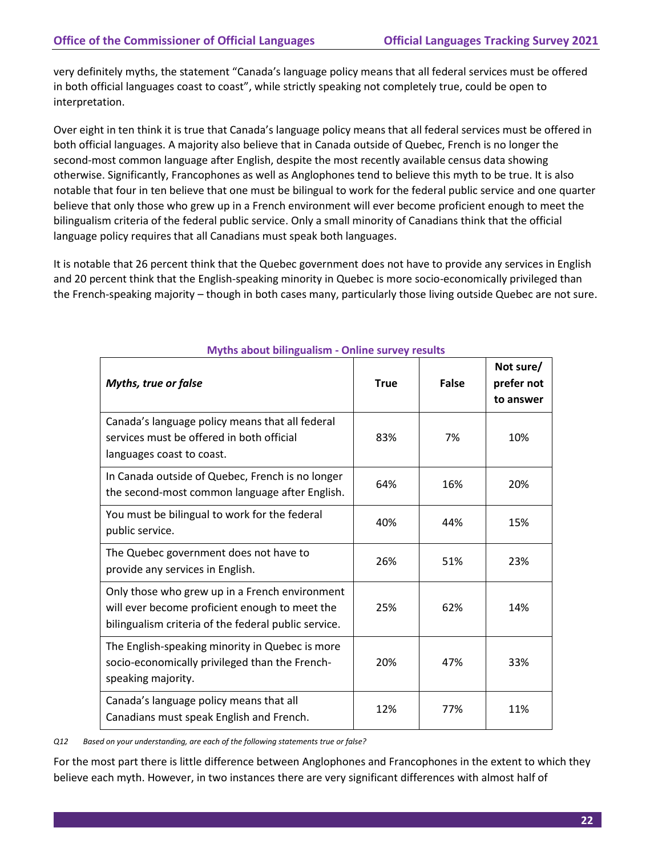very definitely myths, the statement "Canada's language policy means that all federal services must be offered in both official languages coast to coast", while strictly speaking not completely true, could be open to interpretation.

Over eight in ten think it is true that Canada's language policy means that all federal services must be offered in both official languages. A majority also believe that in Canada outside of Quebec, French is no longer the second-most common language after English, despite the most recently available census data showing otherwise. Significantly, Francophones as well as Anglophones tend to believe this myth to be true. It is also notable that four in ten believe that one must be bilingual to work for the federal public service and one quarter believe that only those who grew up in a French environment will ever become proficient enough to meet the bilingualism criteria of the federal public service. Only a small minority of Canadians think that the official language policy requires that all Canadians must speak both languages.

It is notable that 26 percent think that the Quebec government does not have to provide any services in English and 20 percent think that the English-speaking minority in Quebec is more socio-economically privileged than the French-speaking majority – though in both cases many, particularly those living outside Quebec are not sure.

| <b>Myths, true or false</b>                                                                                                                              | <b>True</b> | <b>False</b> | Not sure/<br>prefer not<br>to answer |
|----------------------------------------------------------------------------------------------------------------------------------------------------------|-------------|--------------|--------------------------------------|
| Canada's language policy means that all federal<br>services must be offered in both official<br>languages coast to coast.                                | 83%         | 7%           | 10%                                  |
| In Canada outside of Quebec, French is no longer<br>the second-most common language after English.                                                       | 64%         | 16%          | 20%                                  |
| You must be bilingual to work for the federal<br>public service.                                                                                         | 40%         | 44%          | 15%                                  |
| The Quebec government does not have to<br>provide any services in English.                                                                               | 26%         | 51%          | 23%                                  |
| Only those who grew up in a French environment<br>will ever become proficient enough to meet the<br>bilingualism criteria of the federal public service. | 25%         | 62%          | 14%                                  |
| The English-speaking minority in Quebec is more<br>socio-economically privileged than the French-<br>speaking majority.                                  | 20%         | 47%          | 33%                                  |
| Canada's language policy means that all<br>Canadians must speak English and French.                                                                      | 12%         | 77%          | 11%                                  |

#### **Myths about bilingualism - Online survey results**

*Q12 Based on your understanding, are each of the following statements true or false?*

For the most part there is little difference between Anglophones and Francophones in the extent to which they believe each myth. However, in two instances there are very significant differences with almost half of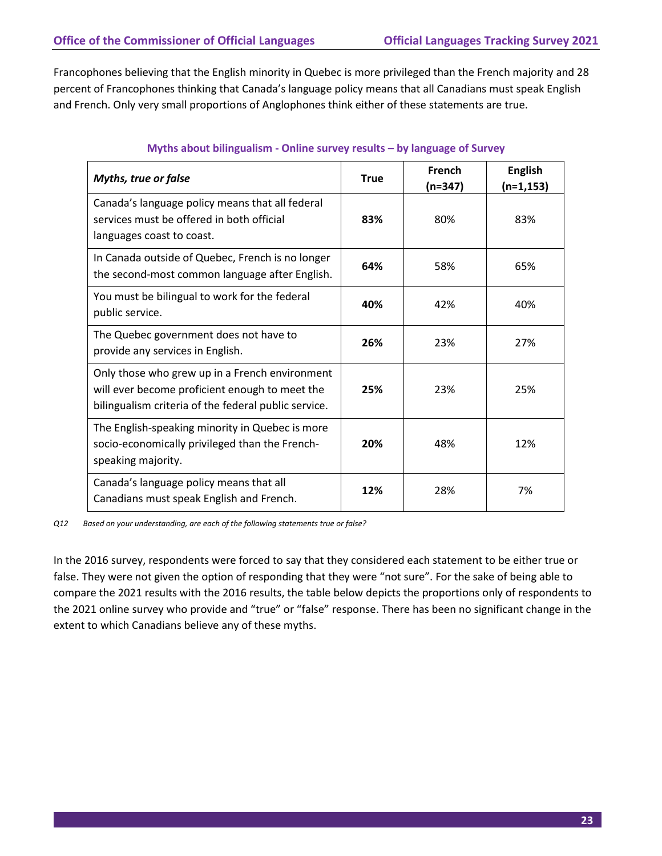Francophones believing that the English minority in Quebec is more privileged than the French majority and 28 percent of Francophones thinking that Canada's language policy means that all Canadians must speak English and French. Only very small proportions of Anglophones think either of these statements are true.

| <b>Myths, true or false</b>                                                                                                                              | <b>True</b> | French<br>$(n=347)$ | <b>English</b><br>$(n=1, 153)$ |
|----------------------------------------------------------------------------------------------------------------------------------------------------------|-------------|---------------------|--------------------------------|
| Canada's language policy means that all federal<br>services must be offered in both official<br>languages coast to coast.                                | 83%         | 80%                 | 83%                            |
| In Canada outside of Quebec, French is no longer<br>the second-most common language after English.                                                       | 64%         | 58%                 | 65%                            |
| You must be bilingual to work for the federal<br>public service.                                                                                         | 40%         | 42%                 | 40%                            |
| The Quebec government does not have to<br>provide any services in English.                                                                               | 26%         | 23%                 | 27%                            |
| Only those who grew up in a French environment<br>will ever become proficient enough to meet the<br>bilingualism criteria of the federal public service. | 25%         | 23%                 | 25%                            |
| The English-speaking minority in Quebec is more<br>socio-economically privileged than the French-<br>speaking majority.                                  | 20%         | 48%                 | 12%                            |
| Canada's language policy means that all<br>Canadians must speak English and French.                                                                      | 12%         | 28%                 | 7%                             |

#### **Myths about bilingualism - Online survey results – by language of Survey**

*Q12 Based on your understanding, are each of the following statements true or false?*

In the 2016 survey, respondents were forced to say that they considered each statement to be either true or false. They were not given the option of responding that they were "not sure". For the sake of being able to compare the 2021 results with the 2016 results, the table below depicts the proportions only of respondents to the 2021 online survey who provide and "true" or "false" response. There has been no significant change in the extent to which Canadians believe any of these myths.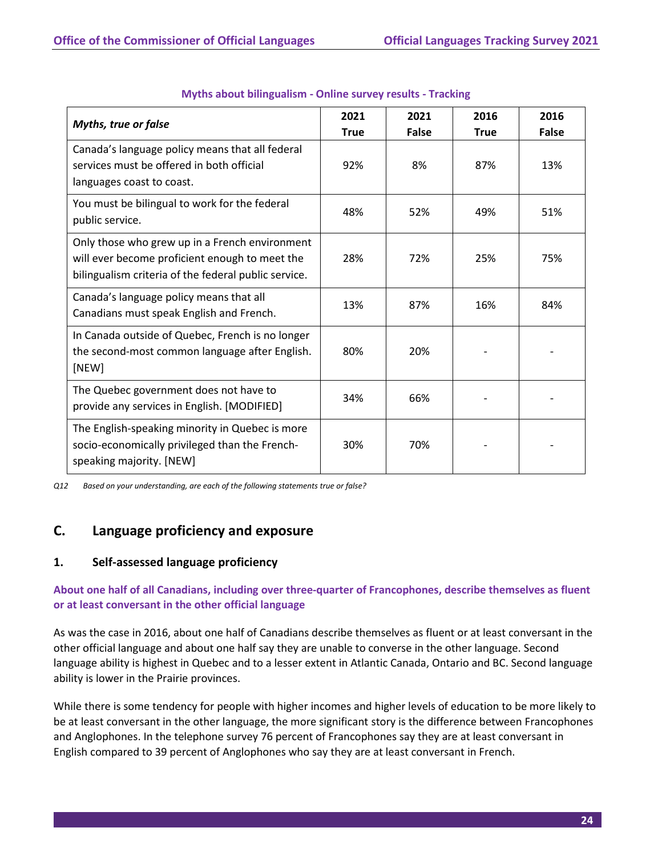| <b>Myths, true or false</b>                                                                                                                              | 2021<br><b>True</b> | 2021<br><b>False</b> | 2016<br><b>True</b> | 2016<br><b>False</b> |
|----------------------------------------------------------------------------------------------------------------------------------------------------------|---------------------|----------------------|---------------------|----------------------|
| Canada's language policy means that all federal<br>services must be offered in both official<br>languages coast to coast.                                | 92%                 | 8%                   | 87%                 | 13%                  |
| You must be bilingual to work for the federal<br>public service.                                                                                         | 48%                 | 52%                  | 49%                 | 51%                  |
| Only those who grew up in a French environment<br>will ever become proficient enough to meet the<br>bilingualism criteria of the federal public service. | 28%                 | 72%                  | 25%                 | 75%                  |
| Canada's language policy means that all<br>Canadians must speak English and French.                                                                      | 13%                 | 87%                  | 16%                 | 84%                  |
| In Canada outside of Quebec, French is no longer<br>the second-most common language after English.<br>[NEW]                                              | 80%                 | 20%                  |                     |                      |
| The Quebec government does not have to<br>provide any services in English. [MODIFIED]                                                                    | 34%                 | 66%                  |                     |                      |
| The English-speaking minority in Quebec is more<br>socio-economically privileged than the French-<br>speaking majority. [NEW]                            | 30%                 | 70%                  |                     |                      |

#### **Myths about bilingualism - Online survey results - Tracking**

*Q12 Based on your understanding, are each of the following statements true or false?*

# <span id="page-26-0"></span>**C. Language proficiency and exposure**

#### **1. Self-assessed language proficiency**

#### **About one half of all Canadians, including over three-quarter of Francophones, describe themselves as fluent or at least conversant in the other official language**

As was the case in 2016, about one half of Canadians describe themselves as fluent or at least conversant in the other official language and about one half say they are unable to converse in the other language. Second language ability is highest in Quebec and to a lesser extent in Atlantic Canada, Ontario and BC. Second language ability is lower in the Prairie provinces.

While there is some tendency for people with higher incomes and higher levels of education to be more likely to be at least conversant in the other language, the more significant story is the difference between Francophones and Anglophones. In the telephone survey 76 percent of Francophones say they are at least conversant in English compared to 39 percent of Anglophones who say they are at least conversant in French.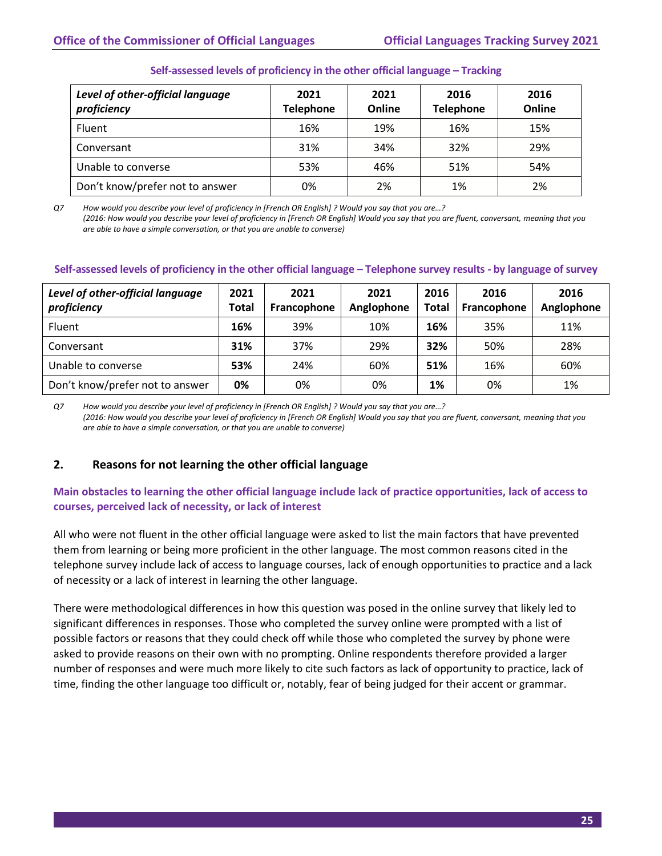#### **Self-assessed levels of proficiency in the other official language – Tracking**

| Level of other-official language<br>proficiency | 2021<br><b>Telephone</b> | 2021<br>Online | 2016<br><b>Telephone</b> | 2016<br>Online |
|-------------------------------------------------|--------------------------|----------------|--------------------------|----------------|
| Fluent                                          | 16%                      | 19%            | 16%                      | 15%            |
| Conversant                                      | 31%                      | 34%            | 32%                      | 29%            |
| Unable to converse                              | 53%                      | 46%            | 51%                      | 54%            |
| Don't know/prefer not to answer                 | 0%                       | 2%             | 1%                       | 2%             |

*Q7 How would you describe your level of proficiency in [French OR English] ? Would you say that you are…? (2016: How would you describe your level of proficiency in [French OR English] Would you say that you are fluent, conversant, meaning that you are able to have a simple conversation, or that you are unable to converse)*

#### **Self-assessed levels of proficiency in the other official language – Telephone survey results - by language of survey**

| Level of other-official language<br>proficiency | 2021<br>Total | 2021<br>Francophone | 2021<br>Anglophone | 2016<br>Total | 2016<br>Francophone | 2016<br>Anglophone |
|-------------------------------------------------|---------------|---------------------|--------------------|---------------|---------------------|--------------------|
| <b>Fluent</b>                                   | 16%           | 39%                 | 10%                | 16%           | 35%                 | 11%                |
| Conversant                                      | 31%           | 37%                 | 29%                | 32%           | 50%                 | 28%                |
| Unable to converse                              | 53%           | 24%                 | 60%                | 51%           | 16%                 | 60%                |
| Don't know/prefer not to answer                 | 0%            | 0%                  | 0%                 | 1%            | 0%                  | 1%                 |

*Q7 How would you describe your level of proficiency in [French OR English] ? Would you say that you are…? (2016: How would you describe your level of proficiency in [French OR English] Would you say that you are fluent, conversant, meaning that you are able to have a simple conversation, or that you are unable to converse)*

#### **2. Reasons for not learning the other official language**

#### **Main obstacles to learning the other official language include lack of practice opportunities, lack of access to courses, perceived lack of necessity, or lack of interest**

All who were not fluent in the other official language were asked to list the main factors that have prevented them from learning or being more proficient in the other language. The most common reasons cited in the telephone survey include lack of access to language courses, lack of enough opportunities to practice and a lack of necessity or a lack of interest in learning the other language.

There were methodological differences in how this question was posed in the online survey that likely led to significant differences in responses. Those who completed the survey online were prompted with a list of possible factors or reasons that they could check off while those who completed the survey by phone were asked to provide reasons on their own with no prompting. Online respondents therefore provided a larger number of responses and were much more likely to cite such factors as lack of opportunity to practice, lack of time, finding the other language too difficult or, notably, fear of being judged for their accent or grammar.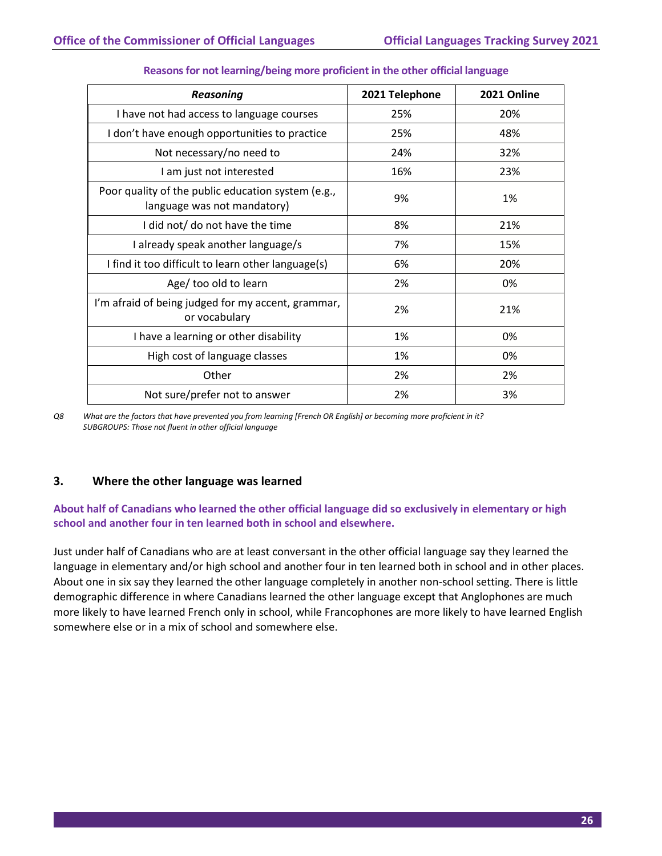| <b>Reasoning</b>                                                                  | 2021 Telephone | 2021 Online |
|-----------------------------------------------------------------------------------|----------------|-------------|
| I have not had access to language courses                                         | 25%            | 20%         |
| I don't have enough opportunities to practice                                     | 25%            | 48%         |
| Not necessary/no need to                                                          | 24%            | 32%         |
| I am just not interested                                                          | 16%            | 23%         |
| Poor quality of the public education system (e.g.,<br>language was not mandatory) | 9%             | 1%          |
| I did not/ do not have the time                                                   | 8%             | 21%         |
| I already speak another language/s                                                | 7%             | 15%         |
| I find it too difficult to learn other language(s)                                | 6%             | 20%         |
| Age/ too old to learn                                                             | 2%             | 0%          |
| I'm afraid of being judged for my accent, grammar,<br>or vocabulary               | 2%             | 21%         |
| I have a learning or other disability                                             | 1%             | 0%          |
| High cost of language classes                                                     | 1%             | 0%          |
| Other                                                                             | 2%             | 2%          |
| Not sure/prefer not to answer                                                     | 2%             | 3%          |

#### **Reasons for not learning/being more proficient in the other official language**

*Q8 What are the factors that have prevented you from learning [French OR English] or becoming more proficient in it? SUBGROUPS: Those not fluent in other official language*

#### **3. Where the other language was learned**

**About half of Canadians who learned the other official language did so exclusively in elementary or high school and another four in ten learned both in school and elsewhere.**

Just under half of Canadians who are at least conversant in the other official language say they learned the language in elementary and/or high school and another four in ten learned both in school and in other places. About one in six say they learned the other language completely in another non-school setting. There is little demographic difference in where Canadians learned the other language except that Anglophones are much more likely to have learned French only in school, while Francophones are more likely to have learned English somewhere else or in a mix of school and somewhere else.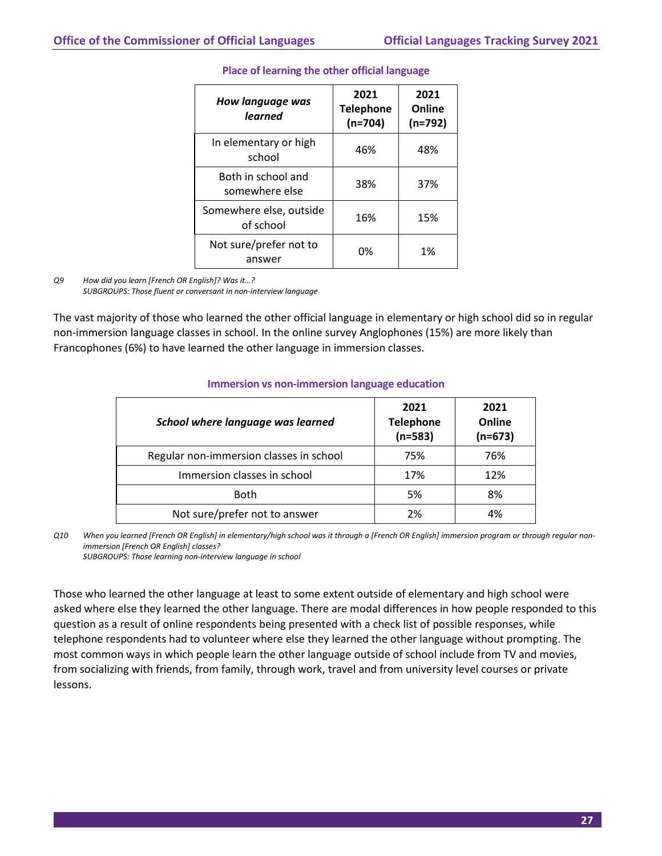| How language was<br>learned          | 2021<br><b>Telephone</b><br>$(n=704)$ | 2021<br>Online<br>$(n=792)$ |
|--------------------------------------|---------------------------------------|-----------------------------|
| In elementary or high<br>school      | 46%                                   | 48%                         |
| Both in school and<br>somewhere else | 38%                                   | 37%                         |
| Somewhere else, outside<br>of school | 16%                                   | 15%                         |
| Not sure/prefer not to<br>answer     | 0%                                    | 1%                          |

#### **Place of learning the other official language**

*Q9 How did you learn [French OR English]? Was it…? SUBGROUPS: Those fluent or conversant in non-interview language*

The vast majority of those who learned the other official language in elementary or high school did so in regular non-immersion language classes in school. In the online survey Anglophones (15%) are more likely than Francophones (6%) to have learned the other language in immersion classes.

| School where language was learned       | 2021<br><b>Telephone</b><br>$(n=583)$ | 2021<br>Online<br>$(n=673)$ |
|-----------------------------------------|---------------------------------------|-----------------------------|
| Regular non-immersion classes in school | 75%                                   | 76%                         |
| Immersion classes in school             | 17%                                   | 12%                         |
| <b>Both</b>                             | 5%                                    | 8%                          |
| Not sure/prefer not to answer           | 2%                                    | 4%                          |

#### **Immersion vs non-immersion language education**

*Q10 When you learned [French OR English] in elementary/high school was it through a [French OR English] immersion program or through regular nonimmersion [French OR English] classes?*

*SUBGROUPS: Those learning non-interview language in school*

Those who learned the other language at least to some extent outside of elementary and high school were asked where else they learned the other language. There are modal differences in how people responded to this question as a result of online respondents being presented with a check list of possible responses, while telephone respondents had to volunteer where else they learned the other language without prompting. The most common ways in which people learn the other language outside of school include from TV and movies, from socializing with friends, from family, through work, travel and from university level courses or private lessons.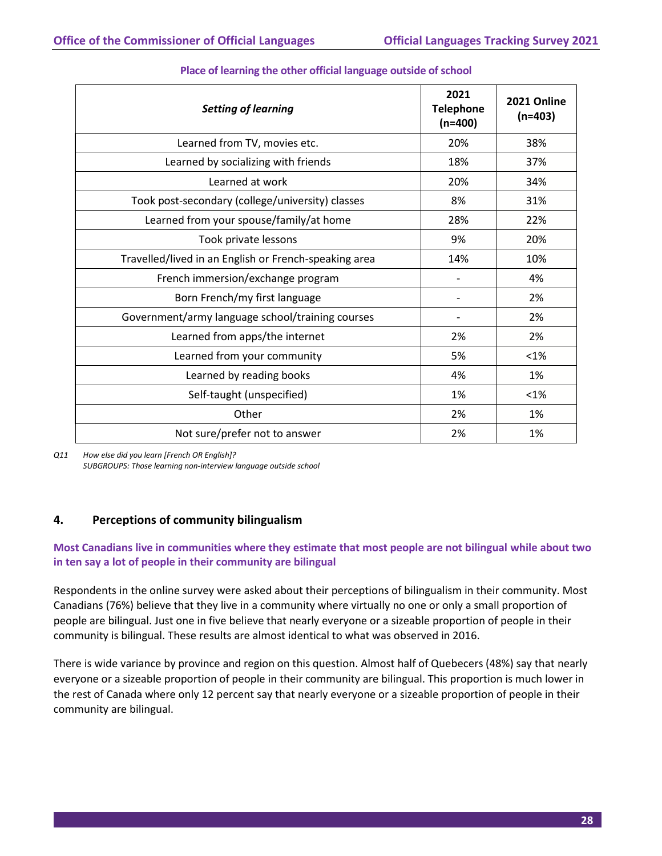| <b>Setting of learning</b>                            | 2021<br><b>Telephone</b><br>$(n=400)$ | 2021 Online<br>$(n=403)$ |
|-------------------------------------------------------|---------------------------------------|--------------------------|
| Learned from TV, movies etc.                          | 20%                                   | 38%                      |
| Learned by socializing with friends                   | 18%                                   | 37%                      |
| Learned at work                                       | 20%                                   | 34%                      |
| Took post-secondary (college/university) classes      | 8%                                    | 31%                      |
| Learned from your spouse/family/at home               | 28%                                   | 22%                      |
| Took private lessons                                  | 9%                                    | 20%                      |
| Travelled/lived in an English or French-speaking area | 14%                                   | 10%                      |
| French immersion/exchange program                     |                                       | 4%                       |
| Born French/my first language                         |                                       | 2%                       |
| Government/army language school/training courses      |                                       | 2%                       |
| Learned from apps/the internet                        | 2%                                    | 2%                       |
| Learned from your community                           | 5%                                    | $< 1\%$                  |
| Learned by reading books                              | 4%                                    | 1%                       |
| Self-taught (unspecified)                             | 1%                                    | $< 1\%$                  |
| Other                                                 | 2%                                    | 1%                       |
| Not sure/prefer not to answer                         | 2%                                    | 1%                       |

#### **Place of learning the other official language outside of school**

*Q11 How else did you learn [French OR English]? SUBGROUPS: Those learning non-interview language outside school*

#### **4. Perceptions of community bilingualism**

#### **Most Canadians live in communities where they estimate that most people are not bilingual while about two in ten say a lot of people in their community are bilingual**

Respondents in the online survey were asked about their perceptions of bilingualism in their community. Most Canadians (76%) believe that they live in a community where virtually no one or only a small proportion of people are bilingual. Just one in five believe that nearly everyone or a sizeable proportion of people in their community is bilingual. These results are almost identical to what was observed in 2016.

There is wide variance by province and region on this question. Almost half of Quebecers (48%) say that nearly everyone or a sizeable proportion of people in their community are bilingual. This proportion is much lower in the rest of Canada where only 12 percent say that nearly everyone or a sizeable proportion of people in their community are bilingual.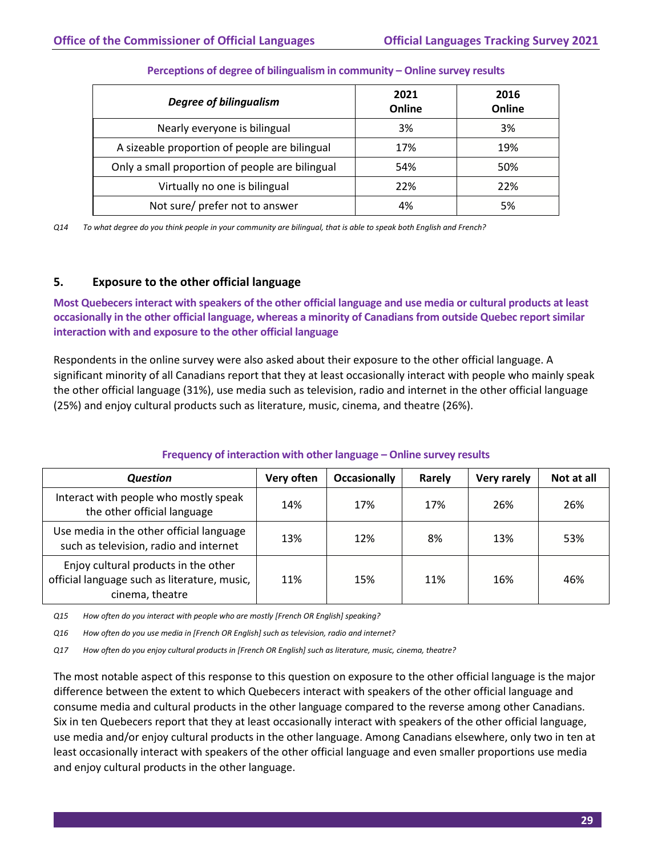| <b>Degree of bilingualism</b>                   | 2021<br>Online | 2016<br>Online |
|-------------------------------------------------|----------------|----------------|
| Nearly everyone is bilingual                    | 3%             | 3%             |
| A sizeable proportion of people are bilingual   | 17%            | 19%            |
| Only a small proportion of people are bilingual | 54%            | 50%            |
| Virtually no one is bilingual                   | 22%            | 22%            |
| Not sure/ prefer not to answer                  | 4%             | 5%             |

#### **Perceptions of degree of bilingualism in community – Online survey results**

*Q14 To what degree do you think people in your community are bilingual, that is able to speak both English and French?*

#### **5. Exposure to the other official language**

**Most Quebecers interact with speakers of the other official language and use media or cultural products at least occasionally in the other official language, whereas a minority of Canadians from outside Quebec report similar interaction with and exposure to the other official language**

Respondents in the online survey were also asked about their exposure to the other official language. A significant minority of all Canadians report that they at least occasionally interact with people who mainly speak the other official language (31%), use media such as television, radio and internet in the other official language (25%) and enjoy cultural products such as literature, music, cinema, and theatre (26%).

#### **Frequency of interaction with other language – Online survey results**

| Question                                                                                                | Very often | <b>Occasionally</b> | Rarely | Very rarely | Not at all |
|---------------------------------------------------------------------------------------------------------|------------|---------------------|--------|-------------|------------|
| Interact with people who mostly speak<br>the other official language                                    | 14%        | 17%                 | 17%    | 26%         | 26%        |
| Use media in the other official language<br>such as television, radio and internet                      | 13%        | 12%                 | 8%     | 13%         | 53%        |
| Enjoy cultural products in the other<br>official language such as literature, music,<br>cinema, theatre | 11%        | 15%                 | 11%    | 16%         | 46%        |

*Q15 How often do you interact with people who are mostly [French OR English] speaking?*

*Q16 How often do you use media in [French OR English] such as television, radio and internet?* 

*Q17 How often do you enjoy cultural products in [French OR English] such as literature, music, cinema, theatre?*

The most notable aspect of this response to this question on exposure to the other official language is the major difference between the extent to which Quebecers interact with speakers of the other official language and consume media and cultural products in the other language compared to the reverse among other Canadians. Six in ten Quebecers report that they at least occasionally interact with speakers of the other official language, use media and/or enjoy cultural products in the other language. Among Canadians elsewhere, only two in ten at least occasionally interact with speakers of the other official language and even smaller proportions use media and enjoy cultural products in the other language.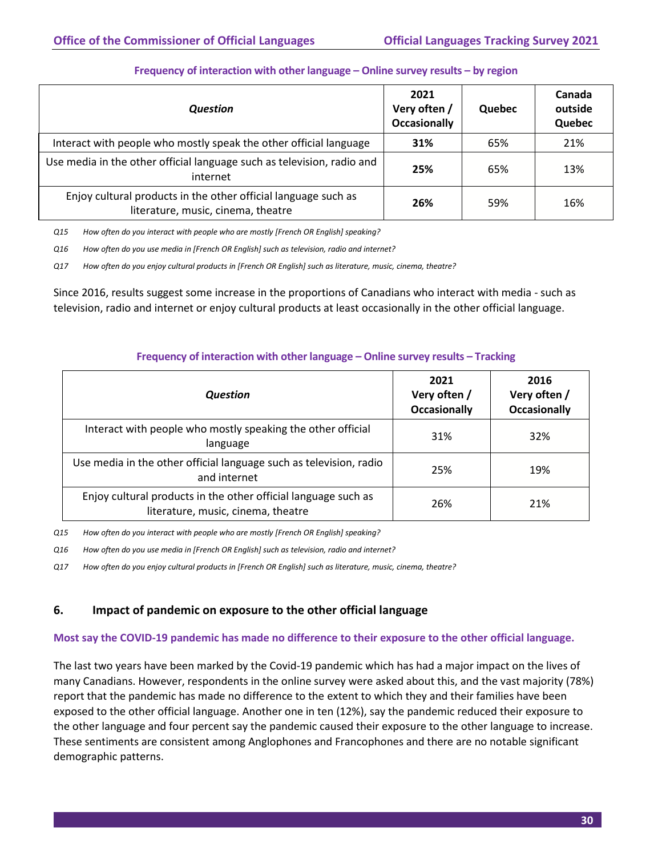| <b>Question</b>                                                                                      | 2021<br>Very often /<br><b>Occasionally</b> | Quebec | Canada<br>outside<br>Quebec |
|------------------------------------------------------------------------------------------------------|---------------------------------------------|--------|-----------------------------|
| Interact with people who mostly speak the other official language                                    | 31%                                         | 65%    | 21%                         |
| Use media in the other official language such as television, radio and<br>internet                   | 25%                                         | 65%    | 13%                         |
| Enjoy cultural products in the other official language such as<br>literature, music, cinema, theatre | 26%                                         | 59%    | 16%                         |

#### **Frequency of interaction with other language – Online survey results – by region**

*Q15 How often do you interact with people who are mostly [French OR English] speaking?*

*Q16 How often do you use media in [French OR English] such as television, radio and internet?* 

*Q17 How often do you enjoy cultural products in [French OR English] such as literature, music, cinema, theatre?*

Since 2016, results suggest some increase in the proportions of Canadians who interact with media - such as television, radio and internet or enjoy cultural products at least occasionally in the other official language.

| Question                                                                                             | 2021<br>Very often /<br><b>Occasionally</b> | 2016<br>Very often /<br><b>Occasionally</b> |
|------------------------------------------------------------------------------------------------------|---------------------------------------------|---------------------------------------------|
| Interact with people who mostly speaking the other official<br>language                              | 31%                                         | 32%                                         |
| Use media in the other official language such as television, radio<br>and internet                   | 25%                                         | 19%                                         |
| Enjoy cultural products in the other official language such as<br>literature, music, cinema, theatre | 26%                                         | 21%                                         |

#### **Frequency of interaction with other language – Online survey results – Tracking**

*Q15 How often do you interact with people who are mostly [French OR English] speaking?*

*Q16 How often do you use media in [French OR English] such as television, radio and internet?* 

*Q17 How often do you enjoy cultural products in [French OR English] such as literature, music, cinema, theatre?*

#### **6. Impact of pandemic on exposure to the other official language**

#### **Most say the COVID-19 pandemic has made no difference to their exposure to the other official language.**

The last two years have been marked by the Covid-19 pandemic which has had a major impact on the lives of many Canadians. However, respondents in the online survey were asked about this, and the vast majority (78%) report that the pandemic has made no difference to the extent to which they and their families have been exposed to the other official language. Another one in ten (12%), say the pandemic reduced their exposure to the other language and four percent say the pandemic caused their exposure to the other language to increase. These sentiments are consistent among Anglophones and Francophones and there are no notable significant demographic patterns.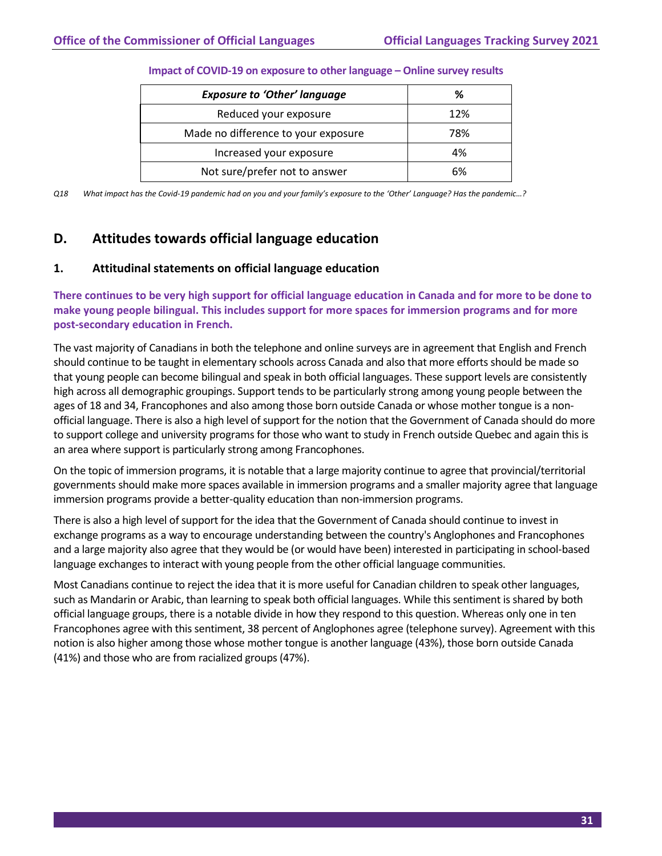| <b>Exposure to 'Other' language</b> | ℅   |
|-------------------------------------|-----|
| Reduced your exposure               | 12% |
| Made no difference to your exposure | 78% |
| Increased your exposure             | 4%  |
| Not sure/prefer not to answer       | 6%  |

#### **Impact of COVID-19 on exposure to other language – Online survey results**

*Q18 What impact has the Covid-19 pandemic had on you and your family's exposure to the 'Other' Language? Has the pandemic…?*

# <span id="page-33-0"></span>**D. Attitudes towards official language education**

#### **1. Attitudinal statements on official language education**

**There continues to be very high support for official language education in Canada and for more to be done to make young people bilingual. This includes support for more spaces for immersion programs and for more post-secondary education in French.**

The vast majority of Canadians in both the telephone and online surveys are in agreement that English and French should continue to be taught in elementary schools across Canada and also that more efforts should be made so that young people can become bilingual and speak in both official languages. These support levels are consistently high across all demographic groupings. Support tends to be particularly strong among young people between the ages of 18 and 34, Francophones and also among those born outside Canada or whose mother tongue is a nonofficial language. There is also a high level of support for the notion that the Government of Canada should do more to support college and university programs for those who want to study in French outside Quebec and again this is an area where support is particularly strong among Francophones.

On the topic of immersion programs, it is notable that a large majority continue to agree that provincial/territorial governments should make more spaces available in immersion programs and a smaller majority agree that language immersion programs provide a better-quality education than non-immersion programs.

There is also a high level of support for the idea that the Government of Canada should continue to invest in exchange programs as a way to encourage understanding between the country's Anglophones and Francophones and a large majority also agree that they would be (or would have been) interested in participating in school-based language exchanges to interact with young people from the other official language communities.

Most Canadians continue to reject the idea that it is more useful for Canadian children to speak other languages, such as Mandarin or Arabic, than learning to speak both official languages. While this sentiment is shared by both official language groups, there is a notable divide in how they respond to this question. Whereas only one in ten Francophones agree with this sentiment, 38 percent of Anglophones agree (telephone survey). Agreement with this notion is also higher among those whose mother tongue is another language (43%), those born outside Canada (41%) and those who are from racialized groups (47%).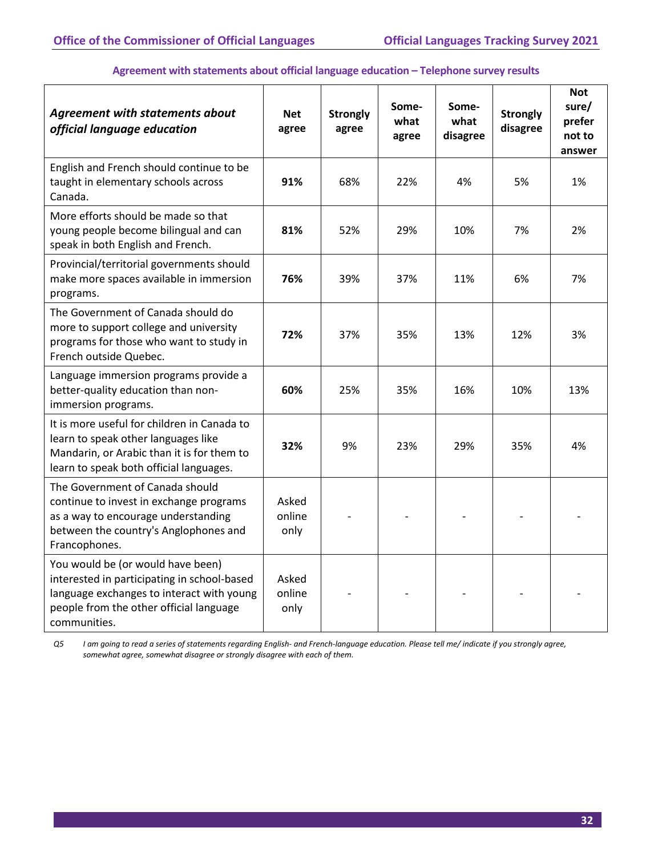#### **Agreement with statements about official language education – Telephone survey results**

| <b>Agreement with statements about</b><br>official language education                                                                                                                    | <b>Net</b><br>agree     | <b>Strongly</b><br>agree | Some-<br>what<br>agree | Some-<br>what<br>disagree | <b>Strongly</b><br>disagree | <b>Not</b><br>sure/<br>prefer<br>not to<br>answer |
|------------------------------------------------------------------------------------------------------------------------------------------------------------------------------------------|-------------------------|--------------------------|------------------------|---------------------------|-----------------------------|---------------------------------------------------|
| English and French should continue to be<br>taught in elementary schools across<br>Canada.                                                                                               | 91%                     | 68%                      | 22%                    | 4%                        | 5%                          | 1%                                                |
| More efforts should be made so that<br>young people become bilingual and can<br>speak in both English and French.                                                                        | 81%                     | 52%                      | 29%                    | 10%                       | 7%                          | 2%                                                |
| Provincial/territorial governments should<br>make more spaces available in immersion<br>programs.                                                                                        | 76%                     | 39%                      | 37%                    | 11%                       | 6%                          | 7%                                                |
| The Government of Canada should do<br>more to support college and university<br>programs for those who want to study in<br>French outside Quebec.                                        | 72%                     | 37%                      | 35%                    | 13%                       | 12%                         | 3%                                                |
| Language immersion programs provide a<br>better-quality education than non-<br>immersion programs.                                                                                       | 60%                     | 25%                      | 35%                    | 16%                       | 10%                         | 13%                                               |
| It is more useful for children in Canada to<br>learn to speak other languages like<br>Mandarin, or Arabic than it is for them to<br>learn to speak both official languages.              | 32%                     | 9%                       | 23%                    | 29%                       | 35%                         | 4%                                                |
| The Government of Canada should<br>continue to invest in exchange programs<br>as a way to encourage understanding<br>between the country's Anglophones and<br>Francophones.              | Asked<br>online<br>only |                          |                        |                           |                             |                                                   |
| You would be (or would have been)<br>interested in participating in school-based<br>language exchanges to interact with young<br>people from the other official language<br>communities. | Asked<br>online<br>only |                          |                        |                           |                             |                                                   |

*Q5 I am going to read a series of statements regarding English- and French-language education. Please tell me/ indicate if you strongly agree, somewhat agree, somewhat disagree or strongly disagree with each of them.*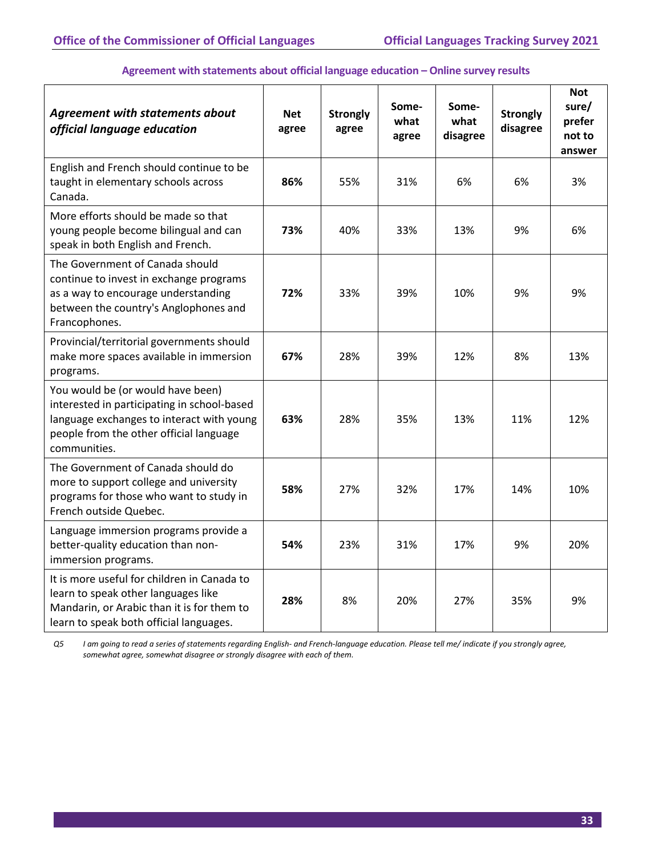| <b>Agreement with statements about</b><br>official language education                                                                                                                    | <b>Net</b><br>agree | <b>Strongly</b><br>agree | Some-<br>what<br>agree | Some-<br>what<br>disagree | <b>Strongly</b><br>disagree | <b>Not</b><br>sure/<br>prefer<br>not to<br>answer |
|------------------------------------------------------------------------------------------------------------------------------------------------------------------------------------------|---------------------|--------------------------|------------------------|---------------------------|-----------------------------|---------------------------------------------------|
| English and French should continue to be<br>taught in elementary schools across<br>Canada.                                                                                               | 86%                 | 55%                      | 31%                    | 6%                        | 6%                          | 3%                                                |
| More efforts should be made so that<br>young people become bilingual and can<br>speak in both English and French.                                                                        | 73%                 | 40%                      | 33%                    | 13%                       | 9%                          | 6%                                                |
| The Government of Canada should<br>continue to invest in exchange programs<br>as a way to encourage understanding<br>between the country's Anglophones and<br>Francophones.              | 72%                 | 33%                      | 39%                    | 10%                       | 9%                          | 9%                                                |
| Provincial/territorial governments should<br>make more spaces available in immersion<br>programs.                                                                                        | 67%                 | 28%                      | 39%                    | 12%                       | 8%                          | 13%                                               |
| You would be (or would have been)<br>interested in participating in school-based<br>language exchanges to interact with young<br>people from the other official language<br>communities. | 63%                 | 28%                      | 35%                    | 13%                       | 11%                         | 12%                                               |
| The Government of Canada should do<br>more to support college and university<br>programs for those who want to study in<br>French outside Quebec.                                        | 58%                 | 27%                      | 32%                    | 17%                       | 14%                         | 10%                                               |
| Language immersion programs provide a<br>better-quality education than non-<br>immersion programs.                                                                                       | 54%                 | 23%                      | 31%                    | 17%                       | 9%                          | 20%                                               |
| It is more useful for children in Canada to<br>learn to speak other languages like<br>Mandarin, or Arabic than it is for them to<br>learn to speak both official languages.              | 28%                 | 8%                       | 20%                    | 27%                       | 35%                         | 9%                                                |

#### **Agreement with statements about official language education – Online survey results**

*Q5 I am going to read a series of statements regarding English- and French-language education. Please tell me/ indicate if you strongly agree, somewhat agree, somewhat disagree or strongly disagree with each of them.*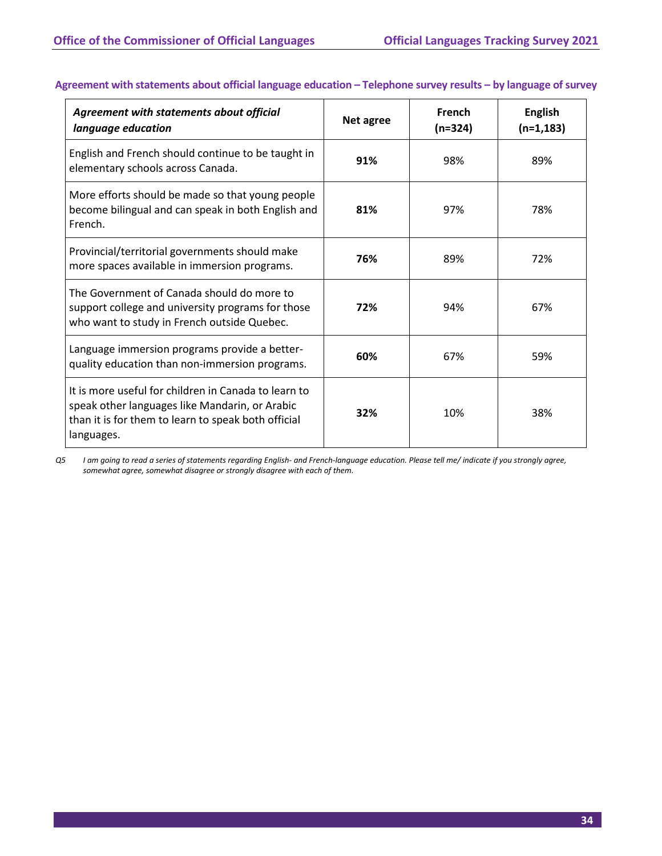| Agreement with statements about official<br>language education                                                                                                              | Net agree | French<br>$(n=324)$ | <b>English</b><br>$(n=1, 183)$ |
|-----------------------------------------------------------------------------------------------------------------------------------------------------------------------------|-----------|---------------------|--------------------------------|
| English and French should continue to be taught in<br>elementary schools across Canada.                                                                                     | 91%       | 98%                 | 89%                            |
| More efforts should be made so that young people<br>become bilingual and can speak in both English and<br>French.                                                           | 81%       | 97%                 | 78%                            |
| Provincial/territorial governments should make<br>more spaces available in immersion programs.                                                                              | 76%       | 89%                 | 72%                            |
| The Government of Canada should do more to<br>support college and university programs for those<br>who want to study in French outside Quebec.                              | 72%       | 94%                 | 67%                            |
| Language immersion programs provide a better-<br>quality education than non-immersion programs.                                                                             | 60%       | 67%                 | 59%                            |
| It is more useful for children in Canada to learn to<br>speak other languages like Mandarin, or Arabic<br>than it is for them to learn to speak both official<br>languages. | 32%       | 10%                 | 38%                            |

# **Agreement with statements about official language education – Telephone survey results – by language of survey**

*Q5 I am going to read a series of statements regarding English- and French-language education. Please tell me/ indicate if you strongly agree, somewhat agree, somewhat disagree or strongly disagree with each of them.*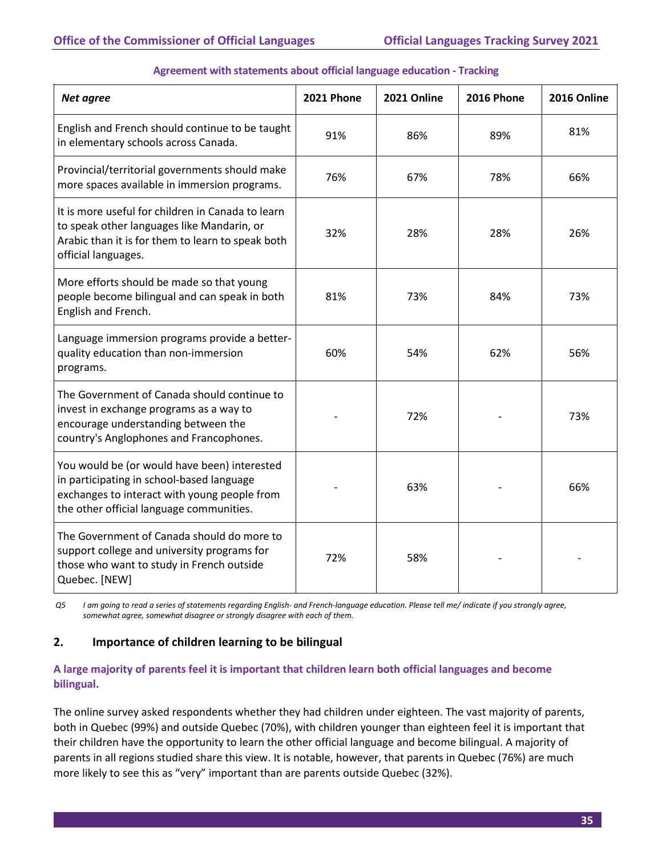| Net agree                                                                                                                                                                             | <b>2021 Phone</b> | 2021 Online | <b>2016 Phone</b> | 2016 Online |
|---------------------------------------------------------------------------------------------------------------------------------------------------------------------------------------|-------------------|-------------|-------------------|-------------|
| English and French should continue to be taught<br>in elementary schools across Canada.                                                                                               | 91%               | 86%         | 89%               | 81%         |
| Provincial/territorial governments should make<br>more spaces available in immersion programs.                                                                                        | 76%               | 67%         | 78%               | 66%         |
| It is more useful for children in Canada to learn<br>to speak other languages like Mandarin, or<br>Arabic than it is for them to learn to speak both<br>official languages.           | 32%               | 28%         | 28%               | 26%         |
| More efforts should be made so that young<br>people become bilingual and can speak in both<br>English and French.                                                                     | 81%               | 73%         | 84%               | 73%         |
| Language immersion programs provide a better-<br>quality education than non-immersion<br>programs.                                                                                    | 60%               | 54%         | 62%               | 56%         |
| The Government of Canada should continue to<br>invest in exchange programs as a way to<br>encourage understanding between the<br>country's Anglophones and Francophones.              |                   | 72%         |                   | 73%         |
| You would be (or would have been) interested<br>in participating in school-based language<br>exchanges to interact with young people from<br>the other official language communities. |                   | 63%         |                   | 66%         |
| The Government of Canada should do more to<br>support college and university programs for<br>those who want to study in French outside<br>Quebec. [NEW]                               | 72%               | 58%         |                   |             |

# **Agreement with statements about official language education - Tracking**

*Q5 I am going to read a series of statements regarding English- and French-language education. Please tell me/ indicate if you strongly agree, somewhat agree, somewhat disagree or strongly disagree with each of them.*

# **2. Importance of children learning to be bilingual**

# **A large majority of parents feel it is important that children learn both official languages and become bilingual.**

The online survey asked respondents whether they had children under eighteen. The vast majority of parents, both in Quebec (99%) and outside Quebec (70%), with children younger than eighteen feel it is important that their children have the opportunity to learn the other official language and become bilingual. A majority of parents in all regions studied share this view. It is notable, however, that parents in Quebec (76%) are much more likely to see this as "very" important than are parents outside Quebec (32%).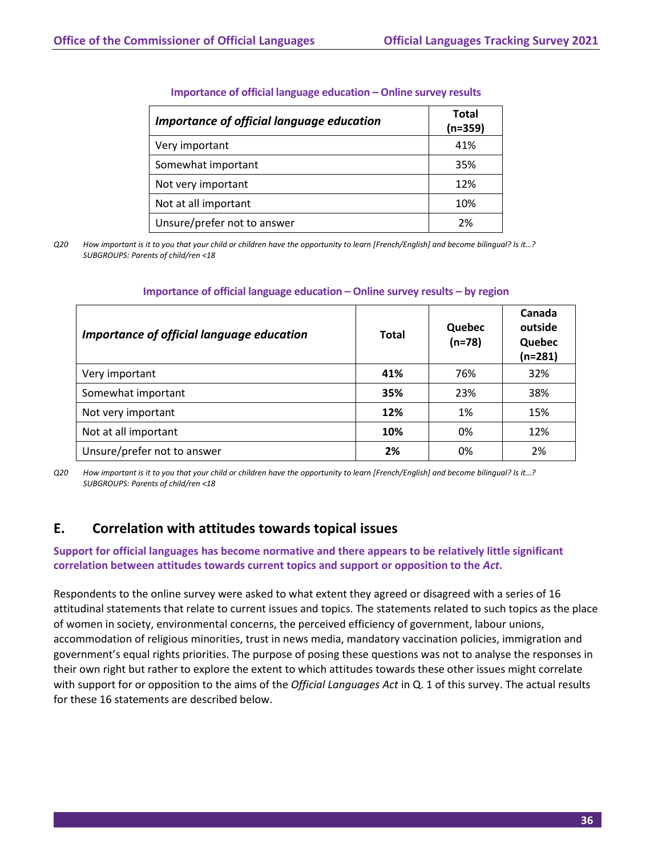| Importance of official language education | Total<br>$(n=359)$ |
|-------------------------------------------|--------------------|
| Very important                            | 41%                |
| Somewhat important                        | 35%                |
| Not very important                        | 12%                |
| Not at all important                      | 10%                |
| Unsure/prefer not to answer               | 2%                 |

#### **Importance of official language education – Online survey results**

*Q20 How important is it to you that your child or children have the opportunity to learn [French/English] and become bilingual? Is it…? SUBGROUPS: Parents of child/ren <18*

| Importance of official language education | <b>Total</b> | Quebec<br>$(n=78)$ | Canada<br>outside<br>Quebec<br>(n=281) |
|-------------------------------------------|--------------|--------------------|----------------------------------------|
| Very important                            | 41%          | 76%                | 32%                                    |
| Somewhat important                        | 35%          | 23%                | 38%                                    |
| Not very important                        | 12%          | 1%                 | 15%                                    |
| Not at all important                      | 10%          | 0%                 | 12%                                    |
| Unsure/prefer not to answer               | 2%           | 0%                 | 2%                                     |

#### **Importance of official language education – Online survey results – by region**

*Q20 How important is it to you that your child or children have the opportunity to learn [French/English] and become bilingual? Is it…? SUBGROUPS: Parents of child/ren <18*

# **E. Correlation with attitudes towards topical issues**

# **Support for official languages has become normative and there appears to be relatively little significant correlation between attitudes towards current topics and support or opposition to the** *Act***.**

Respondents to the online survey were asked to what extent they agreed or disagreed with a series of 16 attitudinal statements that relate to current issues and topics. The statements related to such topics as the place of women in society, environmental concerns, the perceived efficiency of government, labour unions, accommodation of religious minorities, trust in news media, mandatory vaccination policies, immigration and government's equal rights priorities. The purpose of posing these questions was not to analyse the responses in their own right but rather to explore the extent to which attitudes towards these other issues might correlate with support for or opposition to the aims of the *Official Languages Act* in Q. 1 of this survey. The actual results for these 16 statements are described below.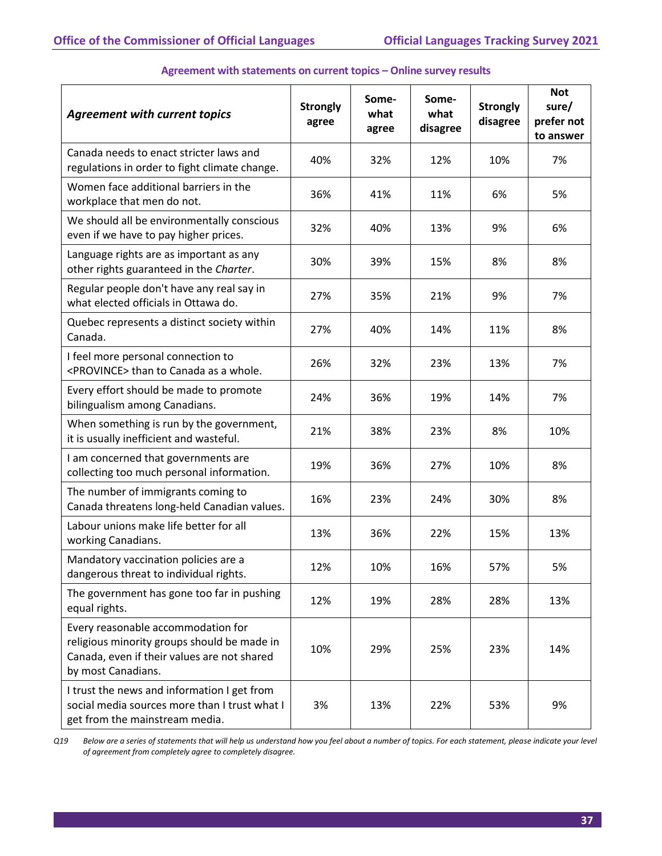| <b>Agreement with current topics</b>                                                                                                                   | <b>Strongly</b><br>agree | Some-<br>what<br>agree | Some-<br>what<br>disagree | <b>Strongly</b><br>disagree | <b>Not</b><br>sure/<br>prefer not<br>to answer |
|--------------------------------------------------------------------------------------------------------------------------------------------------------|--------------------------|------------------------|---------------------------|-----------------------------|------------------------------------------------|
| Canada needs to enact stricter laws and<br>regulations in order to fight climate change.                                                               | 40%                      | 32%                    | 12%                       | 10%                         | 7%                                             |
| Women face additional barriers in the<br>workplace that men do not.                                                                                    | 36%                      | 41%                    | 11%                       | 6%                          | 5%                                             |
| We should all be environmentally conscious<br>even if we have to pay higher prices.                                                                    | 32%                      | 40%                    | 13%                       | 9%                          | 6%                                             |
| Language rights are as important as any<br>other rights guaranteed in the Charter.                                                                     | 30%                      | 39%                    | 15%                       | 8%                          | 8%                                             |
| Regular people don't have any real say in<br>what elected officials in Ottawa do.                                                                      | 27%                      | 35%                    | 21%                       | 9%                          | 7%                                             |
| Quebec represents a distinct society within<br>Canada.                                                                                                 | 27%                      | 40%                    | 14%                       | 11%                         | 8%                                             |
| I feel more personal connection to<br><province> than to Canada as a whole.</province>                                                                 | 26%                      | 32%                    | 23%                       | 13%                         | 7%                                             |
| Every effort should be made to promote<br>bilingualism among Canadians.                                                                                | 24%                      | 36%                    | 19%                       | 14%                         | 7%                                             |
| When something is run by the government,<br>it is usually inefficient and wasteful.                                                                    | 21%                      | 38%                    | 23%                       | 8%                          | 10%                                            |
| I am concerned that governments are<br>collecting too much personal information.                                                                       | 19%                      | 36%                    | 27%                       | 10%                         | 8%                                             |
| The number of immigrants coming to<br>Canada threatens long-held Canadian values.                                                                      | 16%                      | 23%                    | 24%                       | 30%                         | 8%                                             |
| Labour unions make life better for all<br>working Canadians.                                                                                           | 13%                      | 36%                    | 22%                       | 15%                         | 13%                                            |
| Mandatory vaccination policies are a<br>dangerous threat to individual rights.                                                                         | 12%                      | 10%                    | 16%                       | 57%                         | 5%                                             |
| The government has gone too far in pushing<br>equal rights.                                                                                            | 12%                      | 19%                    | 28%                       | 28%                         | 13%                                            |
| Every reasonable accommodation for<br>religious minority groups should be made in<br>Canada, even if their values are not shared<br>by most Canadians. | 10%                      | 29%                    | 25%                       | 23%                         | 14%                                            |
| I trust the news and information I get from<br>social media sources more than I trust what I<br>get from the mainstream media.                         | 3%                       | 13%                    | 22%                       | 53%                         | 9%                                             |

### **Agreement with statements on current topics – Online survey results**

*Q19 Below are a series of statements that will help us understand how you feel about a number of topics. For each statement, please indicate your level of agreement from completely agree to completely disagree.*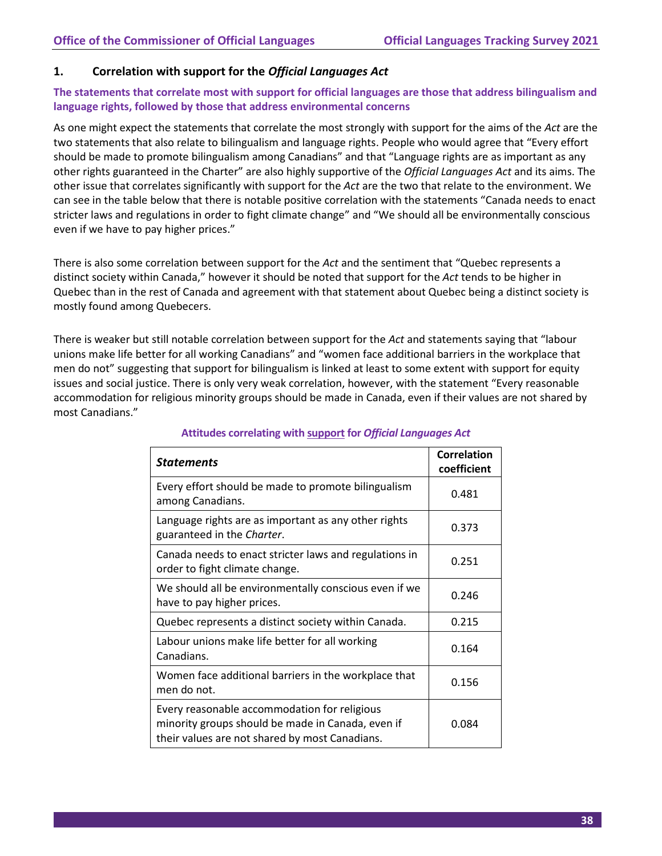# **1. Correlation with support for the** *Official Languages Act*

# **The statements that correlate most with support for official languages are those that address bilingualism and language rights, followed by those that address environmental concerns**

As one might expect the statements that correlate the most strongly with support for the aims of the *Act* are the two statements that also relate to bilingualism and language rights. People who would agree that "Every effort should be made to promote bilingualism among Canadians" and that "Language rights are as important as any other rights guaranteed in the Charter" are also highly supportive of the *Official Languages Act* and its aims. The other issue that correlates significantly with support for the *Act* are the two that relate to the environment. We can see in the table below that there is notable positive correlation with the statements "Canada needs to enact stricter laws and regulations in order to fight climate change" and "We should all be environmentally conscious even if we have to pay higher prices."

There is also some correlation between support for the *Act* and the sentiment that "Quebec represents a distinct society within Canada," however it should be noted that support for the *Act* tends to be higher in Quebec than in the rest of Canada and agreement with that statement about Quebec being a distinct society is mostly found among Quebecers.

There is weaker but still notable correlation between support for the *Act* and statements saying that "labour unions make life better for all working Canadians" and "women face additional barriers in the workplace that men do not" suggesting that support for bilingualism is linked at least to some extent with support for equity issues and social justice. There is only very weak correlation, however, with the statement "Every reasonable accommodation for religious minority groups should be made in Canada, even if their values are not shared by most Canadians."

| <b>Statements</b>                                                                                                                                   | <b>Correlation</b><br>coefficient |
|-----------------------------------------------------------------------------------------------------------------------------------------------------|-----------------------------------|
| Every effort should be made to promote bilingualism<br>among Canadians.                                                                             | 0.481                             |
| Language rights are as important as any other rights<br>guaranteed in the Charter.                                                                  | 0.373                             |
| Canada needs to enact stricter laws and regulations in<br>order to fight climate change.                                                            | 0.251                             |
| We should all be environmentally conscious even if we<br>have to pay higher prices.                                                                 | 0.246                             |
| Quebec represents a distinct society within Canada.                                                                                                 | 0.215                             |
| Labour unions make life better for all working<br>Canadians.                                                                                        | 0.164                             |
| Women face additional barriers in the workplace that<br>men do not.                                                                                 | 0.156                             |
| Every reasonable accommodation for religious<br>minority groups should be made in Canada, even if<br>their values are not shared by most Canadians. | 0.084                             |

# **Attitudes correlating with support for** *Official Languages Act*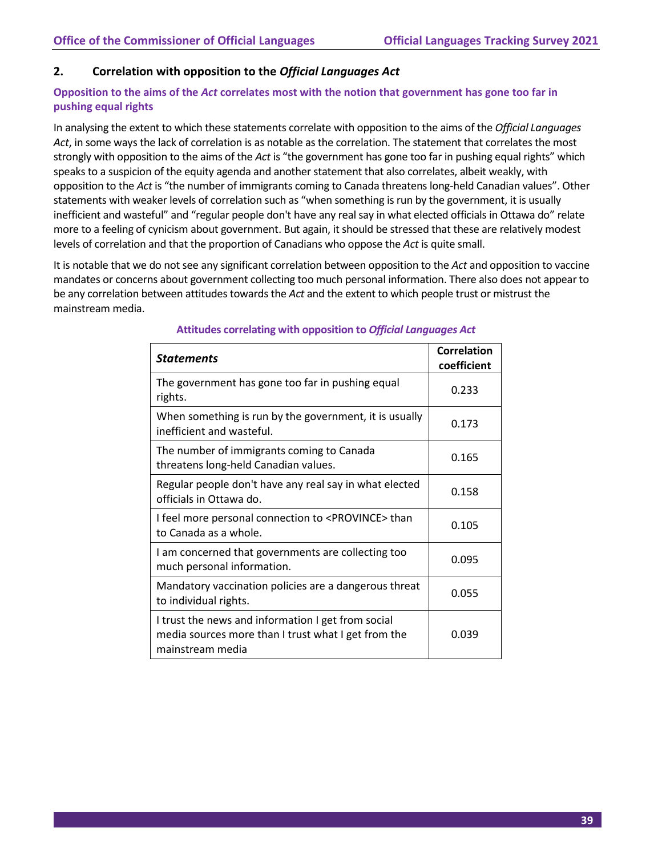# **2. Correlation with opposition to the** *Official Languages Act*

# **Opposition to the aims of the** *Act* **correlates most with the notion that government has gone too far in pushing equal rights**

In analysing the extent to which these statements correlate with opposition to the aims of the *Official Languages Act*, in some ways the lack of correlation is as notable as the correlation. The statement that correlates the most strongly with opposition to the aims of the *Act* is "the government has gone too far in pushing equal rights" which speaks to a suspicion of the equity agenda and another statement that also correlates, albeit weakly, with opposition to the *Act* is "the number of immigrants coming to Canada threatens long-held Canadian values". Other statements with weaker levels of correlation such as "when something is run by the government, it is usually inefficient and wasteful" and "regular people don't have any real say in what elected officials in Ottawa do" relate more to a feeling of cynicism about government. But again, it should be stressed that these are relatively modest levels of correlation and that the proportion of Canadians who oppose the *Act* is quite small.

It is notable that we do not see any significant correlation between opposition to the *Act* and opposition to vaccine mandates or concerns about government collecting too much personal information. There also does not appear to be any correlation between attitudes towards the *Act* and the extent to which people trust or mistrust the mainstream media.

| <b>Statements</b>                                                                                                             | Correlation<br>coefficient |
|-------------------------------------------------------------------------------------------------------------------------------|----------------------------|
| The government has gone too far in pushing equal<br>rights.                                                                   | 0.233                      |
| When something is run by the government, it is usually<br>inefficient and wasteful.                                           | 0.173                      |
| The number of immigrants coming to Canada<br>threatens long-held Canadian values.                                             | 0.165                      |
| Regular people don't have any real say in what elected<br>officials in Ottawa do.                                             | 0.158                      |
| I feel more personal connection to <province> than<br/>to Canada as a whole.</province>                                       | 0.105                      |
| I am concerned that governments are collecting too<br>much personal information.                                              | 0.095                      |
| Mandatory vaccination policies are a dangerous threat<br>to individual rights.                                                | 0.055                      |
| I trust the news and information I get from social<br>media sources more than I trust what I get from the<br>mainstream media | 0.039                      |

# **Attitudes correlating with opposition to** *Official Languages Act*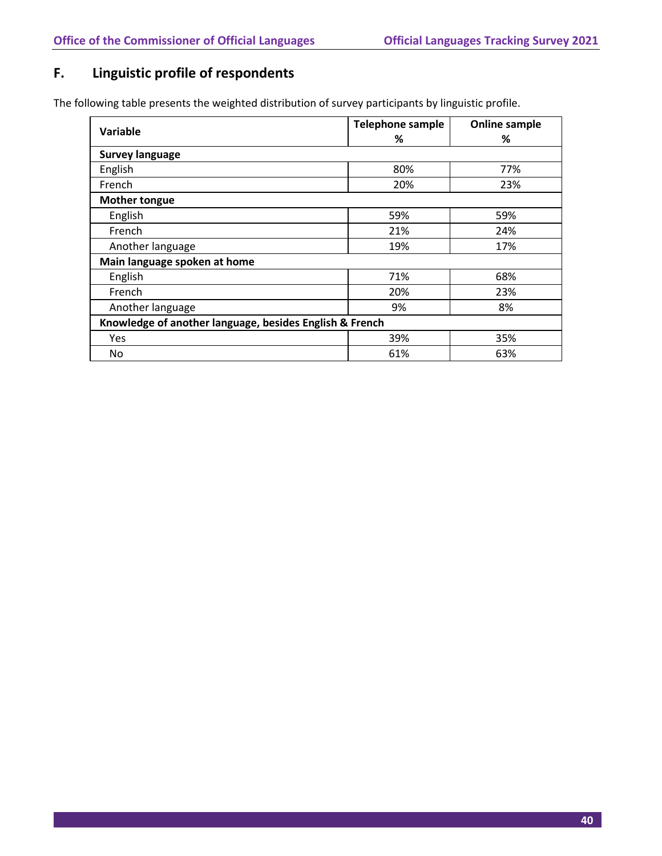# **F. Linguistic profile of respondents**

The following table presents the weighted distribution of survey participants by linguistic profile.

| Variable                                                | <b>Telephone sample</b><br>% | <b>Online sample</b><br>% |  |
|---------------------------------------------------------|------------------------------|---------------------------|--|
| <b>Survey language</b>                                  |                              |                           |  |
| English                                                 | 80%                          | 77%                       |  |
| French                                                  | 20%                          | 23%                       |  |
| <b>Mother tongue</b>                                    |                              |                           |  |
| English                                                 | 59%                          | 59%                       |  |
| French                                                  | 21%                          | 24%                       |  |
| Another language                                        | 19%                          | 17%                       |  |
| Main language spoken at home                            |                              |                           |  |
| English                                                 | 71%                          | 68%                       |  |
| French                                                  | 20%                          | 23%                       |  |
| Another language                                        | 9%                           | 8%                        |  |
| Knowledge of another language, besides English & French |                              |                           |  |
| <b>Yes</b>                                              | 39%                          | 35%                       |  |
| No                                                      | 61%                          | 63%                       |  |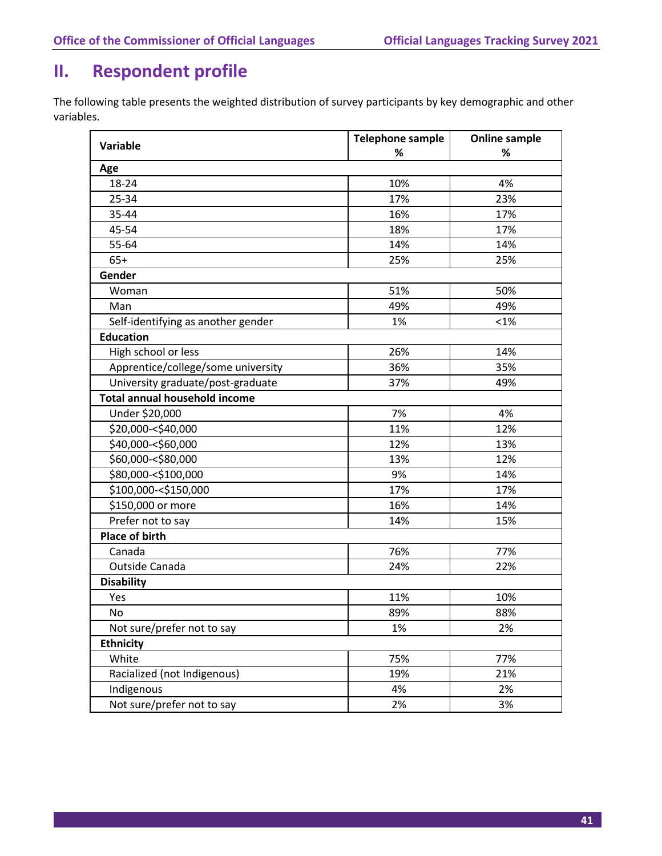# **II. Respondent profile**

The following table presents the weighted distribution of survey participants by key demographic and other variables.

| <b>Variable</b>                      | <b>Telephone sample</b> | <b>Online sample</b><br>% |  |
|--------------------------------------|-------------------------|---------------------------|--|
|                                      | $\%$                    |                           |  |
| Age                                  |                         |                           |  |
| 18-24                                | 10%                     | 4%                        |  |
| 25-34                                | 17%                     | 23%                       |  |
| 35-44                                | 16%                     | 17%                       |  |
| 45-54                                | 18%                     | 17%                       |  |
| 55-64                                | 14%                     | 14%                       |  |
| $65+$                                | 25%                     | 25%                       |  |
| Gender                               |                         |                           |  |
| Woman                                | 51%                     | 50%                       |  |
| Man                                  | 49%                     | 49%                       |  |
| Self-identifying as another gender   | 1%                      | $< 1\%$                   |  |
| <b>Education</b>                     |                         |                           |  |
| High school or less                  | 26%                     | 14%                       |  |
| Apprentice/college/some university   | 36%                     | 35%                       |  |
| University graduate/post-graduate    | 37%                     | 49%                       |  |
| <b>Total annual household income</b> |                         |                           |  |
| Under \$20,000                       | 7%                      | 4%                        |  |
| \$20,000-<\$40,000                   | 11%                     | 12%                       |  |
| \$40,000 -< \$60,000                 | 12%                     | 13%                       |  |
| \$60,000 -< \$80,000                 | 13%                     | 12%                       |  |
| \$80,000 -< \$100,000                | 9%                      | 14%                       |  |
| \$100,000 - < \$150,000              | 17%                     | 17%                       |  |
| \$150,000 or more                    | 16%                     | 14%                       |  |
| Prefer not to say                    | 14%                     | 15%                       |  |
| <b>Place of birth</b>                |                         |                           |  |
| Canada                               | 76%                     | 77%                       |  |
| Outside Canada                       | 24%                     | 22%                       |  |
| <b>Disability</b>                    |                         |                           |  |
| Yes                                  | 11%                     | 10%                       |  |
| No.                                  | 89%                     | 88%                       |  |
| Not sure/prefer not to say           | 1%                      | 2%                        |  |
| <b>Ethnicity</b>                     |                         |                           |  |
| White                                | 75%                     | 77%                       |  |
| Racialized (not Indigenous)          | 19%                     | 21%                       |  |
| Indigenous                           | 4%                      | 2%                        |  |
| Not sure/prefer not to say           | 2%                      | 3%                        |  |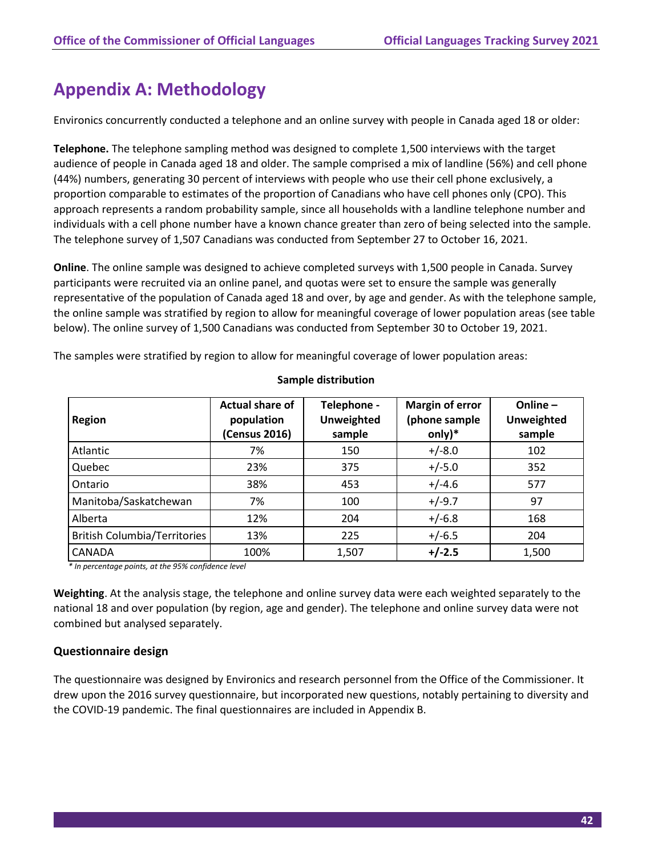# **Appendix A: Methodology**

Environics concurrently conducted a telephone and an online survey with people in Canada aged 18 or older:

**Telephone.** The telephone sampling method was designed to complete 1,500 interviews with the target audience of people in Canada aged 18 and older. The sample comprised a mix of landline (56%) and cell phone (44%) numbers, generating 30 percent of interviews with people who use their cell phone exclusively, a proportion comparable to estimates of the proportion of Canadians who have cell phones only (CPO). This approach represents a random probability sample, since all households with a landline telephone number and individuals with a cell phone number have a known chance greater than zero of being selected into the sample. The telephone survey of 1,507 Canadians was conducted from September 27 to October 16, 2021.

**Online**. The online sample was designed to achieve completed surveys with 1,500 people in Canada. Survey participants were recruited via an online panel, and quotas were set to ensure the sample was generally representative of the population of Canada aged 18 and over, by age and gender. As with the telephone sample, the online sample was stratified by region to allow for meaningful coverage of lower population areas (see table below). The online survey of 1,500 Canadians was conducted from September 30 to October 19, 2021.

The samples were stratified by region to allow for meaningful coverage of lower population areas:

| Region                              | <b>Actual share of</b><br>population<br>(Census 2016) | Telephone -<br><b>Unweighted</b><br>sample | <b>Margin of error</b><br>(phone sample<br>only)* | Online $-$<br><b>Unweighted</b><br>sample |
|-------------------------------------|-------------------------------------------------------|--------------------------------------------|---------------------------------------------------|-------------------------------------------|
| Atlantic                            | 7%                                                    | 150                                        | $+/-8.0$                                          | 102                                       |
| Quebec                              | 23%                                                   | 375                                        | $+/-5.0$                                          | 352                                       |
| Ontario                             | 38%                                                   | 453                                        | $+/-4.6$                                          | 577                                       |
| Manitoba/Saskatchewan               | 7%                                                    | 100                                        | $+/-9.7$                                          | 97                                        |
| Alberta                             | 12%                                                   | 204                                        | $+/-6.8$                                          | 168                                       |
| <b>British Columbia/Territories</b> | 13%                                                   | 225                                        | $+/-6.5$                                          | 204                                       |
| CANADA                              | 100%                                                  | 1,507                                      | $+/-2.5$                                          | 1,500                                     |

#### **Sample distribution**

*\* In percentage points, at the 95% confidence level*

**Weighting**. At the analysis stage, the telephone and online survey data were each weighted separately to the national 18 and over population (by region, age and gender). The telephone and online survey data were not combined but analysed separately.

# **Questionnaire design**

The questionnaire was designed by Environics and research personnel from the Office of the Commissioner. It drew upon the 2016 survey questionnaire, but incorporated new questions, notably pertaining to diversity and the COVID-19 pandemic. The final questionnaires are included in Appendix B.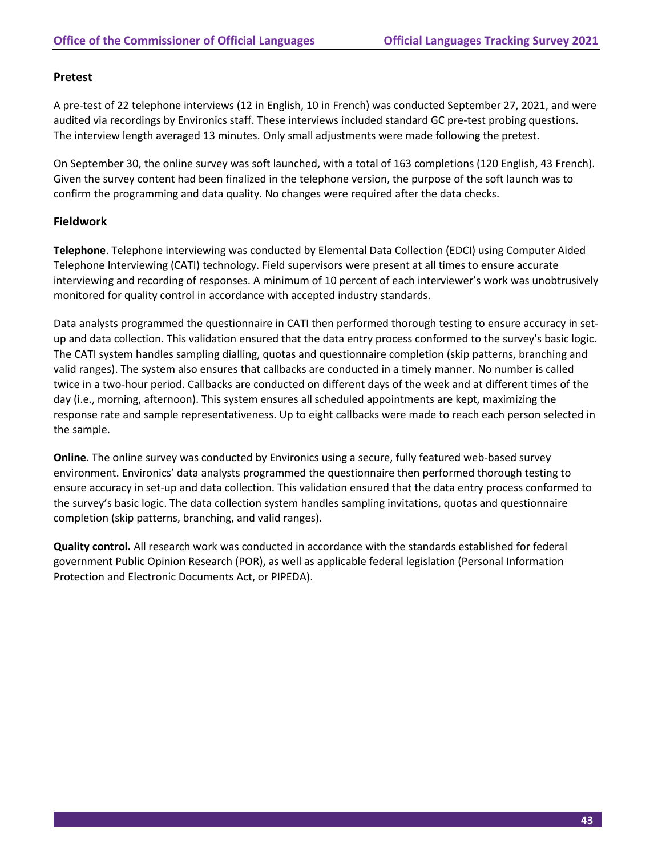# **Pretest**

A pre-test of 22 telephone interviews (12 in English, 10 in French) was conducted September 27, 2021, and were audited via recordings by Environics staff. These interviews included standard GC pre-test probing questions. The interview length averaged 13 minutes. Only small adjustments were made following the pretest.

On September 30, the online survey was soft launched, with a total of 163 completions (120 English, 43 French). Given the survey content had been finalized in the telephone version, the purpose of the soft launch was to confirm the programming and data quality. No changes were required after the data checks.

# **Fieldwork**

**Telephone**. Telephone interviewing was conducted by Elemental Data Collection (EDCI) using Computer Aided Telephone Interviewing (CATI) technology. Field supervisors were present at all times to ensure accurate interviewing and recording of responses. A minimum of 10 percent of each interviewer's work was unobtrusively monitored for quality control in accordance with accepted industry standards.

Data analysts programmed the questionnaire in CATI then performed thorough testing to ensure accuracy in setup and data collection. This validation ensured that the data entry process conformed to the survey's basic logic. The CATI system handles sampling dialling, quotas and questionnaire completion (skip patterns, branching and valid ranges). The system also ensures that callbacks are conducted in a timely manner. No number is called twice in a two-hour period. Callbacks are conducted on different days of the week and at different times of the day (i.e., morning, afternoon). This system ensures all scheduled appointments are kept, maximizing the response rate and sample representativeness. Up to eight callbacks were made to reach each person selected in the sample.

**Online**. The online survey was conducted by Environics using a secure, fully featured web-based survey environment. Environics' data analysts programmed the questionnaire then performed thorough testing to ensure accuracy in set-up and data collection. This validation ensured that the data entry process conformed to the survey's basic logic. The data collection system handles sampling invitations, quotas and questionnaire completion (skip patterns, branching, and valid ranges).

**Quality control.** All research work was conducted in accordance with the standards established for federal government Public Opinion Research (POR), as well as applicable federal legislation (Personal Information Protection and Electronic Documents Act, or PIPEDA).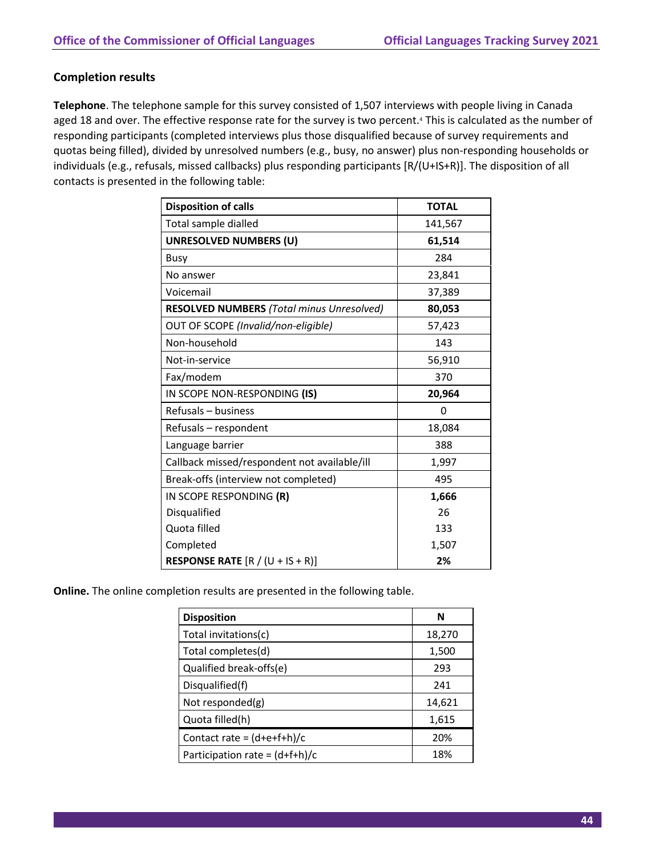# **Completion results**

**Telephone**. The telephone sample for this survey consisted of 1,507 interviews with people living in Canada aged 18 and over. The effective response rate for the survey is two percent.<sup>4</sup> This is calculated as the number of responding participants (completed interviews plus those disqualified because of survey requirements and quotas being filled), divided by unresolved numbers (e.g., busy, no answer) plus non-responding households or individuals (e.g., refusals, missed callbacks) plus responding participants [R/(U+IS+R)]. The disposition of all contacts is presented in the following table:

| <b>Disposition of calls</b>                      | <b>TOTAL</b> |
|--------------------------------------------------|--------------|
| Total sample dialled                             | 141,567      |
| <b>UNRESOLVED NUMBERS (U)</b>                    | 61,514       |
| <b>Busy</b>                                      | 284          |
| No answer                                        | 23,841       |
| Voicemail                                        | 37,389       |
| <b>RESOLVED NUMBERS (Total minus Unresolved)</b> | 80,053       |
| OUT OF SCOPE (Invalid/non-eligible)              | 57,423       |
| Non-household                                    | 143          |
| Not-in-service                                   | 56,910       |
| Fax/modem                                        | 370          |
| IN SCOPE NON-RESPONDING (IS)                     | 20,964       |
| Refusals - business                              | 0            |
| Refusals - respondent                            | 18,084       |
| Language barrier                                 | 388          |
| Callback missed/respondent not available/ill     | 1,997        |
| Break-offs (interview not completed)             | 495          |
| IN SCOPE RESPONDING (R)                          | 1,666        |
| Disqualified                                     | 26           |
| Quota filled                                     | 133          |
| Completed                                        | 1,507        |
| <b>RESPONSE RATE</b> $[R / (U + IS + R)]$        | 2%           |

**Online.** The online completion results are presented in the following table.

| <b>Disposition</b>               | N      |
|----------------------------------|--------|
| Total invitations(c)             | 18,270 |
| Total completes(d)               | 1,500  |
| Qualified break-offs(e)          | 293    |
| Disqualified(f)                  | 241    |
| Not responded(g)                 | 14,621 |
| Quota filled(h)                  | 1,615  |
| Contact rate = $(d+e+f+h)/c$     | 20%    |
| Participation rate = $(d+f+h)/c$ | 18%    |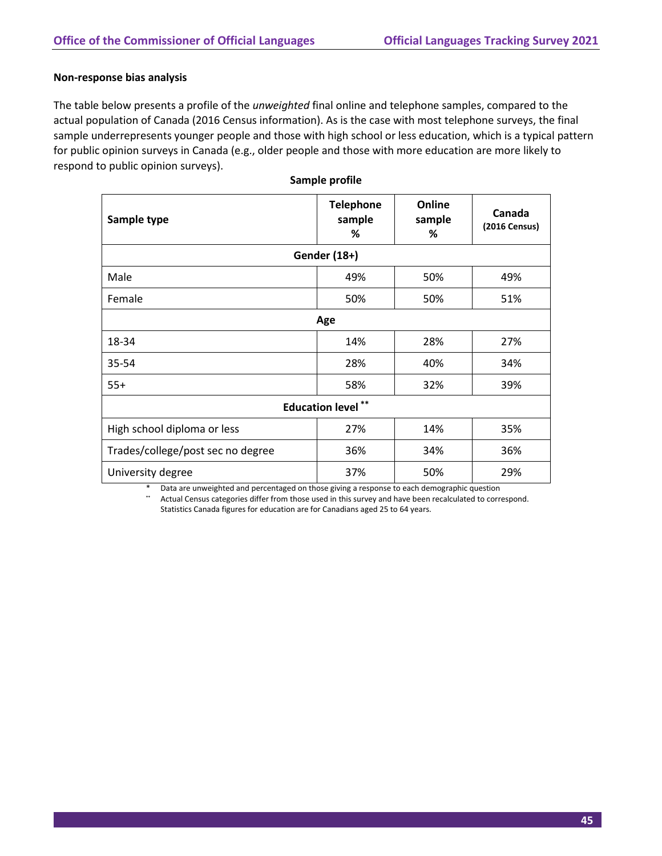#### **Non-response bias analysis**

The table below presents a profile of the *unweighted* final online and telephone samples, compared to the actual population of Canada (2016 Census information). As is the case with most telephone surveys, the final sample underrepresents younger people and those with high school or less education, which is a typical pattern for public opinion surveys in Canada (e.g., older people and those with more education are more likely to respond to public opinion surveys).

| Sample type                       | <b>Telephone</b><br>sample<br>% | Online<br>sample<br>% | Canada<br>(2016 Census) |
|-----------------------------------|---------------------------------|-----------------------|-------------------------|
|                                   | Gender (18+)                    |                       |                         |
| Male                              | 49%                             | 50%                   | 49%                     |
| Female                            | 50%                             | 50%                   | 51%                     |
| Age                               |                                 |                       |                         |
| 18-34                             | 14%                             | 28%                   | 27%                     |
| 35-54                             | 28%                             | 40%                   | 34%                     |
| $55+$                             | 58%                             | 32%                   | 39%                     |
| $***$<br><b>Education level</b>   |                                 |                       |                         |
| High school diploma or less       | 27%                             | 14%                   | 35%                     |
| Trades/college/post sec no degree | 36%                             | 34%                   | 36%                     |
| University degree                 | 37%                             | 50%                   | 29%                     |

|  |  | Sample profile |
|--|--|----------------|
|--|--|----------------|

Data are unweighted and percentaged on those giving a response to each demographic question

**\*\*** Actual Census categories differ from those used in this survey and have been recalculated to correspond. Statistics Canada figures for education are for Canadians aged 25 to 64 years.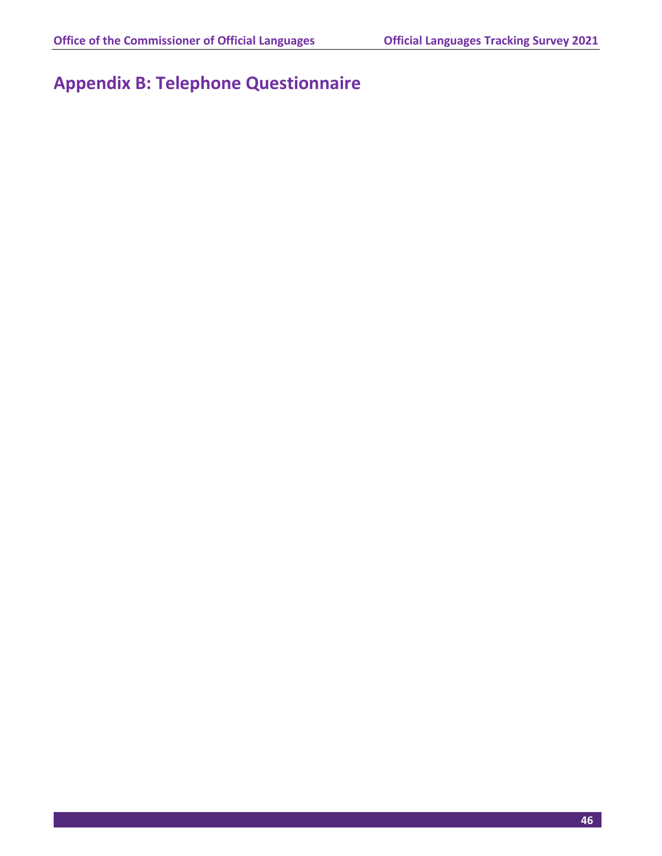# **Appendix B: Telephone Questionnaire**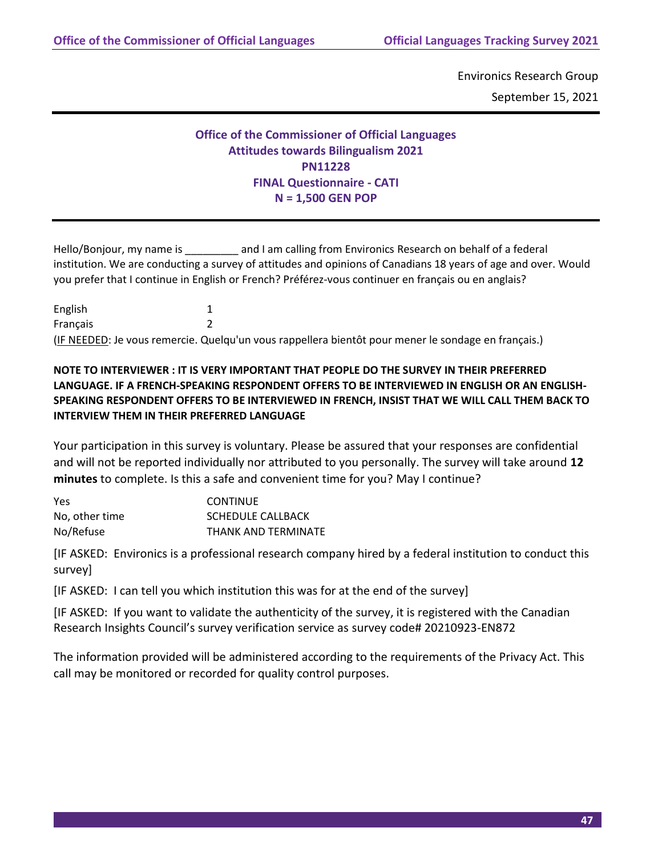Environics Research Group September 15, 2021

# **Office of the Commissioner of Official Languages Attitudes towards Bilingualism 2021 PN11228 FINAL Questionnaire - CATI N = 1,500 GEN POP**

Hello/Bonjour, my name is \_\_\_\_\_\_\_\_\_\_\_\_ and I am calling from Environics Research on behalf of a federal institution. We are conducting a survey of attitudes and opinions of Canadians 18 years of age and over. Would you prefer that I continue in English or French? Préférez-vous continuer en français ou en anglais?

English 1 Français 2 (IF NEEDED: Je vous remercie. Quelqu'un vous rappellera bientôt pour mener le sondage en français.)

# **NOTE TO INTERVIEWER : IT IS VERY IMPORTANT THAT PEOPLE DO THE SURVEY IN THEIR PREFERRED LANGUAGE. IF A FRENCH-SPEAKING RESPONDENT OFFERS TO BE INTERVIEWED IN ENGLISH OR AN ENGLISH-SPEAKING RESPONDENT OFFERS TO BE INTERVIEWED IN FRENCH, INSIST THAT WE WILL CALL THEM BACK TO INTERVIEW THEM IN THEIR PREFERRED LANGUAGE**

Your participation in this survey is voluntary. Please be assured that your responses are confidential and will not be reported individually nor attributed to you personally. The survey will take around **12 minutes** to complete. Is this a safe and convenient time for you? May I continue?

| Yes            | <b>CONTINUE</b>          |
|----------------|--------------------------|
| No, other time | <b>SCHEDULE CALLBACK</b> |
| No/Refuse      | THANK AND TERMINATE      |

[IF ASKED: Environics is a professional research company hired by a federal institution to conduct this survey]

[IF ASKED: I can tell you which institution this was for at the end of the survey]

[IF ASKED: If you want to validate the authenticity of the survey, it is registered with the Canadian Research Insights Council's survey verification service as survey code# 20210923-EN872

The information provided will be administered according to the requirements of the Privacy Act. This call may be monitored or recorded for quality control purposes.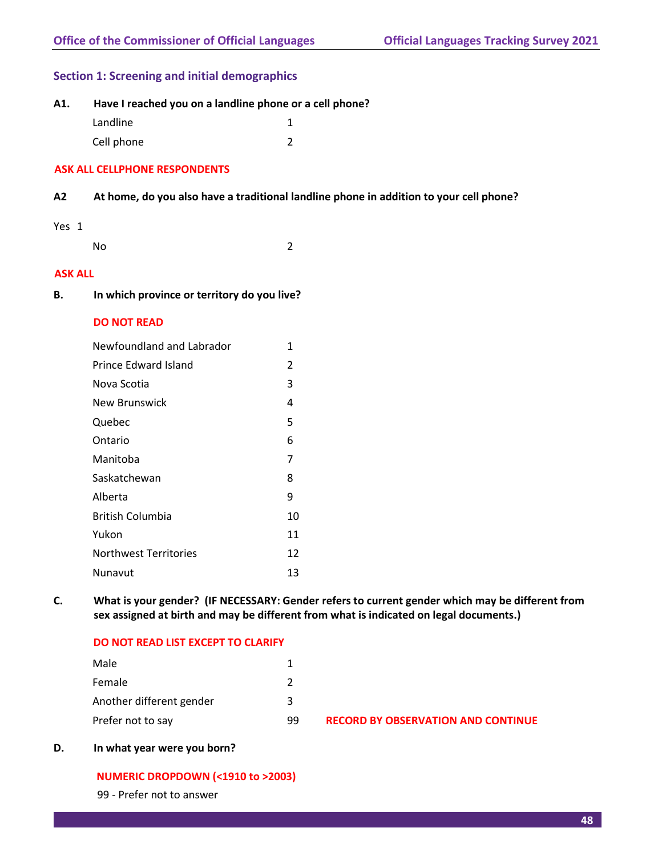# **Section 1: Screening and initial demographics**

| A1. | Have I reached you on a landline phone or a cell phone? |
|-----|---------------------------------------------------------|
|     |                                                         |

| Landline   |  |
|------------|--|
| Cell phone |  |

# **ASK ALL CELLPHONE RESPONDENTS**

# **A2 At home, do you also have a traditional landline phone in addition to your cell phone?**

# Yes 1

No 2

# **ASK ALL**

**B. In which province or territory do you live?**

# **DO NOT READ**

| 1  |
|----|
| 2  |
| 3  |
| 4  |
| 5  |
| 6  |
| 7  |
| 8  |
| 9  |
| 10 |
| 11 |
| 12 |
| 13 |
|    |

**C. What is your gender? (IF NECESSARY: Gender refers to current gender which may be different from sex assigned at birth and may be different from what is indicated on legal documents.)**

# **DO NOT READ LIST EXCEPT TO CLARIFY**

| Male                     |    |                                           |
|--------------------------|----|-------------------------------------------|
| Female                   |    |                                           |
| Another different gender | ર  |                                           |
| Prefer not to say        | 99 | <b>RECORD BY OBSERVATION AND CONTINUE</b> |

# **D. In what year were you born?**

# **NUMERIC DROPDOWN (<1910 to >2003)**

99 - Prefer not to answer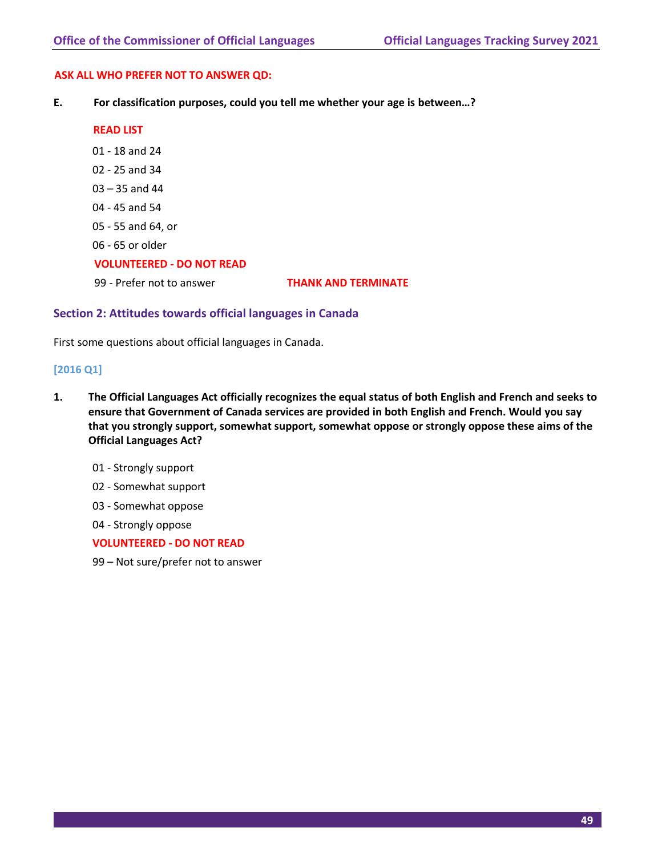#### **ASK ALL WHO PREFER NOT TO ANSWER QD:**

**E. For classification purposes, could you tell me whether your age is between…?**

#### **READ LIST**

- 01 18 and 24
- 02 25 and 34
- 03 35 and 44
- 04 45 and 54
- 05 55 and 64, or
- 06 65 or older

# **VOLUNTEERED - DO NOT READ**

99 - Prefer not to answer **THANK AND TERMINATE**

# **Section 2: Attitudes towards official languages in Canada**

First some questions about official languages in Canada.

# **[2016 Q1]**

- **1. The Official Languages Act officially recognizes the equal status of both English and French and seeks to ensure that Government of Canada services are provided in both English and French. Would you say that you strongly support, somewhat support, somewhat oppose or strongly oppose these aims of the Official Languages Act?**
	- 01 Strongly support
	- 02 Somewhat support
	- 03 Somewhat oppose
	- 04 Strongly oppose

# **VOLUNTEERED - DO NOT READ**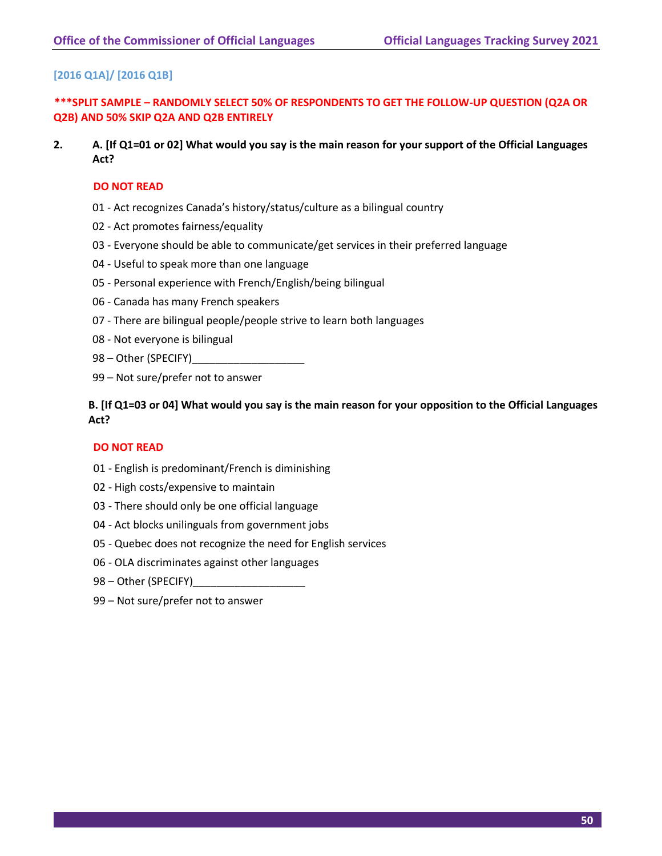# **[2016 Q1A]/ [2016 Q1B]**

**\*\*\*SPLIT SAMPLE – RANDOMLY SELECT 50% OF RESPONDENTS TO GET THE FOLLOW-UP QUESTION (Q2A OR Q2B) AND 50% SKIP Q2A AND Q2B ENTIRELY**

**2. A. [If Q1=01 or 02] What would you say is the main reason for your support of the Official Languages Act?**

#### **DO NOT READ**

- 01 Act recognizes Canada's history/status/culture as a bilingual country
- 02 Act promotes fairness/equality
- 03 Everyone should be able to communicate/get services in their preferred language
- 04 Useful to speak more than one language
- 05 Personal experience with French/English/being bilingual
- 06 Canada has many French speakers
- 07 There are bilingual people/people strive to learn both languages
- 08 Not everyone is bilingual
- 98 Other (SPECIFY)
- 99 Not sure/prefer not to answer

# **B. [If Q1=03 or 04] What would you say is the main reason for your opposition to the Official Languages Act?**

#### **DO NOT READ**

- 01 English is predominant/French is diminishing
- 02 High costs/expensive to maintain
- 03 There should only be one official language
- 04 Act blocks unilinguals from government jobs
- 05 Quebec does not recognize the need for English services
- 06 OLA discriminates against other languages
- 98 Other (SPECIFY)
- 99 Not sure/prefer not to answer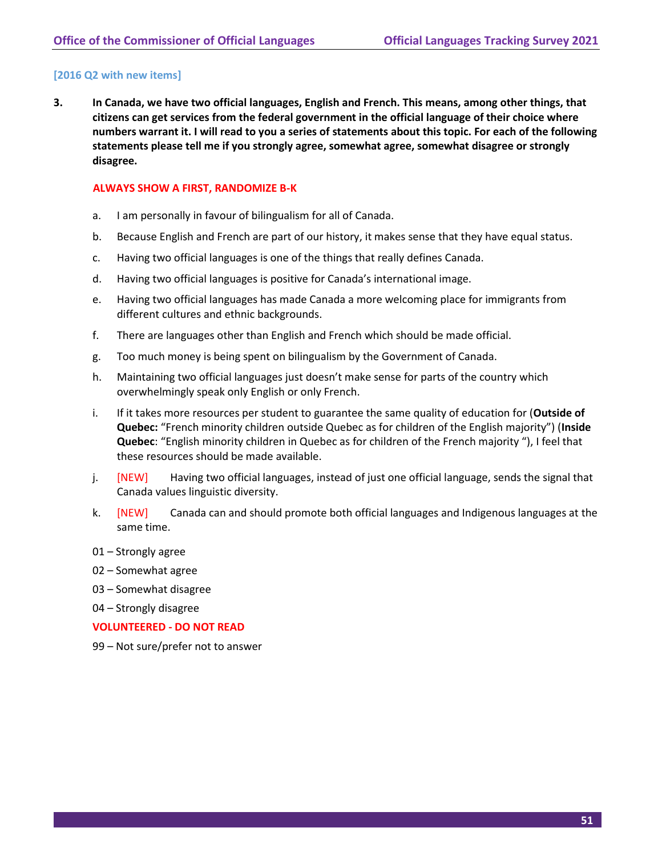# **[2016 Q2 with new items]**

**3. In Canada, we have two official languages, English and French. This means, among other things, that citizens can get services from the federal government in the official language of their choice where numbers warrant it. I will read to you a series of statements about this topic. For each of the following statements please tell me if you strongly agree, somewhat agree, somewhat disagree or strongly disagree.**

#### **ALWAYS SHOW A FIRST, RANDOMIZE B-K**

- a. I am personally in favour of bilingualism for all of Canada.
- b. Because English and French are part of our history, it makes sense that they have equal status.
- c. Having two official languages is one of the things that really defines Canada.
- d. Having two official languages is positive for Canada's international image.
- e. Having two official languages has made Canada a more welcoming place for immigrants from different cultures and ethnic backgrounds.
- f. There are languages other than English and French which should be made official.
- g. Too much money is being spent on bilingualism by the Government of Canada.
- h. Maintaining two official languages just doesn't make sense for parts of the country which overwhelmingly speak only English or only French.
- i. If it takes more resources per student to guarantee the same quality of education for (**Outside of Quebec:** "French minority children outside Quebec as for children of the English majority") (**Inside Quebec**: "English minority children in Quebec as for children of the French majority "), I feel that these resources should be made available.
- j. [NEW] Having two official languages, instead of just one official language, sends the signal that Canada values linguistic diversity.
- k. **[NEW]** Canada can and should promote both official languages and Indigenous languages at the same time.
- 01 Strongly agree
- 02 Somewhat agree
- 03 Somewhat disagree
- 04 Strongly disagree

#### **VOLUNTEERED - DO NOT READ**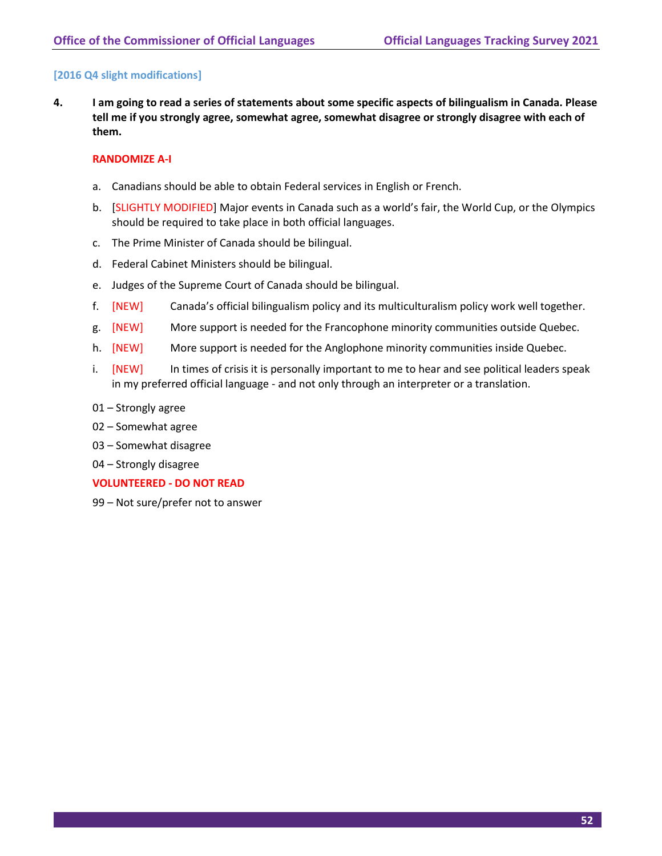# **[2016 Q4 slight modifications]**

**4. I am going to read a series of statements about some specific aspects of bilingualism in Canada. Please tell me if you strongly agree, somewhat agree, somewhat disagree or strongly disagree with each of them.** 

#### **RANDOMIZE A-I**

- a. Canadians should be able to obtain Federal services in English or French.
- b. [SLIGHTLY MODIFIED] Major events in Canada such as a world's fair, the World Cup, or the Olympics should be required to take place in both official languages.
- c. The Prime Minister of Canada should be bilingual.
- d. Federal Cabinet Ministers should be bilingual.
- e. Judges of the Supreme Court of Canada should be bilingual.
- f. [NEW] Canada's official bilingualism policy and its multiculturalism policy work well together.
- g. [NEW] More support is needed for the Francophone minority communities outside Quebec.
- h. [NEW] More support is needed for the Anglophone minority communities inside Quebec.
- i. [NEW] In times of crisis it is personally important to me to hear and see political leaders speak in my preferred official language - and not only through an interpreter or a translation.
- 01 Strongly agree
- 02 Somewhat agree
- 03 Somewhat disagree
- 04 Strongly disagree

#### **VOLUNTEERED - DO NOT READ**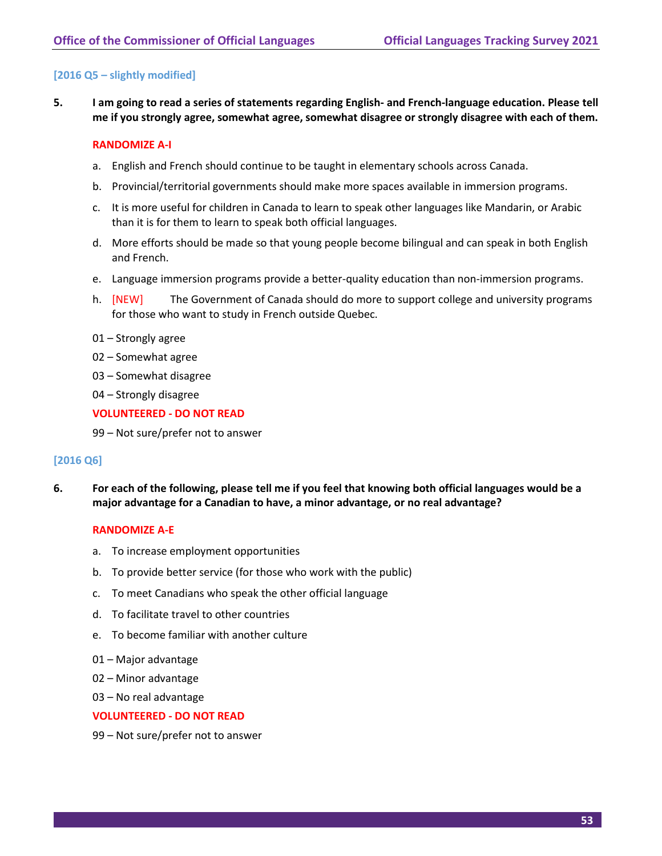# **[2016 Q5 – slightly modified]**

**5. I am going to read a series of statements regarding English- and French-language education. Please tell me if you strongly agree, somewhat agree, somewhat disagree or strongly disagree with each of them.**

#### **RANDOMIZE A-I**

- a. English and French should continue to be taught in elementary schools across Canada.
- b. Provincial/territorial governments should make more spaces available in immersion programs.
- c. It is more useful for children in Canada to learn to speak other languages like Mandarin, or Arabic than it is for them to learn to speak both official languages.
- d. More efforts should be made so that young people become bilingual and can speak in both English and French.
- e. Language immersion programs provide a better-quality education than non-immersion programs.
- h. [NEW] The Government of Canada should do more to support college and university programs for those who want to study in French outside Quebec.
- 01 Strongly agree
- 02 Somewhat agree
- 03 Somewhat disagree
- 04 Strongly disagree

#### **VOLUNTEERED - DO NOT READ**

99 – Not sure/prefer not to answer

#### **[2016 Q6]**

**6. For each of the following, please tell me if you feel that knowing both official languages would be a major advantage for a Canadian to have, a minor advantage, or no real advantage?** 

#### **RANDOMIZE A-E**

- a. To increase employment opportunities
- b. To provide better service (for those who work with the public)
- c. To meet Canadians who speak the other official language
- d. To facilitate travel to other countries
- e. To become familiar with another culture
- 01 Major advantage
- 02 Minor advantage
- 03 No real advantage

#### **VOLUNTEERED - DO NOT READ**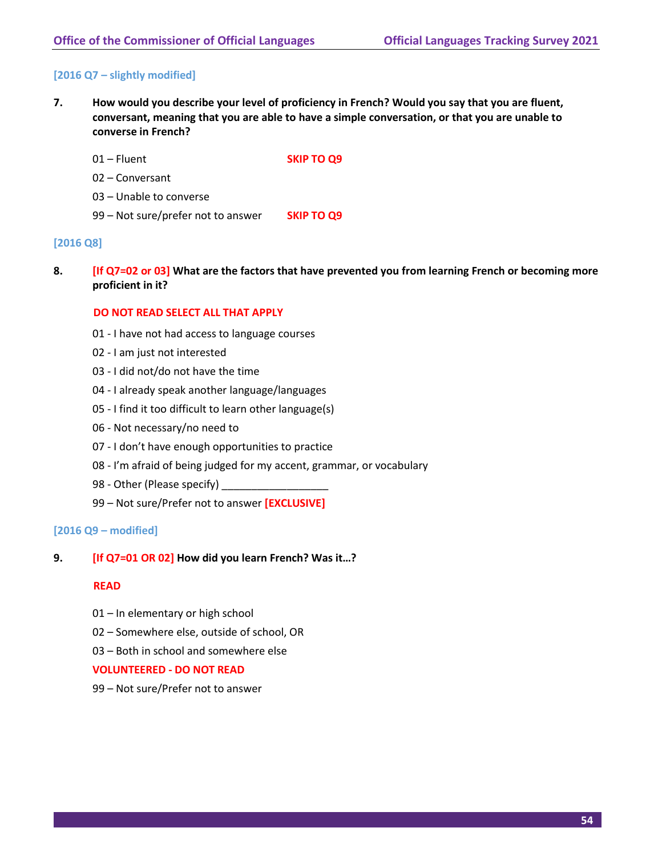# **[2016 Q7 – slightly modified]**

- **7. How would you describe your level of proficiency in French? Would you say that you are fluent, conversant, meaning that you are able to have a simple conversation, or that you are unable to converse in French?** 
	- 01 Fluent **SKIP TO Q9**
	- 02 Conversant
	- 03 Unable to converse
	- 99 Not sure/prefer not to answer **SKIP TO Q9**

#### **[2016 Q8]**

**8. [If Q7=02 or 03] What are the factors that have prevented you from learning French or becoming more proficient in it?**

#### **DO NOT READ SELECT ALL THAT APPLY**

- 01 I have not had access to language courses
- 02 I am just not interested
- 03 I did not/do not have the time
- 04 I already speak another language/languages
- 05 I find it too difficult to learn other language(s)
- 06 Not necessary/no need to
- 07 I don't have enough opportunities to practice
- 08 I'm afraid of being judged for my accent, grammar, or vocabulary
- 98 Other (Please specify)
- 99 Not sure/Prefer not to answer **[EXCLUSIVE]**

#### **[2016 Q9 – modified]**

#### **9. [If Q7=01 OR 02] How did you learn French? Was it…?**

#### **READ**

- 01 In elementary or high school
- 02 Somewhere else, outside of school, OR
- 03 Both in school and somewhere else

#### **VOLUNTEERED - DO NOT READ**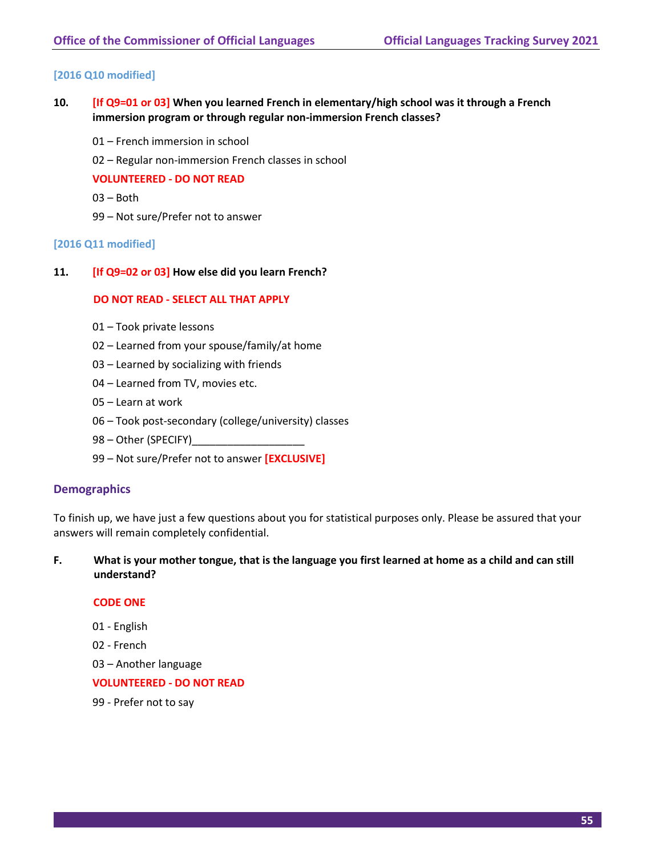# **[2016 Q10 modified]**

- **10. [If Q9=01 or 03] When you learned French in elementary/high school was it through a French immersion program or through regular non-immersion French classes?** 
	- 01 French immersion in school
	- 02 Regular non-immersion French classes in school

#### **VOLUNTEERED - DO NOT READ**

- 03 Both
- 99 Not sure/Prefer not to answer

#### **[2016 Q11 modified]**

**11. [If Q9=02 or 03] How else did you learn French?**

#### **DO NOT READ - SELECT ALL THAT APPLY**

- 01 Took private lessons
- 02 Learned from your spouse/family/at home
- 03 Learned by socializing with friends
- 04 Learned from TV, movies etc.
- 05 Learn at work
- 06 Took post-secondary (college/university) classes
- 98 Other (SPECIFY)
- 99 Not sure/Prefer not to answer **[EXCLUSIVE]**

#### **Demographics**

To finish up, we have just a few questions about you for statistical purposes only. Please be assured that your answers will remain completely confidential.

# **F. What is your mother tongue, that is the language you first learned at home as a child and can still understand?**

#### **CODE ONE**

- 01 English
- 02 French
- 03 Another language

#### **VOLUNTEERED - DO NOT READ**

99 - Prefer not to say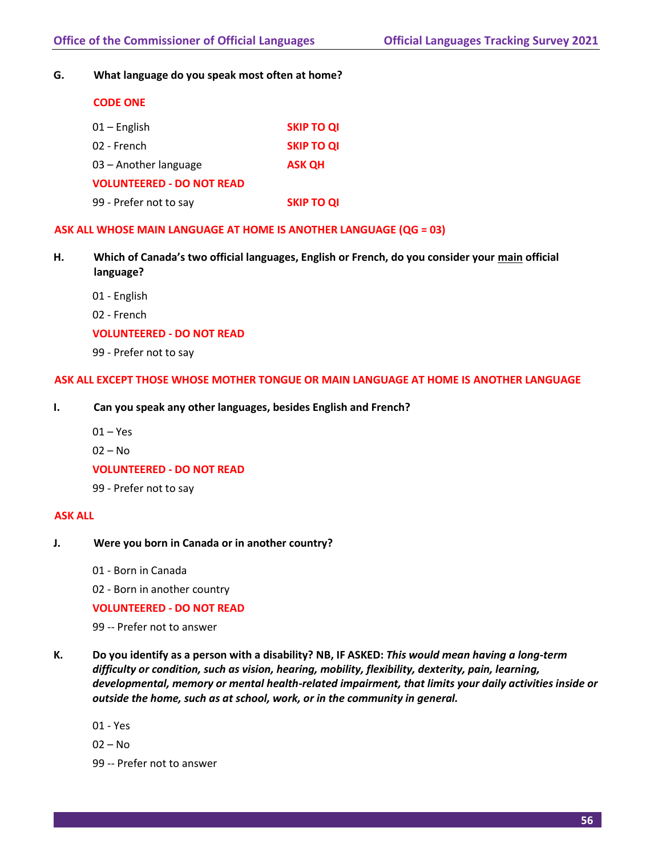**G. What language do you speak most often at home?**

| <b>CODE ONE</b>                  |                   |
|----------------------------------|-------------------|
| $01 -$ English                   | <b>SKIP TO QI</b> |
| 02 - French                      | <b>SKIP TO QI</b> |
| 03 - Another language            | <b>ASK OH</b>     |
| <b>VOLUNTEERED - DO NOT READ</b> |                   |
| 99 - Prefer not to say           | <b>SKIP TO QI</b> |

#### **ASK ALL WHOSE MAIN LANGUAGE AT HOME IS ANOTHER LANGUAGE (QG = 03)**

- **H. Which of Canada's two official languages, English or French, do you consider your main official language?**
	- 01 English
	- 02 French

#### **VOLUNTEERED - DO NOT READ**

99 - Prefer not to say

#### **ASK ALL EXCEPT THOSE WHOSE MOTHER TONGUE OR MAIN LANGUAGE AT HOME IS ANOTHER LANGUAGE**

- **I. Can you speak any other languages, besides English and French?**
	- $01 Yes$
	- 02 No

**VOLUNTEERED - DO NOT READ**

99 - Prefer not to say

#### **ASK ALL**

- **J. Were you born in Canada or in another country?**
	- 01 Born in Canada

02 - Born in another country

#### **VOLUNTEERED - DO NOT READ**

99 -- Prefer not to answer

- **K. Do you identify as a person with a disability? NB, IF ASKED:** *This would mean having a long-term difficulty or condition, such as vision, hearing, mobility, flexibility, dexterity, pain, learning, developmental, memory or mental health-related impairment, that limits your daily activities inside or outside the home, such as at school, work, or in the community in general.*
	- 01 Yes
	- $02 No$
	- 99 -- Prefer not to answer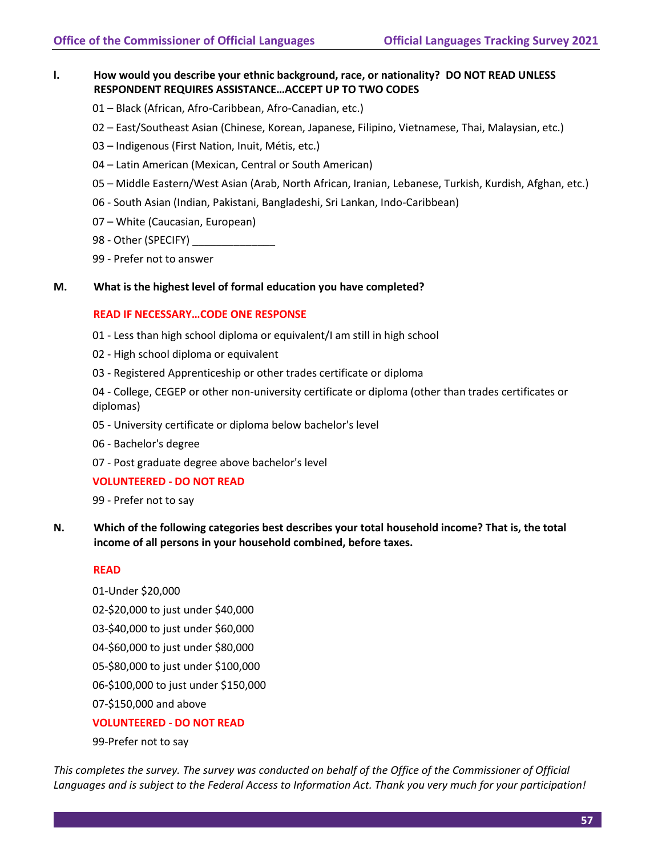# **l. How would you describe your ethnic background, race, or nationality? DO NOT READ UNLESS RESPONDENT REQUIRES ASSISTANCE…ACCEPT UP TO TWO CODES**

- 01 Black (African, Afro-Caribbean, Afro-Canadian, etc.)
- 02 East/Southeast Asian (Chinese, Korean, Japanese, Filipino, Vietnamese, Thai, Malaysian, etc.)
- 03 Indigenous (First Nation, Inuit, Métis, etc.)
- 04 Latin American (Mexican, Central or South American)
- 05 Middle Eastern/West Asian (Arab, North African, Iranian, Lebanese, Turkish, Kurdish, Afghan, etc.)
- 06 South Asian (Indian, Pakistani, Bangladeshi, Sri Lankan, Indo-Caribbean)
- 07 White (Caucasian, European)
- 98 Other (SPECIFY)
- 99 Prefer not to answer
- **M. What is the highest level of formal education you have completed?**

#### **READ IF NECESSARY…CODE ONE RESPONSE**

- 01 Less than high school diploma or equivalent/I am still in high school
- 02 High school diploma or equivalent
- 03 Registered Apprenticeship or other trades certificate or diploma

04 - College, CEGEP or other non-university certificate or diploma (other than trades certificates or diplomas)

- 05 University certificate or diploma below bachelor's level
- 06 Bachelor's degree
- 07 Post graduate degree above bachelor's level

# **VOLUNTEERED - DO NOT READ**

99 - Prefer not to say

**N. Which of the following categories best describes your total household income? That is, the total income of all persons in your household combined, before taxes.**

#### **READ**

01-Under \$20,000 02-\$20,000 to just under \$40,000 03-\$40,000 to just under \$60,000 04-\$60,000 to just under \$80,000 05-\$80,000 to just under \$100,000 06-\$100,000 to just under \$150,000 07-\$150,000 and above **VOLUNTEERED - DO NOT READ**

99-Prefer not to say

*This completes the survey. The survey was conducted on behalf of the Office of the Commissioner of Official Languages and is subject to the Federal Access to Information Act. Thank you very much for your participation!*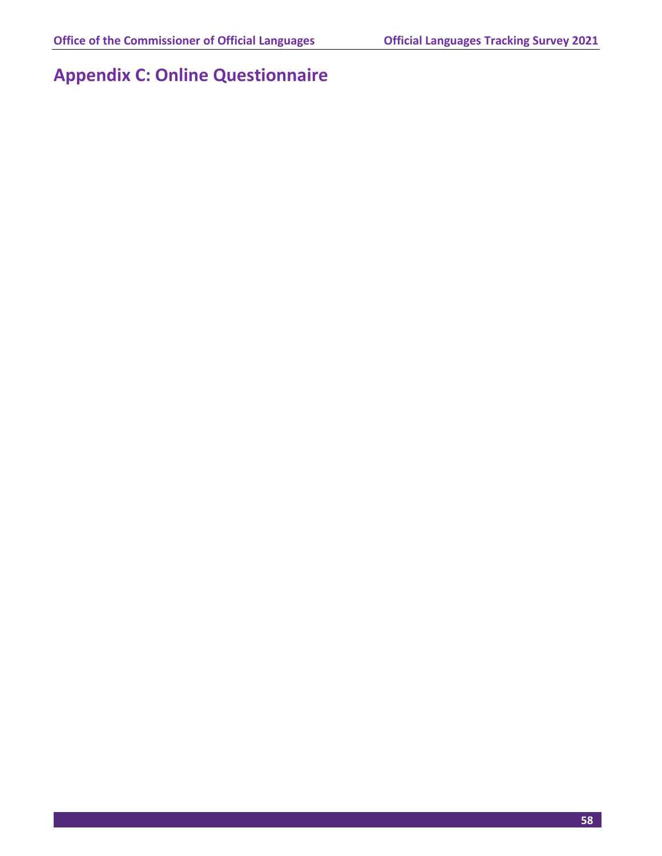# **Appendix C: Online Questionnaire**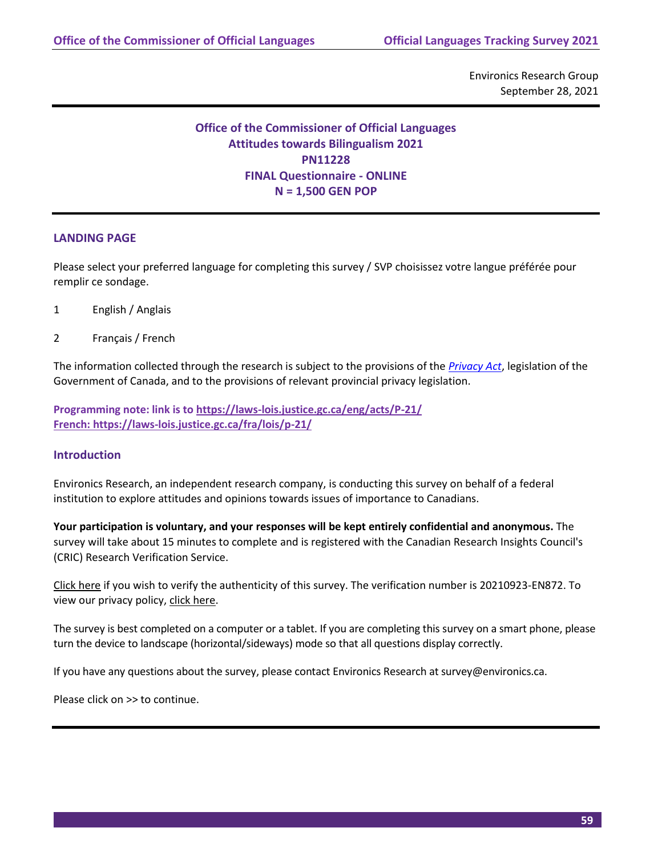Environics Research Group September 28, 2021

# **Office of the Commissioner of Official Languages Attitudes towards Bilingualism 2021 PN11228 FINAL Questionnaire - ONLINE N = 1,500 GEN POP**

# **LANDING PAGE**

Please select your preferred language for completing this survey / SVP choisissez votre langue préférée pour remplir ce sondage.

- 1 English / Anglais
- 2 Français / French

The information collected through the research is subject to the provisions of the *[Privacy Act](https://laws-lois.justice.gc.ca/eng/acts/P-21/)*, legislation of the Government of Canada, and to the provisions of relevant provincial privacy legislation.

**Programming note: link is t[o https://laws-lois.justice.gc.ca/eng/acts/P-21/](https://laws-lois.justice.gc.ca/eng/acts/P-21/) French: https://laws-lois.justice.gc.ca/fra/lois/p-21/**

# **Introduction**

Environics Research, an independent research company, is conducting this survey on behalf of a federal institution to explore attitudes and opinions towards issues of importance to Canadians.

**Your participation is voluntary, and your responses will be kept entirely confidential and anonymous.** The survey will take about 15 minutes to complete and is registered with the Canadian Research Insights Council's (CRIC) Research Verification Service.

Click here if you wish to verify the authenticity of this survey. The verification number is 20210923-EN872. To view our privacy policy, click here.

The survey is best completed on a computer or a tablet. If you are completing this survey on a smart phone, please turn the device to landscape (horizontal/sideways) mode so that all questions display correctly.

If you have any questions about the survey, please contact Environics Research at survey@environics.ca.

Please click on >> to continue.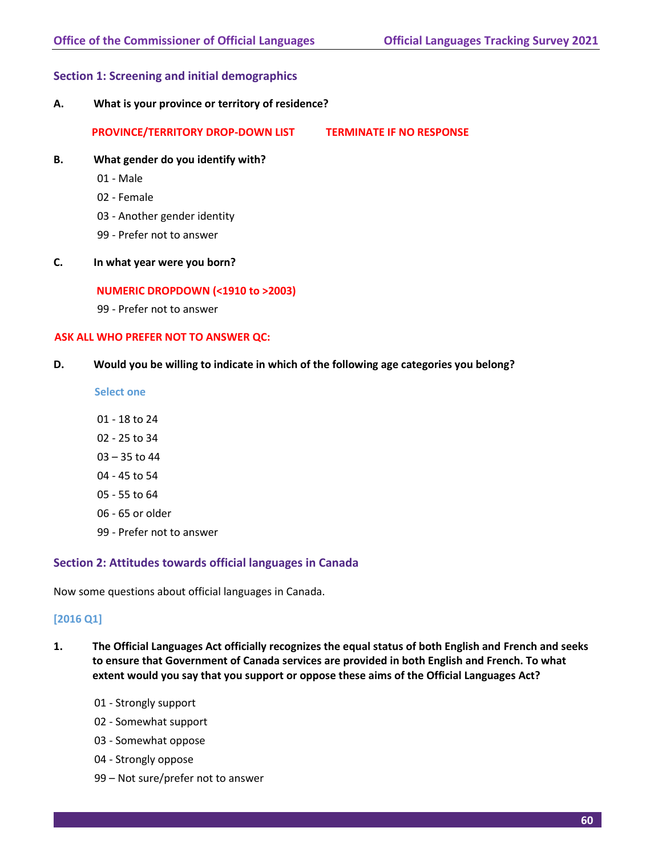### **Section 1: Screening and initial demographics**

**A. What is your province or territory of residence?**

**PROVINCE/TERRITORY DROP-DOWN LIST TERMINATE IF NO RESPONSE**

- **B. What gender do you identify with?**
	- 01 Male
	- 02 Female
	- 03 Another gender identity
	- 99 Prefer not to answer
- **C. In what year were you born?**

#### **NUMERIC DROPDOWN (<1910 to >2003)**

99 - Prefer not to answer

#### **ASK ALL WHO PREFER NOT TO ANSWER QC:**

**D. Would you be willing to indicate in which of the following age categories you belong?**

**Select one**

- 01 18 to 24
- 02 25 to 34
- 03 35 to 44
- 04 45 to 54
- 05 55 to 64
- 06 65 or older
- 99 Prefer not to answer

#### **Section 2: Attitudes towards official languages in Canada**

Now some questions about official languages in Canada.

#### **[2016 Q1]**

- **1. The Official Languages Act officially recognizes the equal status of both English and French and seeks to ensure that Government of Canada services are provided in both English and French. To what extent would you say that you support or oppose these aims of the Official Languages Act?**
	- 01 Strongly support
	- 02 Somewhat support
	- 03 Somewhat oppose
	- 04 Strongly oppose
	- 99 Not sure/prefer not to answer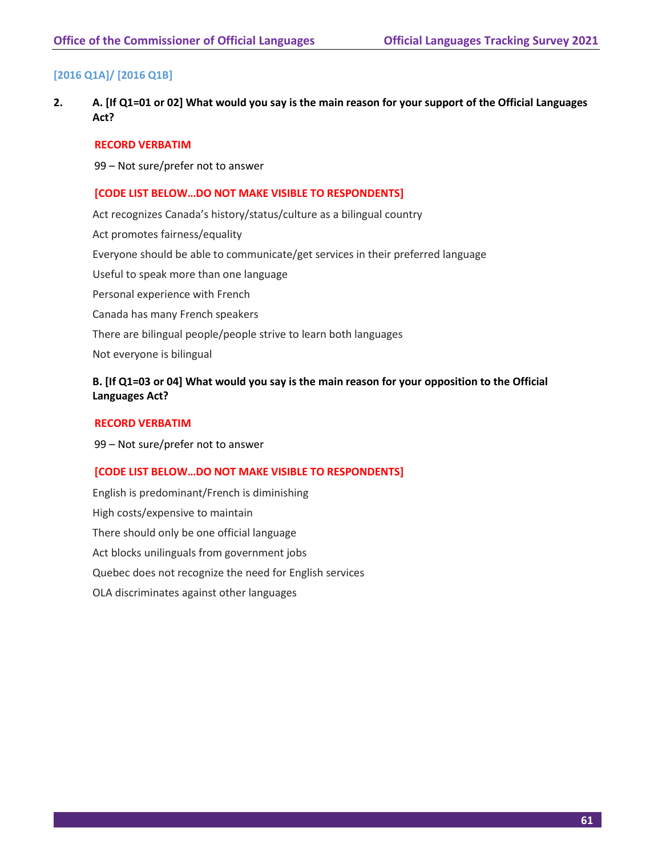# **[2016 Q1A]/ [2016 Q1B]**

**2. A. [If Q1=01 or 02] What would you say is the main reason for your support of the Official Languages Act?** 

#### **RECORD VERBATIM**

99 – Not sure/prefer not to answer

#### **[CODE LIST BELOW…DO NOT MAKE VISIBLE TO RESPONDENTS]**

Act recognizes Canada's history/status/culture as a bilingual country Act promotes fairness/equality Everyone should be able to communicate/get services in their preferred language Useful to speak more than one language Personal experience with French Canada has many French speakers There are bilingual people/people strive to learn both languages Not everyone is bilingual

# **B. [If Q1=03 or 04] What would you say is the main reason for your opposition to the Official Languages Act?**

#### **RECORD VERBATIM**

99 – Not sure/prefer not to answer

#### **[CODE LIST BELOW…DO NOT MAKE VISIBLE TO RESPONDENTS]**

English is predominant/French is diminishing High costs/expensive to maintain There should only be one official language Act blocks unilinguals from government jobs Quebec does not recognize the need for English services OLA discriminates against other languages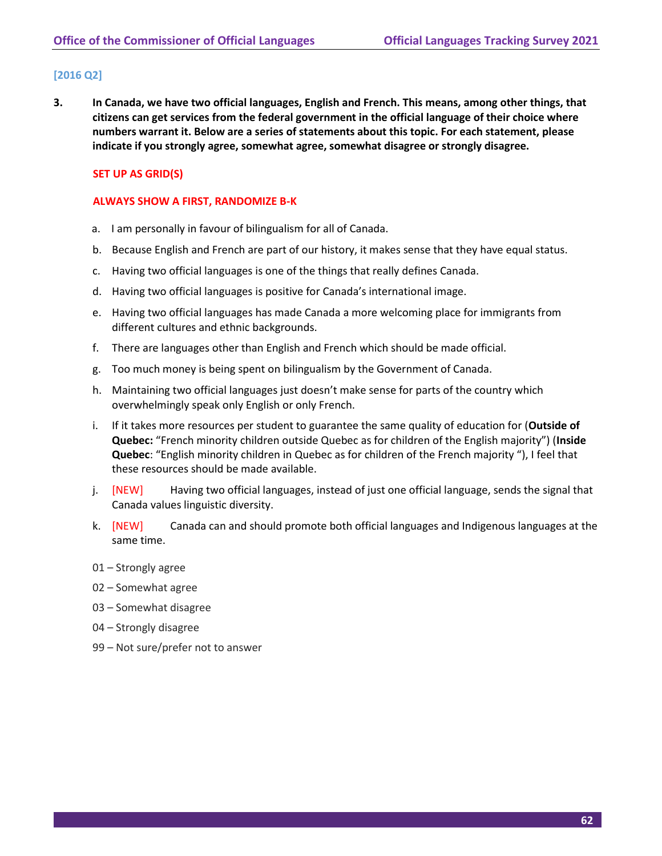# **[2016 Q2]**

**3. In Canada, we have two official languages, English and French. This means, among other things, that citizens can get services from the federal government in the official language of their choice where numbers warrant it. Below are a series of statements about this topic. For each statement, please indicate if you strongly agree, somewhat agree, somewhat disagree or strongly disagree.** 

# **SET UP AS GRID(S)**

### **ALWAYS SHOW A FIRST, RANDOMIZE B-K**

- a. I am personally in favour of bilingualism for all of Canada.
- b. Because English and French are part of our history, it makes sense that they have equal status.
- c. Having two official languages is one of the things that really defines Canada.
- d. Having two official languages is positive for Canada's international image.
- e. Having two official languages has made Canada a more welcoming place for immigrants from different cultures and ethnic backgrounds.
- f. There are languages other than English and French which should be made official.
- g. Too much money is being spent on bilingualism by the Government of Canada.
- h. Maintaining two official languages just doesn't make sense for parts of the country which overwhelmingly speak only English or only French.
- i. If it takes more resources per student to guarantee the same quality of education for (**Outside of Quebec:** "French minority children outside Quebec as for children of the English majority") (**Inside Quebec**: "English minority children in Quebec as for children of the French majority "), I feel that these resources should be made available.
- j. [NEW] Having two official languages, instead of just one official language, sends the signal that Canada values linguistic diversity.
- k. [NEW] Canada can and should promote both official languages and Indigenous languages at the same time.
- 01 Strongly agree
- 02 Somewhat agree
- 03 Somewhat disagree
- 04 Strongly disagree
- 99 Not sure/prefer not to answer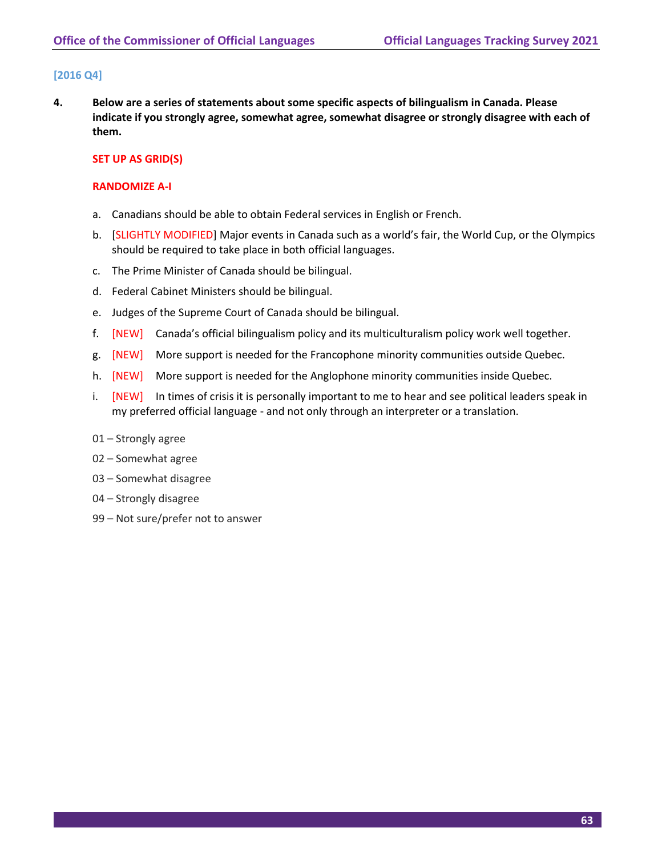# **[2016 Q4]**

**4. Below are a series of statements about some specific aspects of bilingualism in Canada. Please indicate if you strongly agree, somewhat agree, somewhat disagree or strongly disagree with each of them.** 

# **SET UP AS GRID(S)**

#### **RANDOMIZE A-I**

- a. Canadians should be able to obtain Federal services in English or French.
- b. [SLIGHTLY MODIFIED] Major events in Canada such as a world's fair, the World Cup, or the Olympics should be required to take place in both official languages.
- c. The Prime Minister of Canada should be bilingual.
- d. Federal Cabinet Ministers should be bilingual.
- e. Judges of the Supreme Court of Canada should be bilingual.
- f. [NEW] Canada's official bilingualism policy and its multiculturalism policy work well together.
- g. [NEW] More support is needed for the Francophone minority communities outside Quebec.
- h. [NEW] More support is needed for the Anglophone minority communities inside Quebec.
- i. [NEW] In times of crisis it is personally important to me to hear and see political leaders speak in my preferred official language - and not only through an interpreter or a translation.
- 01 Strongly agree
- 02 Somewhat agree
- 03 Somewhat disagree
- 04 Strongly disagree
- 99 Not sure/prefer not to answer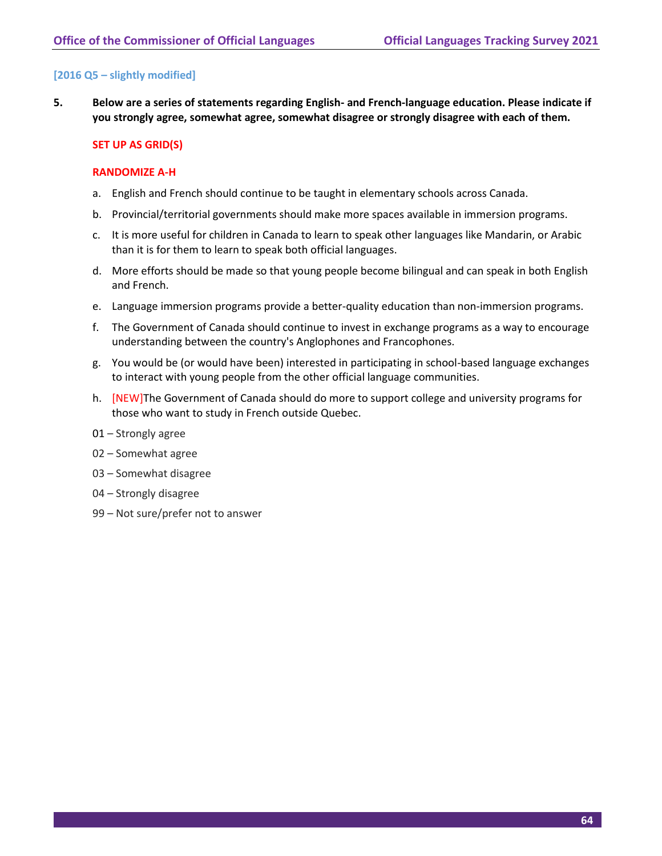# **[2016 Q5 – slightly modified]**

**5. Below are a series of statements regarding English- and French-language education. Please indicate if you strongly agree, somewhat agree, somewhat disagree or strongly disagree with each of them.**

#### **SET UP AS GRID(S)**

#### **RANDOMIZE A-H**

- a. English and French should continue to be taught in elementary schools across Canada.
- b. Provincial/territorial governments should make more spaces available in immersion programs.
- c. It is more useful for children in Canada to learn to speak other languages like Mandarin, or Arabic than it is for them to learn to speak both official languages.
- d. More efforts should be made so that young people become bilingual and can speak in both English and French.
- e. Language immersion programs provide a better-quality education than non-immersion programs.
- f. The Government of Canada should continue to invest in exchange programs as a way to encourage understanding between the country's Anglophones and Francophones.
- g. You would be (or would have been) interested in participating in school-based language exchanges to interact with young people from the other official language communities.
- h. [NEW]The Government of Canada should do more to support college and university programs for those who want to study in French outside Quebec.
- 01 Strongly agree
- 02 Somewhat agree
- 03 Somewhat disagree
- 04 Strongly disagree
- 99 Not sure/prefer not to answer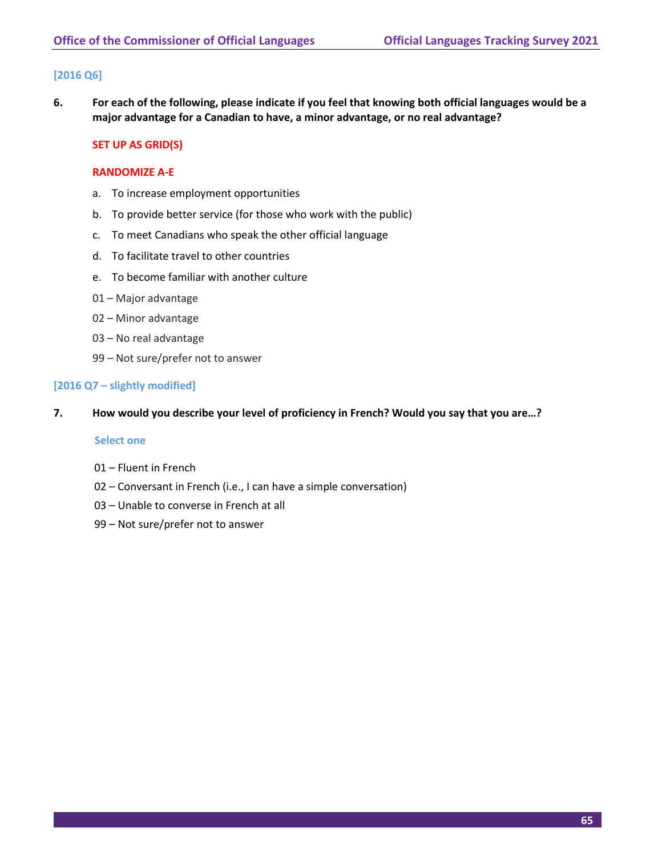# **[2016 Q6]**

**6. For each of the following, please indicate if you feel that knowing both official languages would be a major advantage for a Canadian to have, a minor advantage, or no real advantage?** 

# **SET UP AS GRID(S)**

#### **RANDOMIZE A-E**

- a. To increase employment opportunities
- b. To provide better service (for those who work with the public)
- c. To meet Canadians who speak the other official language
- d. To facilitate travel to other countries
- e. To become familiar with another culture
- 01 Major advantage
- 02 Minor advantage
- 03 No real advantage
- 99 Not sure/prefer not to answer

# **[2016 Q7 – slightly modified]**

**7. How would you describe your level of proficiency in French? Would you say that you are…?** 

### **Select one**

- 01 Fluent in French
- 02 Conversant in French (i.e., I can have a simple conversation)
- 03 Unable to converse in French at all
- 99 Not sure/prefer not to answer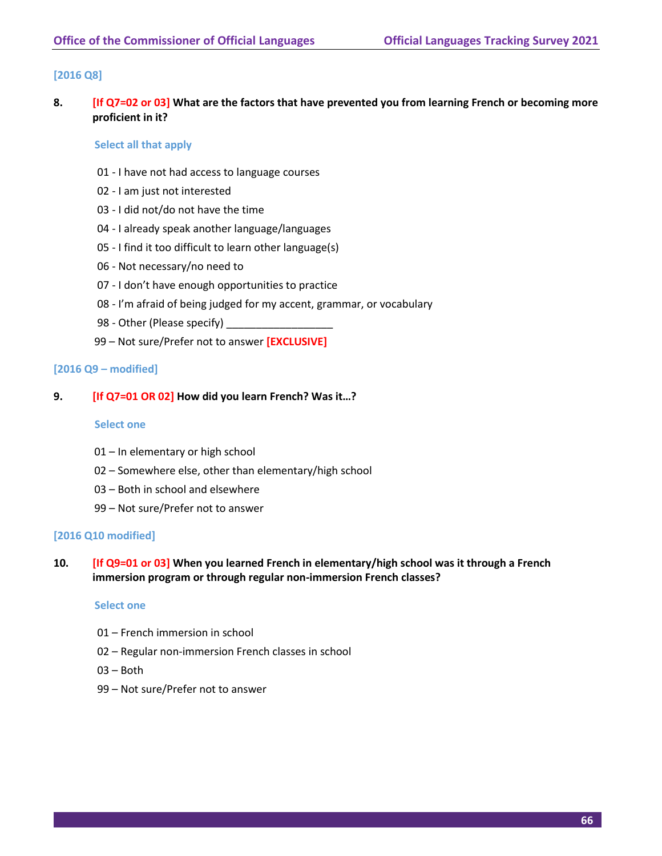# **[2016 Q8]**

**8. [If Q7=02 or 03] What are the factors that have prevented you from learning French or becoming more proficient in it?**

#### **Select all that apply**

- 01 I have not had access to language courses
- 02 I am just not interested
- 03 I did not/do not have the time
- 04 I already speak another language/languages
- 05 I find it too difficult to learn other language(s)
- 06 Not necessary/no need to
- 07 I don't have enough opportunities to practice
- 08 I'm afraid of being judged for my accent, grammar, or vocabulary
- 98 Other (Please specify)
- 99 Not sure/Prefer not to answer **[EXCLUSIVE]**

#### **[2016 Q9 – modified]**

#### **9. [If Q7=01 OR 02] How did you learn French? Was it…?**

#### **Select one**

- 01 In elementary or high school
- 02 Somewhere else, other than elementary/high school
- 03 Both in school and elsewhere
- 99 Not sure/Prefer not to answer

#### **[2016 Q10 modified]**

**10. [If Q9=01 or 03] When you learned French in elementary/high school was it through a French immersion program or through regular non-immersion French classes?** 

#### **Select one**

- 01 French immersion in school
- 02 Regular non-immersion French classes in school
- 03 Both
- 99 Not sure/Prefer not to answer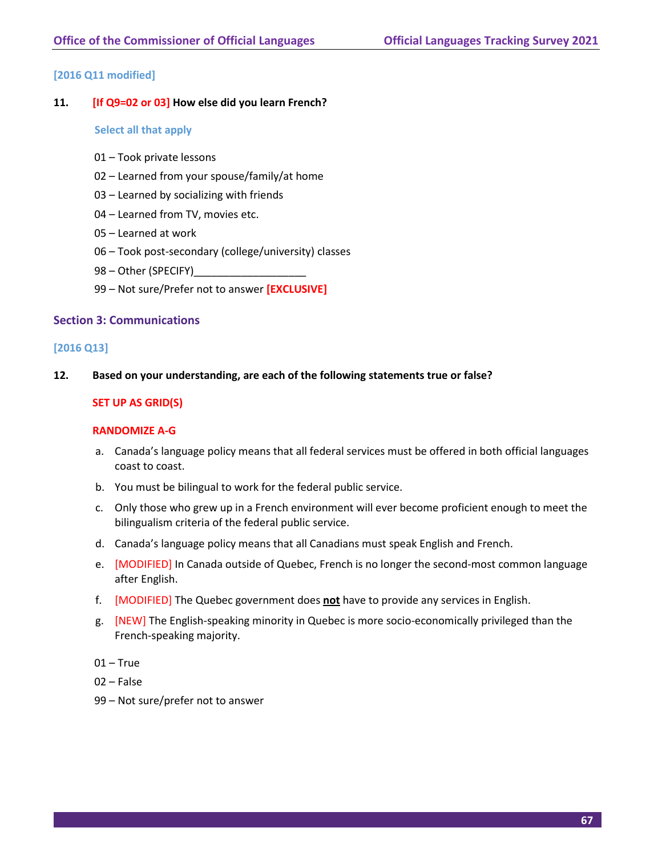# **[2016 Q11 modified]**

### **11. [If Q9=02 or 03] How else did you learn French?**

#### **Select all that apply**

- 01 Took private lessons
- 02 Learned from your spouse/family/at home
- 03 Learned by socializing with friends
- 04 Learned from TV, movies etc.
- 05 Learned at work
- 06 Took post-secondary (college/university) classes
- 98 Other (SPECIFY)\_\_\_\_\_
- 99 Not sure/Prefer not to answer **[EXCLUSIVE]**

#### **Section 3: Communications**

#### **[2016 Q13]**

**12. Based on your understanding, are each of the following statements true or false?**

#### **SET UP AS GRID(S)**

#### **RANDOMIZE A-G**

- a. Canada's language policy means that all federal services must be offered in both official languages coast to coast.
- b. You must be bilingual to work for the federal public service.
- c. Only those who grew up in a French environment will ever become proficient enough to meet the bilingualism criteria of the federal public service.
- d. Canada's language policy means that all Canadians must speak English and French.
- e. [MODIFIED] In Canada outside of Quebec, French is no longer the second-most common language after English.
- f. [MODIFIED] The Quebec government does **not** have to provide any services in English.
- g. [NEW] The English-speaking minority in Quebec is more socio-economically privileged than the French-speaking majority.
- $01 True$
- 02 False
- 99 Not sure/prefer not to answer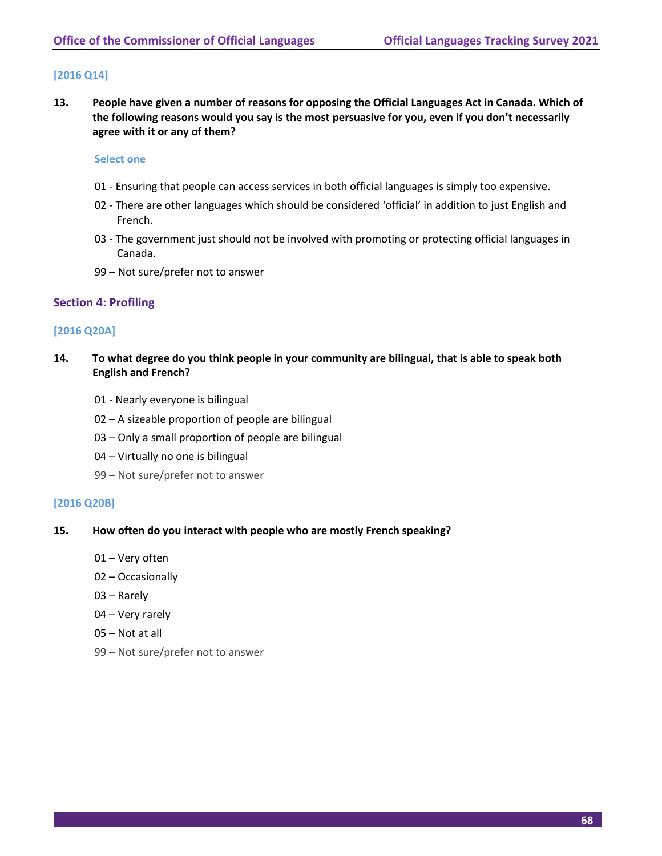# **[2016 Q14]**

**13. People have given a number of reasons for opposing the Official Languages Act in Canada. Which of the following reasons would you say is the most persuasive for you, even if you don't necessarily agree with it or any of them?**

#### **Select one**

- 01 Ensuring that people can access services in both official languages is simply too expensive.
- 02 There are other languages which should be considered 'official' in addition to just English and French.
- 03 The government just should not be involved with promoting or protecting official languages in Canada.
- 99 Not sure/prefer not to answer

# **Section 4: Profiling**

# **[2016 Q20A]**

- **14. To what degree do you think people in your community are bilingual, that is able to speak both English and French?**
	- 01 Nearly everyone is bilingual
	- 02 A sizeable proportion of people are bilingual
	- 03 Only a small proportion of people are bilingual
	- 04 Virtually no one is bilingual
	- 99 Not sure/prefer not to answer

# **[2016 Q20B]**

- **15. How often do you interact with people who are mostly French speaking?**
	- 01 Very often
	- 02 Occasionally
	- 03 Rarely
	- 04 Very rarely
	- 05 Not at all
	- 99 Not sure/prefer not to answer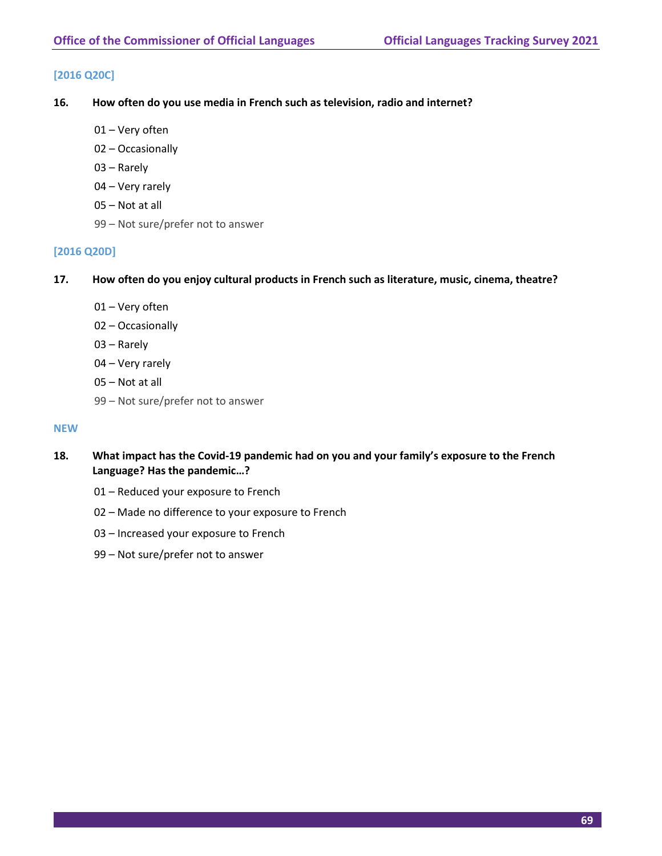# **[2016 Q20C]**

- **16. How often do you use media in French such as television, radio and internet?**
	- Very often
	- Occasionally
	- Rarely
	- Very rarely
	- Not at all
	- Not sure/prefer not to answer

#### **[2016 Q20D]**

- **17. How often do you enjoy cultural products in French such as literature, music, cinema, theatre?**
	- Very often
	- Occasionally
	- Rarely
	- Very rarely
	- Not at all
	- Not sure/prefer not to answer

#### **NEW**

- **18. What impact has the Covid-19 pandemic had on you and your family's exposure to the French Language? Has the pandemic…?**
	- Reduced your exposure to French
	- Made no difference to your exposure to French
	- Increased your exposure to French
	- Not sure/prefer not to answer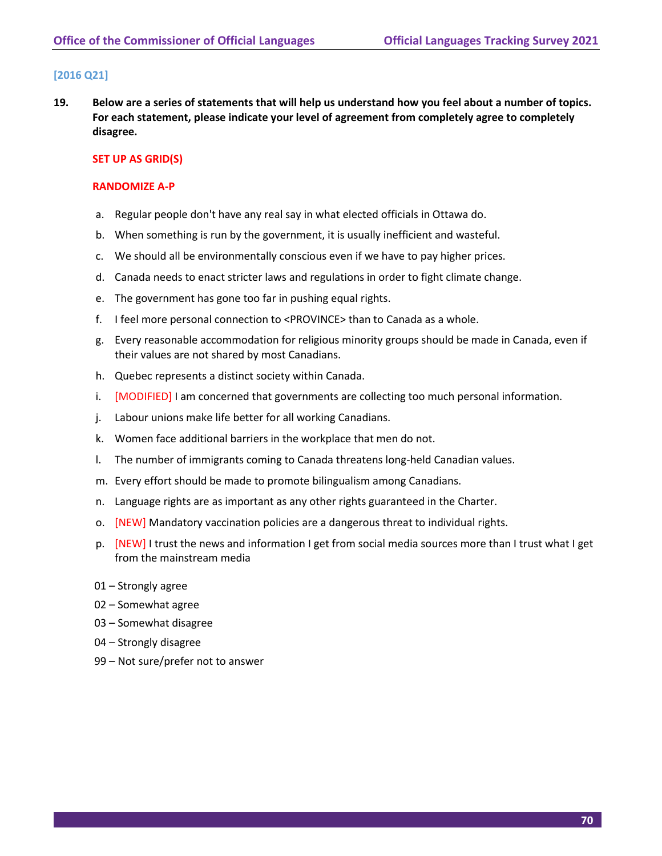# **[2016 Q21]**

**19. Below are a series of statements that will help us understand how you feel about a number of topics. For each statement, please indicate your level of agreement from completely agree to completely disagree.** 

### **SET UP AS GRID(S)**

### **RANDOMIZE A-P**

- a. Regular people don't have any real say in what elected officials in Ottawa do.
- b. When something is run by the government, it is usually inefficient and wasteful.
- c. We should all be environmentally conscious even if we have to pay higher prices.
- d. Canada needs to enact stricter laws and regulations in order to fight climate change.
- e. The government has gone too far in pushing equal rights.
- f. I feel more personal connection to <PROVINCE> than to Canada as a whole.
- g. Every reasonable accommodation for religious minority groups should be made in Canada, even if their values are not shared by most Canadians.
- h. Quebec represents a distinct society within Canada.
- i. [MODIFIED] I am concerned that governments are collecting too much personal information.
- j. Labour unions make life better for all working Canadians.
- k. Women face additional barriers in the workplace that men do not.
- l. The number of immigrants coming to Canada threatens long-held Canadian values.
- m. Every effort should be made to promote bilingualism among Canadians.
- n. Language rights are as important as any other rights guaranteed in the Charter.
- o. [NEW] Mandatory vaccination policies are a dangerous threat to individual rights.
- p. [NEW] I trust the news and information I get from social media sources more than I trust what I get from the mainstream media
- 01 Strongly agree
- 02 Somewhat agree
- 03 Somewhat disagree
- 04 Strongly disagree
- 99 Not sure/prefer not to answer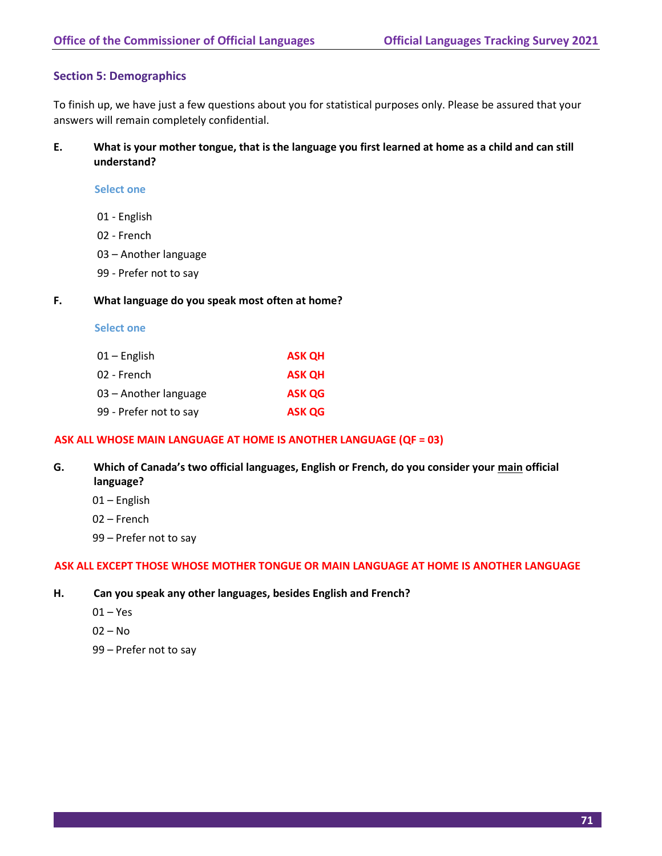# **Section 5: Demographics**

To finish up, we have just a few questions about you for statistical purposes only. Please be assured that your answers will remain completely confidential.

**E. What is your mother tongue, that is the language you first learned at home as a child and can still understand?**

**Select one**

- 01 English
- 02 French
- 03 Another language
- 99 Prefer not to say

#### **F. What language do you speak most often at home?**

|  | <b>Select one</b> |  |
|--|-------------------|--|
|  |                   |  |

| 01 – English           | <b>ASK OH</b> |
|------------------------|---------------|
| 02 - French            | <b>ASK OH</b> |
| 03 – Another language  | <b>ASK QG</b> |
| 99 - Prefer not to say | <b>ASK QG</b> |

## **ASK ALL WHOSE MAIN LANGUAGE AT HOME IS ANOTHER LANGUAGE (QF = 03)**

- **G. Which of Canada's two official languages, English or French, do you consider your main official language?**
	- 01 English
	- 02 French
	- 99 Prefer not to say

### **ASK ALL EXCEPT THOSE WHOSE MOTHER TONGUE OR MAIN LANGUAGE AT HOME IS ANOTHER LANGUAGE**

- **H. Can you speak any other languages, besides English and French?**
	- 01 Yes
	- 02 No
	- 99 Prefer not to say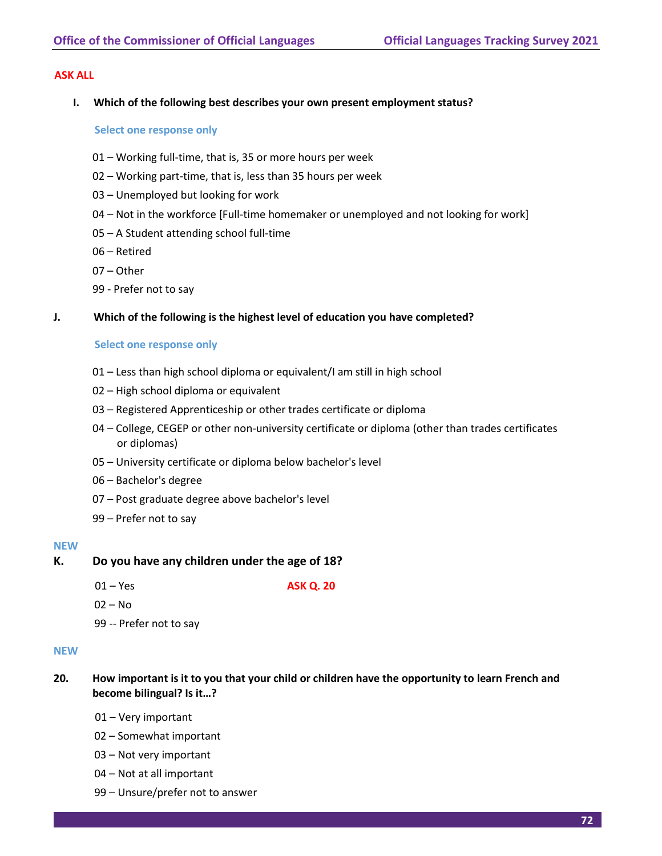### **ASK ALL**

**I. Which of the following best describes your own present employment status?**

#### **Select one response only**

- 01 Working full-time, that is, 35 or more hours per week
- 02 Working part-time, that is, less than 35 hours per week
- 03 Unemployed but looking for work
- 04 Not in the workforce [Full-time homemaker or unemployed and not looking for work]
- 05 A Student attending school full-time
- 06 Retired
- 07 Other
- 99 Prefer not to say

### **J. Which of the following is the highest level of education you have completed?**

#### **Select one response only**

- 01 Less than high school diploma or equivalent/I am still in high school
- 02 High school diploma or equivalent
- 03 Registered Apprenticeship or other trades certificate or diploma
- 04 College, CEGEP or other non-university certificate or diploma (other than trades certificates or diplomas)
- 05 University certificate or diploma below bachelor's level
- 06 Bachelor's degree
- 07 Post graduate degree above bachelor's level
- 99 Prefer not to say

### **NEW**

## **K. Do you have any children under the age of 18?**

01 – Yes **ASK Q. 20**

- $02 No$
- 99 -- Prefer not to say

#### **NEW**

- **20. How important is it to you that your child or children have the opportunity to learn French and become bilingual? Is it…?**
	- 01 Very important
	- 02 Somewhat important
	- 03 Not very important
	- 04 Not at all important
	- 99 Unsure/prefer not to answer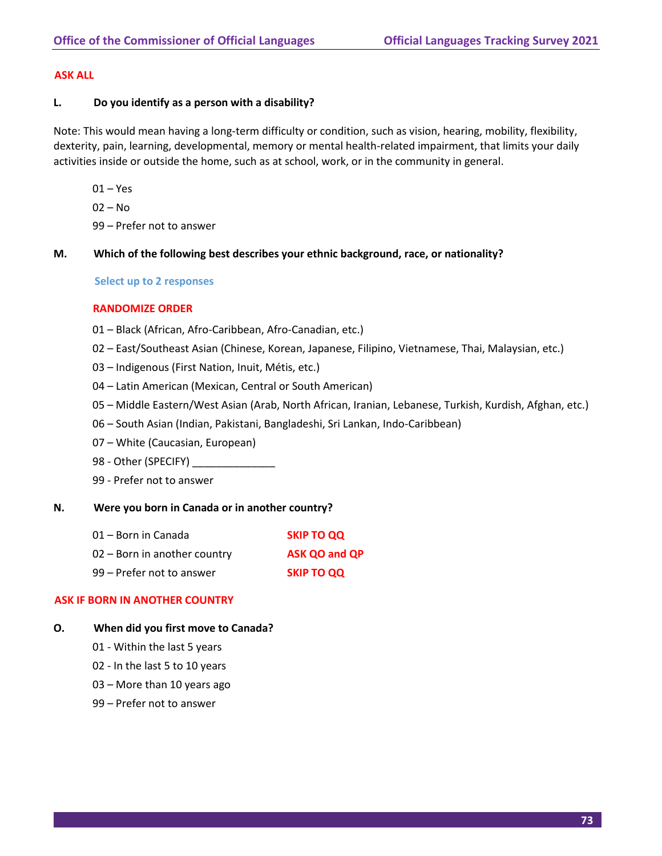### **ASK ALL**

### **L. Do you identify as a person with a disability?**

Note: This would mean having a long-term difficulty or condition, such as vision, hearing, mobility, flexibility, dexterity, pain, learning, developmental, memory or mental health-related impairment, that limits your daily activities inside or outside the home, such as at school, work, or in the community in general.

- $01 Yes$
- 02 No
- 99 Prefer not to answer
- **M. Which of the following best describes your ethnic background, race, or nationality?**

### **Select up to 2 responses**

## **RANDOMIZE ORDER**

- 01 Black (African, Afro-Caribbean, Afro-Canadian, etc.)
- 02 East/Southeast Asian (Chinese, Korean, Japanese, Filipino, Vietnamese, Thai, Malaysian, etc.)
- 03 Indigenous (First Nation, Inuit, Métis, etc.)
- 04 Latin American (Mexican, Central or South American)
- 05 Middle Eastern/West Asian (Arab, North African, Iranian, Lebanese, Turkish, Kurdish, Afghan, etc.)
- 06 South Asian (Indian, Pakistani, Bangladeshi, Sri Lankan, Indo-Caribbean)
- 07 White (Caucasian, European)
- 98 Other (SPECIFY)
- 99 Prefer not to answer

#### **N. Were you born in Canada or in another country?**

- 01 Born in Canada **SKIP TO QQ** 02 – Born in another country **ASK QO and QP**
- 99 Prefer not to answer **SKIP TO QQ**

# **ASK IF BORN IN ANOTHER COUNTRY**

## **O. When did you first move to Canada?**

- 01 Within the last 5 years
- 02 In the last 5 to 10 years
- 03 More than 10 years ago
- 99 Prefer not to answer